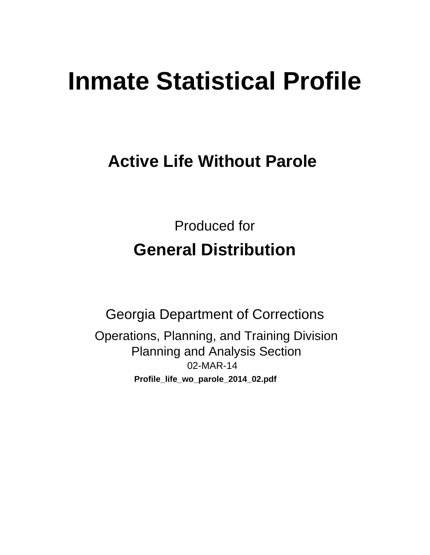# **Inmate Statistical Profile**

# **Active Life Without Parole**

**Produced for General Distribution** 

**Georgia Department of Corrections** Operations, Planning, and Training Division **Planning and Analysis Section** 02-MAR-14 Profile\_life\_wo\_parole\_2014\_02.pdf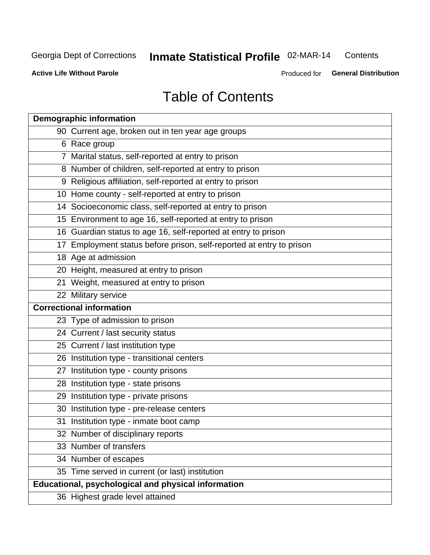#### Inmate Statistical Profile 02-MAR-14 Contents

**Active Life Without Parole** 

Produced for General Distribution

# **Table of Contents**

| <b>Demographic information</b>                                       |
|----------------------------------------------------------------------|
| 90 Current age, broken out in ten year age groups                    |
| 6 Race group                                                         |
| 7 Marital status, self-reported at entry to prison                   |
| 8 Number of children, self-reported at entry to prison               |
| 9 Religious affiliation, self-reported at entry to prison            |
| 10 Home county - self-reported at entry to prison                    |
| 14 Socioeconomic class, self-reported at entry to prison             |
| 15 Environment to age 16, self-reported at entry to prison           |
| 16 Guardian status to age 16, self-reported at entry to prison       |
| 17 Employment status before prison, self-reported at entry to prison |
| 18 Age at admission                                                  |
| 20 Height, measured at entry to prison                               |
| 21 Weight, measured at entry to prison                               |
| 22 Military service                                                  |
| <b>Correctional information</b>                                      |
| 23 Type of admission to prison                                       |
| 24 Current / last security status                                    |
| 25 Current / last institution type                                   |
| 26 Institution type - transitional centers                           |
| 27 Institution type - county prisons                                 |
| 28 Institution type - state prisons                                  |
| 29 Institution type - private prisons                                |
| 30 Institution type - pre-release centers                            |
| 31 Institution type - inmate boot camp                               |
| 32 Number of disciplinary reports                                    |
| 33 Number of transfers                                               |
| 34 Number of escapes                                                 |
| 35 Time served in current (or last) institution                      |
| Educational, psychological and physical information                  |
| 36 Highest grade level attained                                      |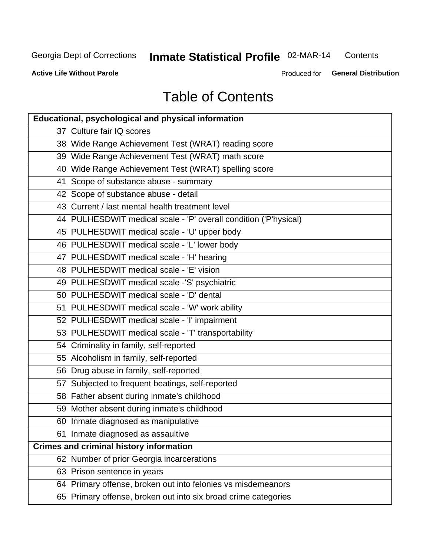# Inmate Statistical Profile 02-MAR-14

Contents

**Active Life Without Parole** 

Produced for General Distribution

# **Table of Contents**

| <b>Educational, psychological and physical information</b>       |
|------------------------------------------------------------------|
| 37 Culture fair IQ scores                                        |
| 38 Wide Range Achievement Test (WRAT) reading score              |
| 39 Wide Range Achievement Test (WRAT) math score                 |
| 40 Wide Range Achievement Test (WRAT) spelling score             |
| 41 Scope of substance abuse - summary                            |
| 42 Scope of substance abuse - detail                             |
| 43 Current / last mental health treatment level                  |
| 44 PULHESDWIT medical scale - 'P' overall condition ('P'hysical) |
| 45 PULHESDWIT medical scale - 'U' upper body                     |
| 46 PULHESDWIT medical scale - 'L' lower body                     |
| 47 PULHESDWIT medical scale - 'H' hearing                        |
| 48 PULHESDWIT medical scale - 'E' vision                         |
| 49 PULHESDWIT medical scale -'S' psychiatric                     |
| 50 PULHESDWIT medical scale - 'D' dental                         |
| 51 PULHESDWIT medical scale - 'W' work ability                   |
| 52 PULHESDWIT medical scale - 'I' impairment                     |
| 53 PULHESDWIT medical scale - 'T' transportability               |
| 54 Criminality in family, self-reported                          |
| 55 Alcoholism in family, self-reported                           |
| 56 Drug abuse in family, self-reported                           |
| 57 Subjected to frequent beatings, self-reported                 |
| 58 Father absent during inmate's childhood                       |
| 59 Mother absent during inmate's childhood                       |
| 60 Inmate diagnosed as manipulative                              |
| 61 Inmate diagnosed as assaultive                                |
| <b>Crimes and criminal history information</b>                   |
| 62 Number of prior Georgia incarcerations                        |
| 63 Prison sentence in years                                      |
| 64 Primary offense, broken out into felonies vs misdemeanors     |
| 65 Primary offense, broken out into six broad crime categories   |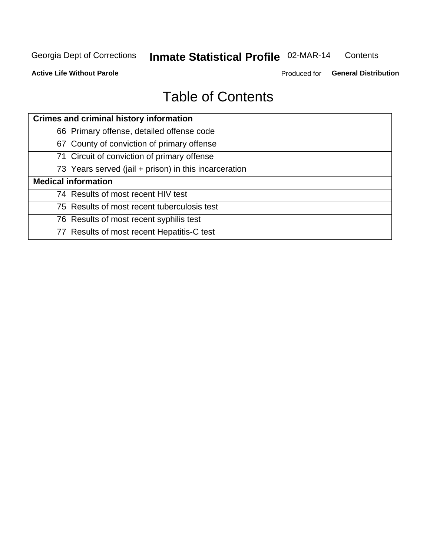#### Inmate Statistical Profile 02-MAR-14 Contents

**Active Life Without Parole** 

Produced for General Distribution

# **Table of Contents**

| <b>Crimes and criminal history information</b>        |
|-------------------------------------------------------|
| 66 Primary offense, detailed offense code             |
| 67 County of conviction of primary offense            |
| 71 Circuit of conviction of primary offense           |
| 73 Years served (jail + prison) in this incarceration |
| <b>Medical information</b>                            |
| 74 Results of most recent HIV test                    |
| 75 Results of most recent tuberculosis test           |
| 76 Results of most recent syphilis test               |
| 77 Results of most recent Hepatitis-C test            |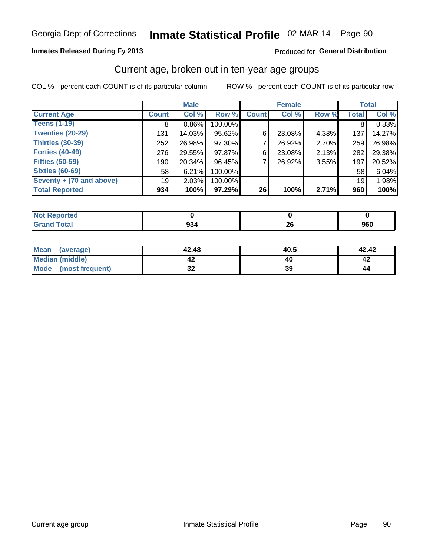# Inmate Statistical Profile 02-MAR-14 Page 90

### **Inmates Released During Fy 2013**

#### Produced for General Distribution

### Current age, broken out in ten-year age groups

COL % - percent each COUNT is of its particular column

|                          |              | <b>Male</b> |         |                 | <b>Female</b> |       |              | <b>Total</b> |
|--------------------------|--------------|-------------|---------|-----------------|---------------|-------|--------------|--------------|
| <b>Current Age</b>       | <b>Count</b> | Col %       | Row %   | <b>Count</b>    | Col %         | Row % | <b>Total</b> | Col %        |
| <b>Teens (1-19)</b>      | 8            | $0.86\%$    | 100.00% |                 |               |       | 8            | 0.83%        |
| <b>Twenties (20-29)</b>  | 131          | 14.03%      | 95.62%  | 6               | 23.08%        | 4.38% | 137          | 14.27%       |
| Thirties (30-39)         | 252          | 26.98%      | 97.30%  |                 | 26.92%        | 2.70% | 259          | 26.98%       |
| <b>Forties (40-49)</b>   | 276          | 29.55%      | 97.87%  | 6               | 23.08%        | 2.13% | 282          | 29.38%       |
| <b>Fifties (50-59)</b>   | 190          | 20.34%      | 96.45%  |                 | 26.92%        | 3.55% | 197          | 20.52%       |
| <b>Sixties (60-69)</b>   | 58           | 6.21%       | 100.00% |                 |               |       | 58           | 6.04%        |
| Seventy + (70 and above) | 19           | 2.03%       | 100.00% |                 |               |       | 19           | 1.98%        |
| <b>Total Reported</b>    | 934          | 100%        | 97.29%  | 26 <sub>1</sub> | 100%          | 2.71% | 960          | 100%         |

| _____ | $\sim$<br>ວບ∙<br>$ -$ | $\overline{\phantom{a}}$<br>ΔV | 960 |
|-------|-----------------------|--------------------------------|-----|

| Mean<br>(average)    | 42.48    | 40.5 | 42.42 |
|----------------------|----------|------|-------|
| Median (middle)      |          |      |       |
| Mode (most frequent) | ^^<br>◡▴ | 39   | 44    |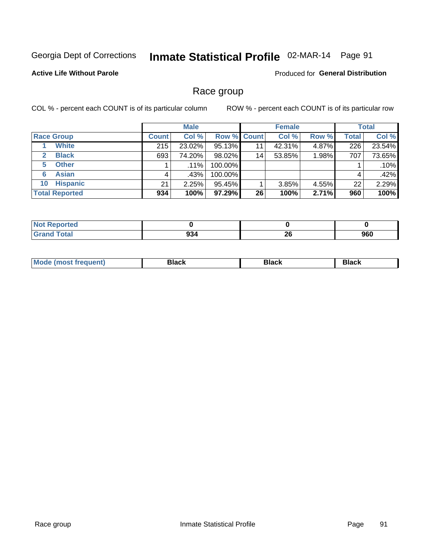# Inmate Statistical Profile 02-MAR-14 Page 91

### **Active Life Without Parole**

**Produced for General Distribution** 

### Race group

COL % - percent each COUNT is of its particular column

|                              |              | <b>Male</b> |                    |                 | <b>Female</b> |       |              | <b>Total</b> |
|------------------------------|--------------|-------------|--------------------|-----------------|---------------|-------|--------------|--------------|
| <b>Race Group</b>            | <b>Count</b> | Col %       | <b>Row % Count</b> |                 | Col %         | Row % | <b>Total</b> | Col %        |
| <b>White</b>                 | 215          | 23.02%      | 95.13%             | 11              | 42.31%        | 4.87% | 226          | 23.54%       |
| <b>Black</b><br>$\mathbf{2}$ | 693          | 74.20%      | 98.02%             | 14 <sub>1</sub> | 53.85%        | 1.98% | 707          | 73.65%       |
| <b>Other</b><br>5.           |              | $.11\%$     | 100.00%            |                 |               |       |              | .10%         |
| <b>Asian</b><br>6            | 4            | .43%        | 100.00%            |                 |               |       | 4            | .42%         |
| <b>Hispanic</b><br>10        | 21           | 2.25%       | 95.45%             |                 | 3.85%         | 4.55% | 22           | 2.29%        |
| <b>Total Reported</b>        | 934          | 100%        | 97.29%             | 26              | 100%          | 2.71% | 960          | 100%         |

| <b>orted</b> |                  |           |     |
|--------------|------------------|-----------|-----|
| <b>Total</b> | --<br>934<br>- - | ne.<br>ΔU | 960 |

| M | - - - | Piavn |
|---|-------|-------|
|   |       |       |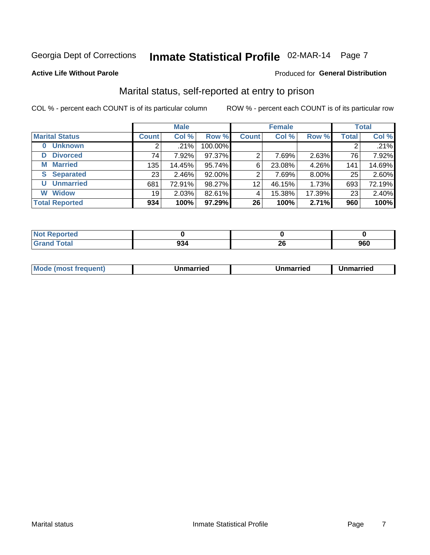# Inmate Statistical Profile 02-MAR-14 Page 7

#### **Active Life Without Parole**

#### Produced for General Distribution

### Marital status, self-reported at entry to prison

COL % - percent each COUNT is of its particular column

|                            |              | <b>Male</b> |         |              | <b>Female</b> |        |              | <b>Total</b> |
|----------------------------|--------------|-------------|---------|--------------|---------------|--------|--------------|--------------|
| <b>Marital Status</b>      | <b>Count</b> | Col %       | Row %   | <b>Count</b> | Col %         | Row %  | <b>Total</b> | Col %        |
| <b>Unknown</b><br>$\bf{0}$ |              | .21%        | 100.00% |              |               |        | 2            | .21%         |
| <b>Divorced</b><br>D       | 74           | 7.92%       | 97.37%  | 2            | 7.69%         | 2.63%  | 76           | 7.92%        |
| <b>Married</b><br>М        | 135          | 14.45%      | 95.74%  | 6            | 23.08%        | 4.26%  | 141          | 14.69%       |
| <b>Separated</b><br>S      | 231          | 2.46%       | 92.00%  | 2            | 7.69%         | 8.00%  | 25           | 2.60%        |
| <b>Unmarried</b><br>U      | 681          | 72.91%      | 98.27%  | 12           | 46.15%        | 1.73%  | 693          | 72.19%       |
| <b>Widow</b><br>W          | 19           | 2.03%       | 82.61%  | 4            | 15.38%        | 17.39% | 23           | 2.40%        |
| <b>Total Reported</b>      | 934          | 100%        | 97.29%  | 26           | 100%          | 2.71%  | 960          | 100%         |

| orted<br><b>NOT REDO</b> |                |                                               |            |
|--------------------------|----------------|-----------------------------------------------|------------|
|                          | $\sim$<br>JJ-. | n,<br>ZV<br>and the control of the control of | ner<br>ฮบบ |

|--|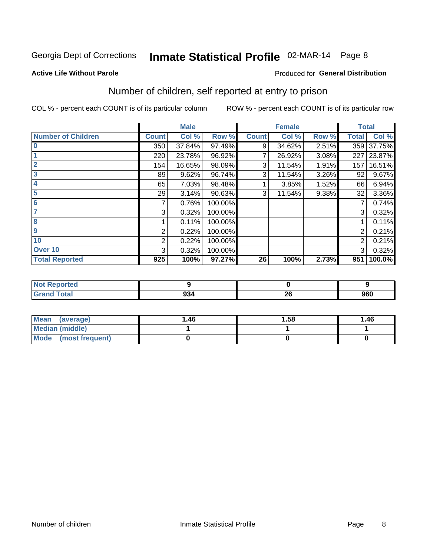# Inmate Statistical Profile 02-MAR-14 Page 8

**Active Life Without Parole** 

### **Produced for General Distribution**

# Number of children, self reported at entry to prison

COL % - percent each COUNT is of its particular column

|                           |              | <b>Male</b> |         |              | <b>Female</b> |       |                | <b>Total</b> |
|---------------------------|--------------|-------------|---------|--------------|---------------|-------|----------------|--------------|
| <b>Number of Children</b> | <b>Count</b> | Col %       | Row %   | <b>Count</b> | Col %         | Row % | <b>Total</b>   | Col %        |
| $\bf{0}$                  | 350          | 37.84%      | 97.49%  | 9            | 34.62%        | 2.51% | 359            | 37.75%       |
|                           | 220          | 23.78%      | 96.92%  |              | 26.92%        | 3.08% | 227            | 23.87%       |
| $\overline{2}$            | 154          | 16.65%      | 98.09%  | 3            | 11.54%        | 1.91% | 157            | 16.51%       |
| 3                         | 89           | 9.62%       | 96.74%  | 3            | 11.54%        | 3.26% | 92             | 9.67%        |
| 4                         | 65           | 7.03%       | 98.48%  |              | 3.85%         | 1.52% | 66             | 6.94%        |
| 5                         | 29           | 3.14%       | 90.63%  | 3            | 11.54%        | 9.38% | 32             | 3.36%        |
| 6                         | 7            | 0.76%       | 100.00% |              |               |       | 7              | 0.74%        |
|                           | 3            | 0.32%       | 100.00% |              |               |       | 3              | 0.32%        |
| 8                         |              | 0.11%       | 100.00% |              |               |       |                | 0.11%        |
| $\boldsymbol{9}$          | 2            | 0.22%       | 100.00% |              |               |       | $\overline{2}$ | 0.21%        |
| 10                        | 2            | 0.22%       | 100.00% |              |               |       | 2              | 0.21%        |
| Over 10                   | 3            | 0.32%       | 100.00% |              |               |       | 3              | 0.32%        |
| <b>Total Reported</b>     | 925          | 100%        | 97.27%  | 26           | 100%          | 2.73% | 951            | 100.0%       |

| A (20  |              |                               |     |
|--------|--------------|-------------------------------|-----|
| $\sim$ | $ -$<br>- 14 | $\sim$ $\sim$<br>$\sim$<br>Δv | 960 |

| <b>Mean</b><br>(average) | 1.46 | 1.58 | 1.46 |
|--------------------------|------|------|------|
| Median (middle)          |      |      |      |
| Mode (most frequent)     |      |      |      |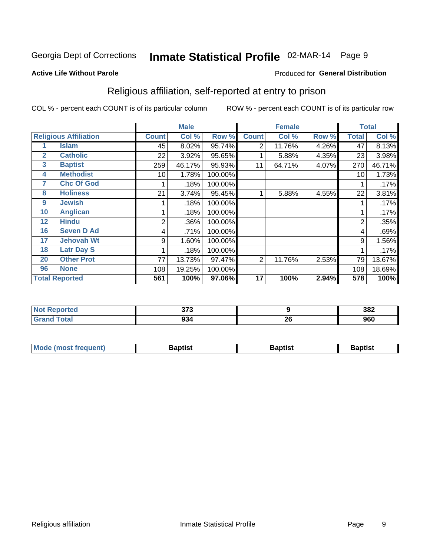# Inmate Statistical Profile 02-MAR-14 Page 9

**Active Life Without Parole** 

### **Produced for General Distribution**

### Religious affiliation, self-reported at entry to prison

COL % - percent each COUNT is of its particular column

|              |                              |                | <b>Male</b> |         |              | <b>Female</b> |       |                | <b>Total</b> |
|--------------|------------------------------|----------------|-------------|---------|--------------|---------------|-------|----------------|--------------|
|              | <b>Religious Affiliation</b> | <b>Count</b>   | Col %       | Row %   | <b>Count</b> | Col %         | Row % | <b>Total</b>   | Col %        |
|              | Islam                        | 45             | 8.02%       | 95.74%  | 2            | 11.76%        | 4.26% | 47             | 8.13%        |
| $\mathbf{2}$ | <b>Catholic</b>              | 22             | 3.92%       | 95.65%  |              | 5.88%         | 4.35% | 23             | 3.98%        |
| 3            | <b>Baptist</b>               | 259            | 46.17%      | 95.93%  | 11           | 64.71%        | 4.07% | 270            | 46.71%       |
| 4            | <b>Methodist</b>             | 10             | 1.78%       | 100.00% |              |               |       | 10             | 1.73%        |
| 7            | <b>Chc Of God</b>            |                | .18%        | 100.00% |              |               |       |                | .17%         |
| 8            | <b>Holiness</b>              | 21             | 3.74%       | 95.45%  |              | 5.88%         | 4.55% | 22             | 3.81%        |
| 9            | <b>Jewish</b>                |                | .18%        | 100.00% |              |               |       |                | .17%         |
| 10           | <b>Anglican</b>              |                | .18%        | 100.00% |              |               |       |                | .17%         |
| 12           | <b>Hindu</b>                 | $\overline{2}$ | .36%        | 100.00% |              |               |       | $\overline{2}$ | .35%         |
| 16           | <b>Seven D Ad</b>            | 4              | .71%        | 100.00% |              |               |       | 4              | .69%         |
| 17           | <b>Jehovah Wt</b>            | 9              | 1.60%       | 100.00% |              |               |       | 9              | 1.56%        |
| 18           | <b>Latr Day S</b>            |                | .18%        | 100.00% |              |               |       |                | .17%         |
| 20           | <b>Other Prot</b>            | 77             | 13.73%      | 97.47%  | 2            | 11.76%        | 2.53% | 79             | 13.67%       |
| 96           | <b>None</b>                  | 108            | 19.25%      | 100.00% |              |               |       | 108            | 18.69%       |
|              | <b>Total Reported</b>        | 561            | 100%        | 97.06%  | 17           | 100%          | 2.94% | 578            | 100%         |

| <b>Reported</b><br>. | 272<br>ט וע |           | 382 |
|----------------------|-------------|-----------|-----|
|                      | 934         | nr.<br>ΔU | 960 |

| <b>Mode (most frequent)</b> | եaptist | 3aptisเ | aptist |
|-----------------------------|---------|---------|--------|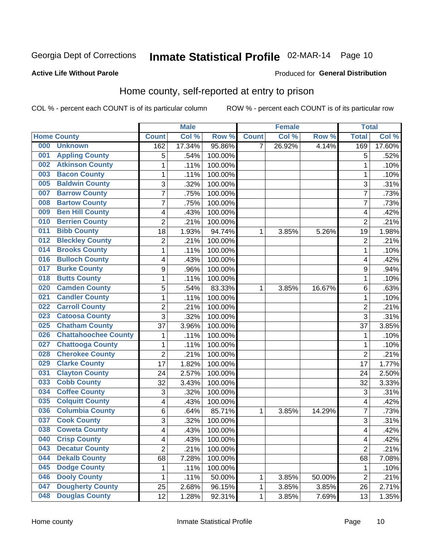# Inmate Statistical Profile 02-MAR-14 Page 10

#### **Active Life Without Parole**

#### Produced for General Distribution

### Home county, self-reported at entry to prison

COL % - percent each COUNT is of its particular column

|     |                             |                         | <b>Male</b> |         |              | <b>Female</b> |        | <b>Total</b>   |                     |
|-----|-----------------------------|-------------------------|-------------|---------|--------------|---------------|--------|----------------|---------------------|
|     | <b>Home County</b>          | <b>Count</b>            | Col %       | Row %   | <b>Count</b> | Col %         | Row %  | <b>Total</b>   | Col %               |
| 000 | <b>Unknown</b>              | 162                     | 17.34%      | 95.86%  | 7            | 26.92%        | 4.14%  | 169            | 17.60%              |
| 001 | <b>Appling County</b>       | 5                       | .54%        | 100.00% |              |               |        | 5              | .52%                |
| 002 | <b>Atkinson County</b>      | $\mathbf 1$             | .11%        | 100.00% |              |               |        | 1              | .10%                |
| 003 | <b>Bacon County</b>         | $\mathbf 1$             | .11%        | 100.00% |              |               |        | 1              | .10%                |
| 005 | <b>Baldwin County</b>       | 3                       | .32%        | 100.00% |              |               |        | 3              | .31%                |
| 007 | <b>Barrow County</b>        | $\overline{7}$          | .75%        | 100.00% |              |               |        | 7              | .73%                |
| 008 | <b>Bartow County</b>        | $\overline{7}$          | .75%        | 100.00% |              |               |        | 7              | .73%                |
| 009 | <b>Ben Hill County</b>      | 4                       | .43%        | 100.00% |              |               |        | 4              | .42%                |
| 010 | <b>Berrien County</b>       | $\overline{2}$          | .21%        | 100.00% |              |               |        | $\overline{2}$ | .21%                |
| 011 | <b>Bibb County</b>          | 18                      | 1.93%       | 94.74%  | 1            | 3.85%         | 5.26%  | 19             | 1.98%               |
| 012 | <b>Bleckley County</b>      | $\overline{c}$          | .21%        | 100.00% |              |               |        | $\overline{2}$ | .21%                |
| 014 | <b>Brooks County</b>        | $\mathbf 1$             | .11%        | 100.00% |              |               |        | 1              | .10%                |
| 016 | <b>Bulloch County</b>       | 4                       | .43%        | 100.00% |              |               |        | 4              | .42%                |
| 017 | <b>Burke County</b>         | 9                       | .96%        | 100.00% |              |               |        | 9              | .94%                |
| 018 | <b>Butts County</b>         | $\mathbf 1$             | .11%        | 100.00% |              |               |        | 1              | .10%                |
| 020 | <b>Camden County</b>        | 5                       | .54%        | 83.33%  | 1            | 3.85%         | 16.67% | 6              | .63%                |
| 021 | <b>Candler County</b>       | $\mathbf 1$             | .11%        | 100.00% |              |               |        | 1              | .10%                |
| 022 | <b>Carroll County</b>       | $\overline{\mathbf{c}}$ | .21%        | 100.00% |              |               |        | $\overline{2}$ | .21%                |
| 023 | <b>Catoosa County</b>       | 3                       | .32%        | 100.00% |              |               |        | 3              | .31%                |
| 025 | <b>Chatham County</b>       | 37                      | 3.96%       | 100.00% |              |               |        | 37             | 3.85%               |
| 026 | <b>Chattahoochee County</b> | $\mathbf 1$             | .11%        | 100.00% |              |               |        | 1              | .10%                |
| 027 | <b>Chattooga County</b>     | $\mathbf 1$             | .11%        | 100.00% |              |               |        | 1              | .10%                |
| 028 | <b>Cherokee County</b>      | $\overline{2}$          | .21%        | 100.00% |              |               |        | $\overline{2}$ | .21%                |
| 029 | <b>Clarke County</b>        | 17                      | 1.82%       | 100.00% |              |               |        | 17             | 1.77%               |
| 031 | <b>Clayton County</b>       | 24                      | 2.57%       | 100.00% |              |               |        | 24             | 2.50%               |
| 033 | <b>Cobb County</b>          | 32                      | 3.43%       | 100.00% |              |               |        | 32             | 3.33%               |
| 034 | <b>Coffee County</b>        | 3                       | .32%        | 100.00% |              |               |        | 3              | .31%                |
| 035 | <b>Colquitt County</b>      | 4                       | .43%        | 100.00% |              |               |        | 4              | .42%                |
| 036 | <b>Columbia County</b>      | 6                       | .64%        | 85.71%  | 1            | 3.85%         | 14.29% | $\overline{7}$ | .73%                |
| 037 | <b>Cook County</b>          | 3                       | .32%        | 100.00% |              |               |        | 3              | .31%                |
| 038 | <b>Coweta County</b>        | $\overline{\mathbf{4}}$ | .43%        | 100.00% |              |               |        | 4              | .42%                |
| 040 | <b>Crisp County</b>         | 4                       | .43%        | 100.00% |              |               |        | 4              | .42%                |
| 043 | <b>Decatur County</b>       | $\overline{2}$          | .21%        | 100.00% |              |               |        | $\overline{2}$ | .21%                |
| 044 | <b>Dekalb County</b>        | 68                      | 7.28%       | 100.00% |              |               |        | 68             | 7.08%               |
| 045 | <b>Dodge County</b>         | 1                       | .11%        | 100.00% |              |               |        | 1              | .10%                |
| 046 | <b>Dooly County</b>         | 1                       | .11%        | 50.00%  | 1            | 3.85%         | 50.00% | $\overline{2}$ | .21%                |
| 047 | <b>Dougherty County</b>     | 25                      | 2.68%       | 96.15%  | 1            | 3.85%         | 3.85%  | 26             | 2.71%               |
| 048 | <b>Douglas County</b>       | 12                      | 1.28%       | 92.31%  | 1            | 3.85%         | 7.69%  | 13             | $\overline{1.35\%}$ |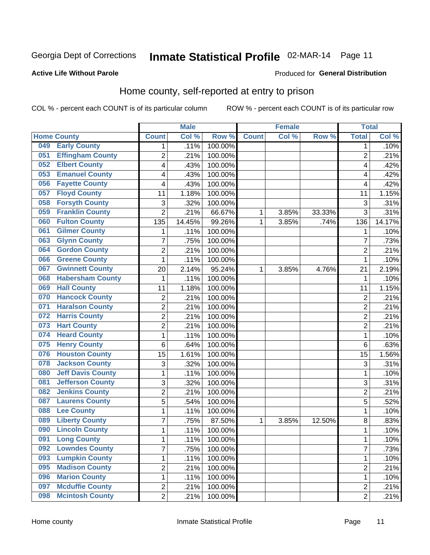# Inmate Statistical Profile 02-MAR-14 Page 11

#### **Active Life Without Parole**

### **Produced for General Distribution**

### Home county, self-reported at entry to prison

COL % - percent each COUNT is of its particular column

|     |                          |                          | <b>Male</b> |                  |              | <b>Female</b> |        | <b>Total</b>   |        |
|-----|--------------------------|--------------------------|-------------|------------------|--------------|---------------|--------|----------------|--------|
|     | <b>Home County</b>       | <b>Count</b>             | Col %       | Row <sup>%</sup> | <b>Count</b> | Col %         | Row %  | <b>Total</b>   | Col %  |
| 049 | <b>Early County</b>      | 1                        | .11%        | 100.00%          |              |               |        | 1              | .10%   |
| 051 | <b>Effingham County</b>  | $\overline{2}$           | .21%        | 100.00%          |              |               |        | $\overline{2}$ | .21%   |
| 052 | <b>Elbert County</b>     | $\overline{\mathbf{4}}$  | .43%        | 100.00%          |              |               |        | 4              | .42%   |
| 053 | <b>Emanuel County</b>    | $\overline{\mathbf{4}}$  | .43%        | 100.00%          |              |               |        | 4              | .42%   |
| 056 | <b>Fayette County</b>    | $\overline{\mathcal{A}}$ | .43%        | 100.00%          |              |               |        | 4              | .42%   |
| 057 | <b>Floyd County</b>      | 11                       | 1.18%       | 100.00%          |              |               |        | 11             | 1.15%  |
| 058 | <b>Forsyth County</b>    | 3                        | .32%        | 100.00%          |              |               |        | 3              | .31%   |
| 059 | <b>Franklin County</b>   | $\overline{2}$           | .21%        | 66.67%           | 1            | 3.85%         | 33.33% | 3              | .31%   |
| 060 | <b>Fulton County</b>     | 135                      | 14.45%      | 99.26%           | 1            | 3.85%         | .74%   | 136            | 14.17% |
| 061 | <b>Gilmer County</b>     | 1                        | .11%        | 100.00%          |              |               |        | 1              | .10%   |
| 063 | <b>Glynn County</b>      | $\overline{7}$           | .75%        | 100.00%          |              |               |        | 7              | .73%   |
| 064 | <b>Gordon County</b>     | $\overline{2}$           | .21%        | 100.00%          |              |               |        | $\overline{2}$ | .21%   |
| 066 | <b>Greene County</b>     | $\mathbf{1}$             | .11%        | 100.00%          |              |               |        | 1              | .10%   |
| 067 | <b>Gwinnett County</b>   | 20                       | 2.14%       | 95.24%           | 1            | 3.85%         | 4.76%  | 21             | 2.19%  |
| 068 | <b>Habersham County</b>  | 1                        | .11%        | 100.00%          |              |               |        | 1              | .10%   |
| 069 | <b>Hall County</b>       | 11                       | 1.18%       | 100.00%          |              |               |        | 11             | 1.15%  |
| 070 | <b>Hancock County</b>    | $\boldsymbol{2}$         | .21%        | 100.00%          |              |               |        | $\overline{2}$ | .21%   |
| 071 | <b>Haralson County</b>   | $\overline{2}$           | .21%        | 100.00%          |              |               |        | $\overline{2}$ | .21%   |
| 072 | <b>Harris County</b>     | $\overline{2}$           | .21%        | 100.00%          |              |               |        | $\overline{c}$ | .21%   |
| 073 | <b>Hart County</b>       | $\overline{2}$           | .21%        | 100.00%          |              |               |        | $\overline{2}$ | .21%   |
| 074 | <b>Heard County</b>      | 1                        | .11%        | 100.00%          |              |               |        | 1              | .10%   |
| 075 | <b>Henry County</b>      | 6                        | .64%        | 100.00%          |              |               |        | 6              | .63%   |
| 076 | <b>Houston County</b>    | 15                       | 1.61%       | 100.00%          |              |               |        | 15             | 1.56%  |
| 078 | <b>Jackson County</b>    | 3                        | .32%        | 100.00%          |              |               |        | 3              | .31%   |
| 080 | <b>Jeff Davis County</b> | 1                        | .11%        | 100.00%          |              |               |        | 1              | .10%   |
| 081 | <b>Jefferson County</b>  | 3                        | .32%        | 100.00%          |              |               |        | 3              | .31%   |
| 082 | <b>Jenkins County</b>    | $\overline{c}$           | .21%        | 100.00%          |              |               |        | $\overline{c}$ | .21%   |
| 087 | <b>Laurens County</b>    | 5                        | .54%        | 100.00%          |              |               |        | 5              | .52%   |
| 088 | <b>Lee County</b>        | 1                        | .11%        | 100.00%          |              |               |        | 1              | .10%   |
| 089 | <b>Liberty County</b>    | $\overline{7}$           | .75%        | 87.50%           | 1            | 3.85%         | 12.50% | 8              | .83%   |
| 090 | <b>Lincoln County</b>    | $\mathbf{1}$             | .11%        | 100.00%          |              |               |        | 1              | .10%   |
| 091 | <b>Long County</b>       | 1                        | .11%        | 100.00%          |              |               |        | 1              | .10%   |
| 092 | <b>Lowndes County</b>    | $\overline{7}$           | .75%        | 100.00%          |              |               |        | $\overline{7}$ | .73%   |
| 093 | <b>Lumpkin County</b>    | $\mathbf 1$              | .11%        | 100.00%          |              |               |        | 1              | .10%   |
| 095 | <b>Madison County</b>    | $\overline{2}$           | .21%        | 100.00%          |              |               |        | 2              | .21%   |
| 096 | <b>Marion County</b>     | 1                        | .11%        | 100.00%          |              |               |        | 1              | .10%   |
| 097 | <b>Mcduffie County</b>   | $\overline{2}$           | .21%        | 100.00%          |              |               |        | 2              | .21%   |
| 098 | <b>Mcintosh County</b>   | $\overline{2}$           | .21%        | 100.00%          |              |               |        | $\overline{2}$ | .21%   |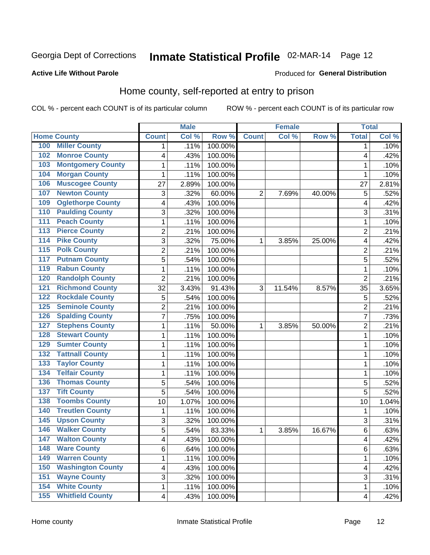# Inmate Statistical Profile 02-MAR-14 Page 12

#### **Active Life Without Parole**

#### Produced for General Distribution

### Home county, self-reported at entry to prison

COL % - percent each COUNT is of its particular column

|                  |                          |                         | <b>Male</b> |         |                | <b>Female</b> |        | <b>Total</b>   |       |
|------------------|--------------------------|-------------------------|-------------|---------|----------------|---------------|--------|----------------|-------|
|                  | <b>Home County</b>       | <b>Count</b>            | Col %       | Row %   | <b>Count</b>   | Col %         | Row %  | <b>Total</b>   | Col % |
| 100              | <b>Miller County</b>     | 1                       | .11%        | 100.00% |                |               |        | 1              | .10%  |
| 102              | <b>Monroe County</b>     | 4                       | .43%        | 100.00% |                |               |        | 4              | .42%  |
| 103              | <b>Montgomery County</b> | $\mathbf 1$             | .11%        | 100.00% |                |               |        | 1              | .10%  |
| 104              | <b>Morgan County</b>     | 1                       | .11%        | 100.00% |                |               |        | 1              | .10%  |
| 106              | <b>Muscogee County</b>   | 27                      | 2.89%       | 100.00% |                |               |        | 27             | 2.81% |
| 107              | <b>Newton County</b>     | 3                       | .32%        | 60.00%  | $\overline{2}$ | 7.69%         | 40.00% | 5              | .52%  |
| 109              | <b>Oglethorpe County</b> | 4                       | .43%        | 100.00% |                |               |        | 4              | .42%  |
| 110              | <b>Paulding County</b>   | 3                       | .32%        | 100.00% |                |               |        | 3              | .31%  |
| 111              | <b>Peach County</b>      | $\mathbf 1$             | .11%        | 100.00% |                |               |        | 1              | .10%  |
| $\overline{113}$ | <b>Pierce County</b>     | $\overline{c}$          | .21%        | 100.00% |                |               |        | $\overline{2}$ | .21%  |
| 114              | <b>Pike County</b>       | 3                       | .32%        | 75.00%  | 1              | 3.85%         | 25.00% | 4              | .42%  |
| $\overline{115}$ | <b>Polk County</b>       | $\overline{c}$          | .21%        | 100.00% |                |               |        | $\overline{2}$ | .21%  |
| 117              | <b>Putnam County</b>     | 5                       | .54%        | 100.00% |                |               |        | 5              | .52%  |
| 119              | <b>Rabun County</b>      | 1                       | .11%        | 100.00% |                |               |        | 1              | .10%  |
| 120              | <b>Randolph County</b>   | $\overline{2}$          | .21%        | 100.00% |                |               |        | $\overline{2}$ | .21%  |
| 121              | <b>Richmond County</b>   | 32                      | 3.43%       | 91.43%  | 3              | 11.54%        | 8.57%  | 35             | 3.65% |
| 122              | <b>Rockdale County</b>   | 5                       | .54%        | 100.00% |                |               |        | 5              | .52%  |
| 125              | <b>Seminole County</b>   | $\overline{c}$          | .21%        | 100.00% |                |               |        | $\overline{2}$ | .21%  |
| 126              | <b>Spalding County</b>   | $\overline{7}$          | .75%        | 100.00% |                |               |        | 7              | .73%  |
| 127              | <b>Stephens County</b>   | $\mathbf 1$             | $.11\%$     | 50.00%  | 1              | 3.85%         | 50.00% | $\overline{2}$ | .21%  |
| 128              | <b>Stewart County</b>    | $\mathbf 1$             | .11%        | 100.00% |                |               |        | 1              | .10%  |
| 129              | <b>Sumter County</b>     | $\mathbf 1$             | .11%        | 100.00% |                |               |        | 1              | .10%  |
| 132              | <b>Tattnall County</b>   | $\mathbf 1$             | .11%        | 100.00% |                |               |        | 1              | .10%  |
| 133              | <b>Taylor County</b>     | $\mathbf 1$             | .11%        | 100.00% |                |               |        | 1              | .10%  |
| 134              | <b>Telfair County</b>    | $\mathbf 1$             | .11%        | 100.00% |                |               |        | 1              | .10%  |
| 136              | <b>Thomas County</b>     | 5                       | .54%        | 100.00% |                |               |        | 5              | .52%  |
| 137              | <b>Tift County</b>       | 5                       | .54%        | 100.00% |                |               |        | 5              | .52%  |
| 138              | <b>Toombs County</b>     | 10                      | 1.07%       | 100.00% |                |               |        | 10             | 1.04% |
| 140              | <b>Treutlen County</b>   | $\mathbf 1$             | .11%        | 100.00% |                |               |        | 1              | .10%  |
| 145              | <b>Upson County</b>      | 3                       | .32%        | 100.00% |                |               |        | 3              | .31%  |
| 146              | <b>Walker County</b>     | 5                       | .54%        | 83.33%  | 1              | 3.85%         | 16.67% | 6              | .63%  |
| 147              | <b>Walton County</b>     | 4                       | .43%        | 100.00% |                |               |        | 4              | .42%  |
| 148              | <b>Ware County</b>       | 6                       | .64%        | 100.00% |                |               |        | 6              | .63%  |
| 149              | <b>Warren County</b>     | 1                       | .11%        | 100.00% |                |               |        | 1              | .10%  |
| 150              | <b>Washington County</b> | $\overline{\mathbf{4}}$ | .43%        | 100.00% |                |               |        | 4              | .42%  |
| 151              | <b>Wayne County</b>      | 3                       | .32%        | 100.00% |                |               |        | 3              | .31%  |
| 154              | <b>White County</b>      | $\mathbf{1}$            | .11%        | 100.00% |                |               |        | 1              | .10%  |
| 155              | <b>Whitfield County</b>  | $\overline{\mathbf{4}}$ | .43%        | 100.00% |                |               |        | 4              | .42%  |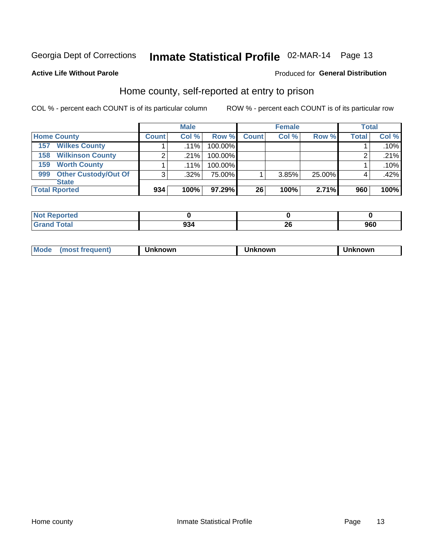# Inmate Statistical Profile 02-MAR-14 Page 13

#### **Active Life Without Parole**

#### Produced for General Distribution

### Home county, self-reported at entry to prison

COL % - percent each COUNT is of its particular column

|                                    |              | <b>Male</b> |         |              | <b>Female</b> |        | <b>Total</b> |       |
|------------------------------------|--------------|-------------|---------|--------------|---------------|--------|--------------|-------|
| <b>Home County</b>                 | <b>Count</b> | Col %       | Row %   | <b>Count</b> | Col %         | Row %  | <b>Total</b> | Col % |
| <b>Wilkes County</b><br>157        |              | $.11\%$     | 100.00% |              |               |        |              | .10%  |
| <b>Wilkinson County</b><br>158     | 2            | .21%        | 100.00% |              |               |        |              | .21%  |
| <b>Worth County</b><br>159         |              | $.11\%$     | 100.00% |              |               |        |              | .10%  |
| <b>Other Custody/Out Of</b><br>999 | 3            | .32%        | 75.00%  |              | 3.85%         | 25.00% |              | .42%  |
| <b>State</b>                       |              |             |         |              |               |        |              |       |
| <b>Total Rported</b>               | 934          | 100%        | 97.29%  | 26           | 100%          | 2.71%  | 960          | 100%  |

| N<br>וני <sup>.</sup><br>$\sim$ . The set of $\sim$ |     |          |     |
|-----------------------------------------------------|-----|----------|-----|
| _____                                               | 934 | ^^<br>ΔV | 960 |

|  | Mode | owr | owr | nowr |
|--|------|-----|-----|------|
|--|------|-----|-----|------|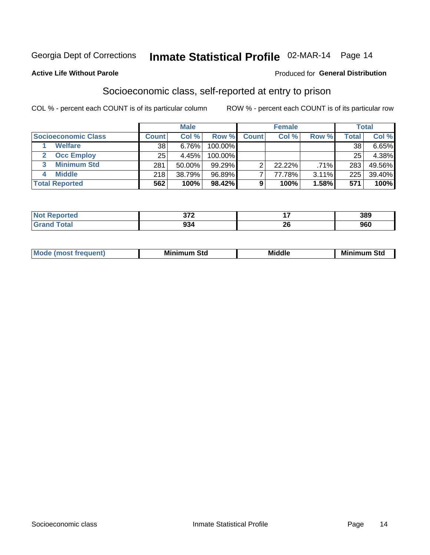# Inmate Statistical Profile 02-MAR-14 Page 14

#### **Active Life Without Parole**

#### Produced for General Distribution

### Socioeconomic class, self-reported at entry to prison

COL % - percent each COUNT is of its particular column

|                       |              | <b>Male</b> |            |              | <b>Female</b> |       |       | <b>Total</b> |
|-----------------------|--------------|-------------|------------|--------------|---------------|-------|-------|--------------|
| Socioeconomic Class   | <b>Count</b> | Col %       | Row %      | <b>Count</b> | Col %         | Row % | Total | Col %        |
| <b>Welfare</b>        | 38           | 6.76%       | 100.00%    |              |               |       | 38    | 6.65%        |
| <b>Occ Employ</b>     | 25           | 4.45%       | $100.00\%$ |              |               |       | 25    | 4.38%        |
| <b>Minimum Std</b>    | 281          | 50.00%      | $99.29\%$  |              | $22.22\%$     | .71%  | 283   | 49.56%       |
| <b>Middle</b>         | 218          | 38.79%      | 96.89%     |              | 77.78%        | 3.11% | 225   | 39.40%       |
| <b>Total Reported</b> | 562          | 100%        | 98.42%     |              | 100%          | 1.58% | 571   | 100%         |

|       | $- - -$                                   | --            | 200 |
|-------|-------------------------------------------|---------------|-----|
|       | $\sim$ $\sim$ $\sim$ $\sim$ $\sim$ $\sim$ | $\sim$ $\sim$ | JUJ |
| _____ | $\sim$                                    | n,            | nen |
|       | 934                                       | Δv            | JUU |

|  | <b>Mode</b><br>œ | <b>Minimum</b><br>Std | <b>Middle</b> | Mir<br>ا Std<br>. <b>.</b> .<br>шш |
|--|------------------|-----------------------|---------------|------------------------------------|
|--|------------------|-----------------------|---------------|------------------------------------|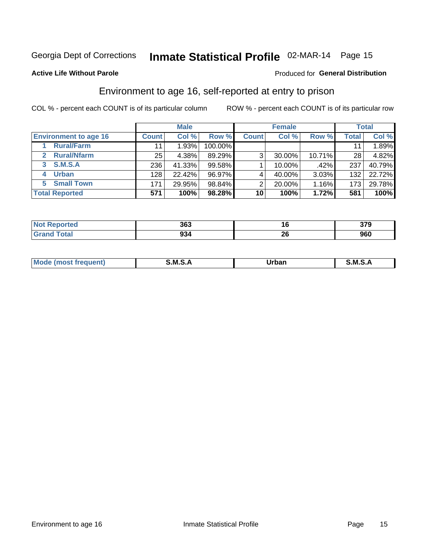# Inmate Statistical Profile 02-MAR-14 Page 15

#### **Active Life Without Parole**

#### Produced for General Distribution

### Environment to age 16, self-reported at entry to prison

COL % - percent each COUNT is of its particular column

|                                      |              | <b>Male</b> |         |                | <b>Female</b> |        |              | <b>Total</b> |
|--------------------------------------|--------------|-------------|---------|----------------|---------------|--------|--------------|--------------|
| <b>Environment to age 16</b>         | <b>Count</b> | Col %       | Row %   | <b>Count</b>   | Col %         | Row %  | <b>Total</b> | Col %        |
| <b>Rural/Farm</b>                    | 11           | 1.93%       | 100.00% |                |               |        |              | 1.89%        |
| <b>Rural/Nfarm</b><br>$\overline{2}$ | 25           | 4.38%       | 89.29%  | 3 <sub>1</sub> | 30.00%        | 10.71% | 28           | 4.82%        |
| 3 S.M.S.A                            | 236          | 41.33%      | 99.58%  |                | 10.00%        | .42%   | 237          | 40.79%       |
| <b>Urban</b><br>4                    | 128          | 22.42%      | 96.97%  |                | 40.00%        | 3.03%  | 132          | 22.72%       |
| <b>Small Town</b><br>5               | 171          | 29.95%      | 98.84%  | 2              | 20.00%        | 1.16%  | 173          | 29.78%       |
| <b>Total Reported</b>                | 571          | 100%        | 98.28%  | 10             | 100%          | 1.72%  | 581          | 100%         |

| <b>orted</b><br><b>NOT</b><br>neuu | 363     | 16       | $\sim$<br>ט וע |
|------------------------------------|---------|----------|----------------|
|                                    | <br>934 | 01<br>ZU | 960            |

| Mo | M | lulaam<br>Ua.<br>_____ | M |
|----|---|------------------------|---|
|    |   |                        |   |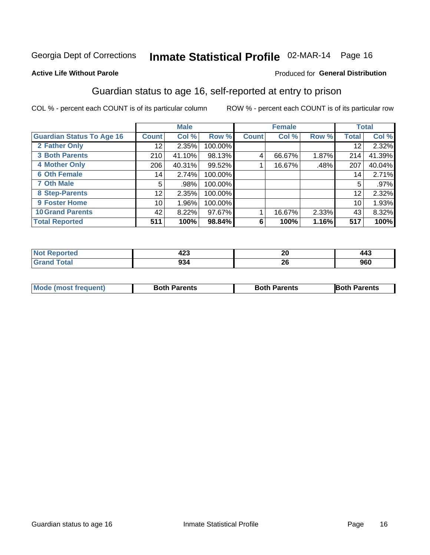# Inmate Statistical Profile 02-MAR-14 Page 16

#### **Active Life Without Parole**

#### Produced for General Distribution

### Guardian status to age 16, self-reported at entry to prison

COL % - percent each COUNT is of its particular column

|                                  |                 | <b>Male</b> |           |              | <b>Female</b> |       |              | <b>Total</b> |
|----------------------------------|-----------------|-------------|-----------|--------------|---------------|-------|--------------|--------------|
| <b>Guardian Status To Age 16</b> | <b>Count</b>    | Col %       | Row %     | <b>Count</b> | Col %         | Row % | <b>Total</b> | Col %        |
| 2 Father Only                    | 12 <sub>1</sub> | 2.35%       | 100.00%   |              |               |       | 12           | 2.32%        |
| <b>3 Both Parents</b>            | 210             | 41.10%      | 98.13%    | 4            | 66.67%        | 1.87% | 214          | 41.39%       |
| <b>4 Mother Only</b>             | 206             | 40.31%      | $99.52\%$ |              | 16.67%        | .48%  | 207          | 40.04%       |
| <b>6 Oth Female</b>              | 14 <sub>1</sub> | 2.74%       | 100.00%   |              |               |       | 14           | 2.71%        |
| <b>7 Oth Male</b>                | 5               | .98%        | 100.00%   |              |               |       | 5            | .97%         |
| 8 Step-Parents                   | 12              | 2.35%       | 100.00%   |              |               |       | 12           | 2.32%        |
| 9 Foster Home                    | 10              | 1.96%       | 100.00%   |              |               |       | 10           | 1.93%        |
| <b>10 Grand Parents</b>          | 42              | 8.22%       | 97.67%    |              | 16.67%        | 2.33% | 43           | 8.32%        |
| <b>Total Reported</b>            | 511             | 100%        | 98.84%    | 6            | 100%          | 1.16% | 517          | 100%         |

| rted        | $\ddot{\bullet}$ | ົາດ | .   |
|-------------|------------------|-----|-----|
|             | 440              | ZV  | 443 |
| <b>otal</b> | $\sim$<br>934    | ZV  | 960 |

| <b>Mode (most frequent)</b> | <b>Both Parents</b> | <b>Both Parents</b> | <b>Both Parents</b> |
|-----------------------------|---------------------|---------------------|---------------------|
|                             |                     |                     |                     |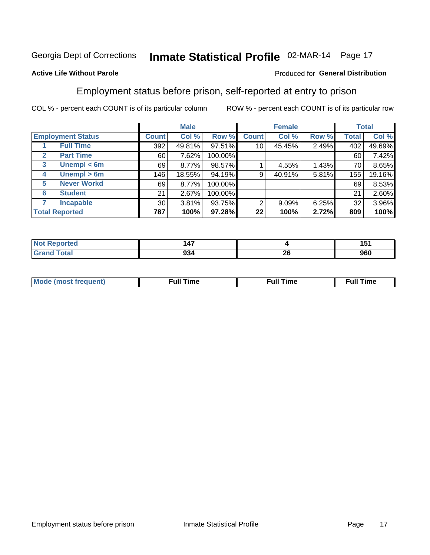# Inmate Statistical Profile 02-MAR-14 Page 17

### **Active Life Without Parole**

### Produced for General Distribution

### Employment status before prison, self-reported at entry to prison

COL % - percent each COUNT is of its particular column

|                                  |              | <b>Male</b> |         |              | <b>Female</b> |       |              | <b>Total</b> |
|----------------------------------|--------------|-------------|---------|--------------|---------------|-------|--------------|--------------|
| <b>Employment Status</b>         | <b>Count</b> | Col %       | Row %   | <b>Count</b> | Col %         | Row % | <b>Total</b> | Col %        |
| <b>Full Time</b>                 | 392          | 49.81%      | 97.51%  | 10           | 45.45%        | 2.49% | 402          | 49.69%       |
| <b>Part Time</b><br>$\mathbf{2}$ | 60           | 7.62%       | 100.00% |              |               |       | 60           | 7.42%        |
| Unempl $<$ 6m<br>3               | 69           | 8.77%       | 98.57%  |              | 4.55%         | 1.43% | 70           | 8.65%        |
| $U$ nempl > 6m<br>4              | 146          | 18.55%      | 94.19%  | 9            | 40.91%        | 5.81% | 155          | 19.16%       |
| <b>Never Workd</b><br>5          | 69           | 8.77%       | 100.00% |              |               |       | 69           | 8.53%        |
| <b>Student</b><br>6              | 21           | 2.67%       | 100.00% |              |               |       | 21           | 2.60%        |
| <b>Incapable</b><br>7            | 30           | 3.81%       | 93.75%  | 2            | $9.09\%$      | 6.25% | 32           | 3.96%        |
| <b>Total Reported</b>            | 787          | 100%        | 97.28%  | 22           | 100%          | 2.72% | 809          | 100%         |

| ш | $\overline{\phantom{a}}$<br>. /<br><u>т,</u> |         | 4 E .<br>1 J I |
|---|----------------------------------------------|---------|----------------|
|   | ົດ <sub>ລ</sub><br>934                       | ີ<br>49 | 960            |

| Mc | ∴ull | ----<br>ıme<br>w |
|----|------|------------------|
|    |      |                  |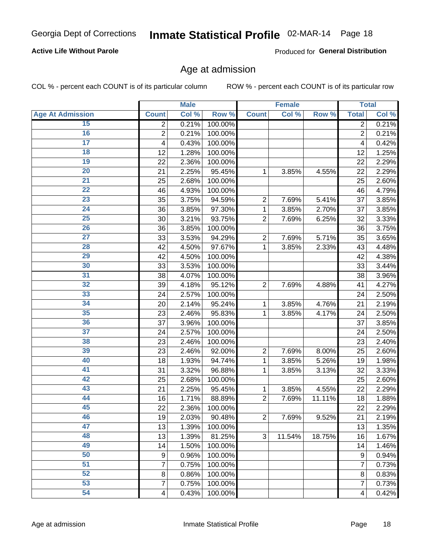# Inmate Statistical Profile 02-MAR-14 Page 18

### **Active Life Without Parole**

Produced for General Distribution

### Age at admission

COL % - percent each COUNT is of its particular column

|                         |                          | <b>Male</b> |         |                | <b>Female</b> |        |                         | <b>Total</b>        |
|-------------------------|--------------------------|-------------|---------|----------------|---------------|--------|-------------------------|---------------------|
| <b>Age At Admission</b> | <b>Count</b>             | Col %       | Row %   | <b>Count</b>   | Col %         | Row %  | <b>Total</b>            | Col %               |
| 15                      | 2                        | 0.21%       | 100.00% |                |               |        | 2                       | 0.21%               |
| 16                      | $\overline{c}$           | 0.21%       | 100.00% |                |               |        | $\overline{2}$          | 0.21%               |
| $\overline{17}$         | 4                        | 0.43%       | 100.00% |                |               |        | 4                       | 0.42%               |
| 18                      | 12                       | 1.28%       | 100.00% |                |               |        | 12                      | 1.25%               |
| $\overline{19}$         | 22                       | 2.36%       | 100.00% |                |               |        | 22                      | 2.29%               |
| $\overline{20}$         | 21                       | 2.25%       | 95.45%  | 1              | 3.85%         | 4.55%  | 22                      | 2.29%               |
| $\overline{21}$         | 25                       | 2.68%       | 100.00% |                |               |        | 25                      | 2.60%               |
| $\overline{22}$         | 46                       | 4.93%       | 100.00% |                |               |        | 46                      | 4.79%               |
| 23                      | 35                       | 3.75%       | 94.59%  | $\overline{2}$ | 7.69%         | 5.41%  | 37                      | 3.85%               |
| $\overline{24}$         | 36                       | 3.85%       | 97.30%  | 1              | 3.85%         | 2.70%  | 37                      | 3.85%               |
| $\overline{25}$         | 30                       | 3.21%       | 93.75%  | $\overline{2}$ | 7.69%         | 6.25%  | 32                      | 3.33%               |
| 26                      | 36                       | 3.85%       | 100.00% |                |               |        | 36                      | 3.75%               |
| $\overline{27}$         | 33                       | 3.53%       | 94.29%  | $\overline{2}$ | 7.69%         | 5.71%  | 35                      | 3.65%               |
| 28                      | 42                       | 4.50%       | 97.67%  | 1              | 3.85%         | 2.33%  | 43                      | 4.48%               |
| 29                      | 42                       | 4.50%       | 100.00% |                |               |        | 42                      | 4.38%               |
| 30                      | 33                       | 3.53%       | 100.00% |                |               |        | 33                      | 3.44%               |
| 31                      | 38                       | 4.07%       | 100.00% |                |               |        | 38                      | 3.96%               |
| 32                      | 39                       | 4.18%       | 95.12%  | $\overline{2}$ | 7.69%         | 4.88%  | 41                      | 4.27%               |
| 33                      | 24                       | 2.57%       | 100.00% |                |               |        | 24                      | 2.50%               |
| 34                      | 20                       | 2.14%       | 95.24%  | 1              | 3.85%         | 4.76%  | 21                      | 2.19%               |
| 35                      | 23                       | 2.46%       | 95.83%  | 1              | 3.85%         | 4.17%  | 24                      | 2.50%               |
| 36                      | 37                       | 3.96%       | 100.00% |                |               |        | 37                      | 3.85%               |
| $\overline{37}$         | 24                       | 2.57%       | 100.00% |                |               |        | 24                      | 2.50%               |
| 38                      | 23                       | 2.46%       | 100.00% |                |               |        | 23                      | 2.40%               |
| 39                      | 23                       | 2.46%       | 92.00%  | $\overline{2}$ | 7.69%         | 8.00%  | 25                      | 2.60%               |
| 40                      | 18                       | 1.93%       | 94.74%  | 1              | 3.85%         | 5.26%  | 19                      | 1.98%               |
| 41                      | 31                       | 3.32%       | 96.88%  | 1              | 3.85%         | 3.13%  | 32                      | 3.33%               |
| 42                      | 25                       | 2.68%       | 100.00% |                |               |        | 25                      | 2.60%               |
| 43                      | 21                       | 2.25%       | 95.45%  | 1              | 3.85%         | 4.55%  | 22                      | 2.29%               |
| 44                      | 16                       | 1.71%       | 88.89%  | $\overline{2}$ | 7.69%         | 11.11% | 18                      | 1.88%               |
| 45                      | 22                       | 2.36%       | 100.00% |                |               |        | 22                      | 2.29%               |
| 46                      | 19                       | 2.03%       | 90.48%  | $\overline{c}$ | 7.69%         | 9.52%  | 21                      | 2.19%               |
| 47                      | 13                       | 1.39%       | 100.00% |                |               |        | 13                      | $\overline{1.35\%}$ |
| 48                      | 13                       | 1.39%       | 81.25%  | 3              | 11.54%        | 18.75% | 16                      | 1.67%               |
| 49                      | 14                       | 1.50%       | 100.00% |                |               |        | 14                      | 1.46%               |
| 50                      | 9                        | 0.96%       | 100.00% |                |               |        | $\boldsymbol{9}$        | $\overline{0.94\%}$ |
| $\overline{51}$         | 7                        | 0.75%       | 100.00% |                |               |        | 7                       | $\overline{0.73\%}$ |
| 52                      | 8                        | 0.86%       | 100.00% |                |               |        | 8                       | 0.83%               |
| 53                      | $\overline{7}$           | 0.75%       | 100.00% |                |               |        | $\overline{7}$          | 0.73%               |
| 54                      | $\overline{\mathcal{A}}$ | 0.43%       | 100.00% |                |               |        | $\overline{\mathbf{4}}$ | 0.42%               |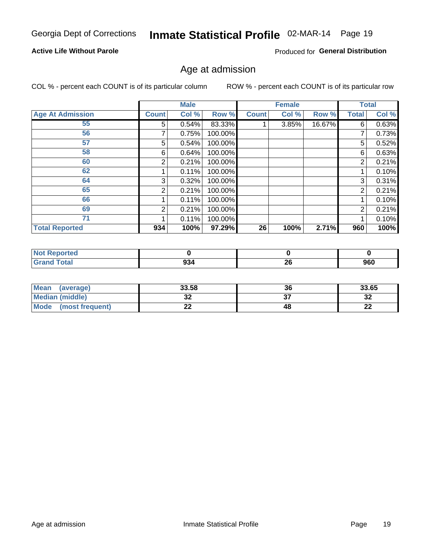# Inmate Statistical Profile 02-MAR-14 Page 19

### **Active Life Without Parole**

Produced for General Distribution

### Age at admission

COL % - percent each COUNT is of its particular column

|                         |              | <b>Male</b> |         |              | <b>Female</b> |        |                | <b>Total</b> |
|-------------------------|--------------|-------------|---------|--------------|---------------|--------|----------------|--------------|
| <b>Age At Admission</b> | <b>Count</b> | Col %       | Row %   | <b>Count</b> | Col %         | Row %  | <b>Total</b>   | Col %        |
| 55                      | 5            | 0.54%       | 83.33%  |              | 3.85%         | 16.67% | 6              | 0.63%        |
| 56                      | 7            | 0.75%       | 100.00% |              |               |        | 7              | 0.73%        |
| 57                      | 5.           | 0.54%       | 100.00% |              |               |        | 5              | 0.52%        |
| 58                      | 6            | 0.64%       | 100.00% |              |               |        | 6              | 0.63%        |
| 60                      | 2            | 0.21%       | 100.00% |              |               |        | $\overline{2}$ | 0.21%        |
| 62                      |              | 0.11%       | 100.00% |              |               |        |                | 0.10%        |
| 64                      | 3            | 0.32%       | 100.00% |              |               |        | 3              | 0.31%        |
| 65                      | 2            | 0.21%       | 100.00% |              |               |        | 2              | 0.21%        |
| 66                      |              | 0.11%       | 100.00% |              |               |        |                | 0.10%        |
| 69                      | 2            | 0.21%       | 100.00% |              |               |        | 2              | 0.21%        |
| 71                      |              | 0.11%       | 100.00% |              |               |        |                | 0.10%        |
| <b>Total Reported</b>   | 934          | 100%        | 97.29%  | 26           | 100%          | 2.71%  | 960            | 100%         |

| eported |               |          |     |
|---------|---------------|----------|-----|
|         | $\sim$<br>994 | ^^<br>Zu | 960 |

| <b>Mean</b><br>(average)       | 33.58   | 36 | 33.65    |
|--------------------------------|---------|----|----------|
| <b>Median (middle)</b>         | ົ<br>◡▵ |    | ົາ<br>⊾ت |
| <b>Mode</b><br>(most frequent) | --      | 48 | n.<br>44 |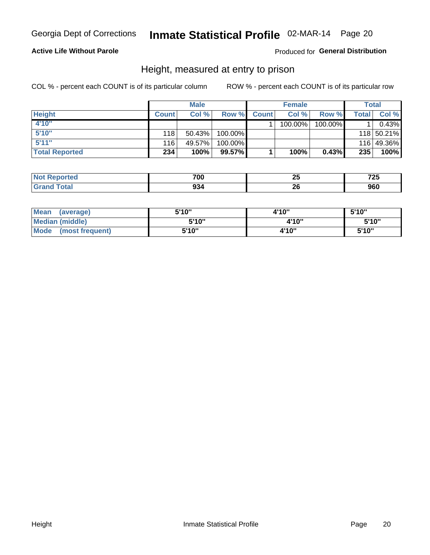# Inmate Statistical Profile 02-MAR-14 Page 20

### **Active Life Without Parole**

Produced for General Distribution

### Height, measured at entry to prison

COL % - percent each COUNT is of its particular column

|                       |              | <b>Male</b> |         |              | <b>Female</b> |         |       | Total      |
|-----------------------|--------------|-------------|---------|--------------|---------------|---------|-------|------------|
| <b>Height</b>         | <b>Count</b> | Col %       | Row %   | <b>Count</b> | Col %         | Row %   | Total | Col %      |
| 4'10"                 |              |             |         |              | 100.00%       | 100.00% |       | 0.43%      |
| 5'10''                | 118          | 50.43%      | 100.00% |              |               |         |       | 118 50.21% |
| 5'11''                | 116          | 49.57%      | 100.00% |              |               |         |       | 116 49.36% |
| <b>Total Reported</b> | 234          | 100%        | 99.57%  |              | 100%          | 0.43%   | 235   | 100%       |

| <b>Not</b>   | 700 | . .    | フヘビ    |
|--------------|-----|--------|--------|
| orted        |     | ~      | ∼      |
| ем           |     | $\sim$ | $\sim$ |
| <b>Total</b> | 934 | oc     | nen    |
| ' Grano      |     | 44     | JOU    |

| <b>Mean</b><br>(average)       | 5'10" | 4'10" | 5'10"  |
|--------------------------------|-------|-------|--------|
| <b>Median (middle)</b>         | 5'10" | 4'10" | 5'10"  |
| <b>Mode</b><br>(most frequent) | 5'10" | 4'10" | 5'10'' |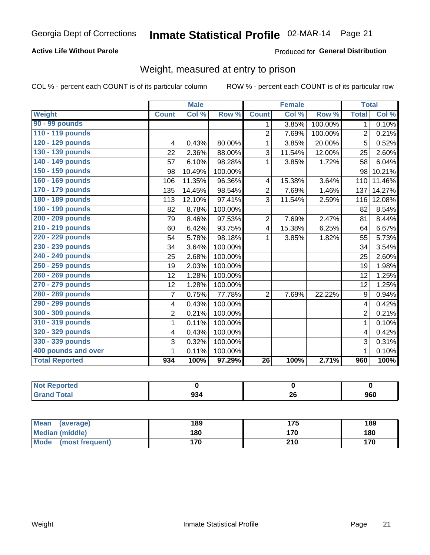# Inmate Statistical Profile 02-MAR-14 Page 21

### **Active Life Without Parole**

Produced for General Distribution

# Weight, measured at entry to prison

COL % - percent each COUNT is of its particular column

|                       |                | <b>Male</b> |         |                         | <b>Female</b> |         |                | <b>Total</b> |
|-----------------------|----------------|-------------|---------|-------------------------|---------------|---------|----------------|--------------|
| <b>Weight</b>         | <b>Count</b>   | Col %       | Row %   | <b>Count</b>            | Col %         | Row %   | <b>Total</b>   | Col %        |
| 90 - 99 pounds        |                |             |         | 1                       | 3.85%         | 100.00% | 1 <sup>1</sup> | 0.10%        |
| 110 - 119 pounds      |                |             |         | $\overline{2}$          | 7.69%         | 100.00% | $\overline{2}$ | 0.21%        |
| 120 - 129 pounds      | 4              | 0.43%       | 80.00%  | 1                       | 3.85%         | 20.00%  | 5              | 0.52%        |
| 130 - 139 pounds      | 22             | 2.36%       | 88.00%  | 3                       | 11.54%        | 12.00%  | 25             | 2.60%        |
| 140 - 149 pounds      | 57             | 6.10%       | 98.28%  | 1                       | 3.85%         | 1.72%   | 58             | 6.04%        |
| 150 - 159 pounds      | 98             | 10.49%      | 100.00% |                         |               |         | 98             | 10.21%       |
| 160 - 169 pounds      | 106            | 11.35%      | 96.36%  | 4                       | 15.38%        | 3.64%   | 110            | 11.46%       |
| 170 - 179 pounds      | 135            | 14.45%      | 98.54%  | $\overline{2}$          | 7.69%         | 1.46%   | 137            | 14.27%       |
| 180 - 189 pounds      | 113            | 12.10%      | 97.41%  | 3                       | 11.54%        | 2.59%   | 116            | 12.08%       |
| 190 - 199 pounds      | 82             | 8.78%       | 100.00% |                         |               |         | 82             | 8.54%        |
| 200 - 209 pounds      | 79             | 8.46%       | 97.53%  | 2                       | 7.69%         | 2.47%   | 81             | 8.44%        |
| 210 - 219 pounds      | 60             | 6.42%       | 93.75%  | $\overline{\mathbf{4}}$ | 15.38%        | 6.25%   | 64             | 6.67%        |
| 220 - 229 pounds      | 54             | 5.78%       | 98.18%  | 1                       | 3.85%         | 1.82%   | 55             | 5.73%        |
| 230 - 239 pounds      | 34             | 3.64%       | 100.00% |                         |               |         | 34             | 3.54%        |
| 240 - 249 pounds      | 25             | 2.68%       | 100.00% |                         |               |         | 25             | 2.60%        |
| 250 - 259 pounds      | 19             | 2.03%       | 100.00% |                         |               |         | 19             | 1.98%        |
| 260 - 269 pounds      | 12             | 1.28%       | 100.00% |                         |               |         | 12             | 1.25%        |
| 270 - 279 pounds      | 12             | 1.28%       | 100.00% |                         |               |         | 12             | 1.25%        |
| 280 - 289 pounds      | $\overline{7}$ | 0.75%       | 77.78%  | $\overline{2}$          | 7.69%         | 22.22%  | 9              | 0.94%        |
| 290 - 299 pounds      | 4              | 0.43%       | 100.00% |                         |               |         | 4              | 0.42%        |
| 300 - 309 pounds      | $\overline{2}$ | 0.21%       | 100.00% |                         |               |         | $\overline{2}$ | 0.21%        |
| 310 - 319 pounds      | 1              | 0.11%       | 100.00% |                         |               |         | $\mathbf 1$    | 0.10%        |
| 320 - 329 pounds      | 4              | 0.43%       | 100.00% |                         |               |         | $\overline{4}$ | 0.42%        |
| 330 - 339 pounds      | 3              | 0.32%       | 100.00% |                         |               |         | 3              | 0.31%        |
| 400 pounds and over   | 1              | 0.11%       | 100.00% |                         |               |         | $\mathbf{1}$   | 0.10%        |
| <b>Total Reported</b> | 934            | 100%        | 97.29%  | $\overline{26}$         | 100%          | 2.71%   | 960            | 100%         |

| ported<br><b>NO</b> |     |          |     |
|---------------------|-----|----------|-----|
| <b>otal</b>         | 934 | ኅረ<br>ΔU | 960 |

| Mean (average)                 | 189 | 175 | 189 |
|--------------------------------|-----|-----|-----|
| <b>Median (middle)</b>         | 180 | 170 | 180 |
| <b>Mode</b><br>(most frequent) | 170 | 210 | 170 |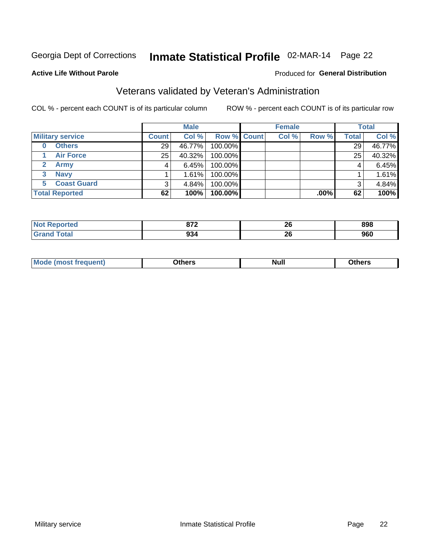# Inmate Statistical Profile 02-MAR-14 Page 22

#### **Active Life Without Parole**

#### Produced for General Distribution

# Veterans validated by Veteran's Administration

COL % - percent each COUNT is of its particular column

|                         |                 | <b>Male</b> |             | <b>Female</b> |         |              | <b>Total</b> |
|-------------------------|-----------------|-------------|-------------|---------------|---------|--------------|--------------|
| <b>Military service</b> | <b>Count</b>    | Col %       | Row % Count | Col %         | Row %   | <b>Total</b> | Col %        |
| <b>Others</b><br>0      | 29 <sup>1</sup> | 46.77%      | 100.00%     |               |         | 29           | 46.77%       |
| <b>Air Force</b>        | 25              | 40.32%      | 100.00%     |               |         | 25           | 40.32%       |
| Army                    | 4               | 6.45%       | 100.00%     |               |         | 4            | 6.45%        |
| <b>Navy</b><br>3        |                 | 1.61%       | 100.00%     |               |         |              | 1.61%        |
| <b>Coast Guard</b><br>5 |                 | $4.84\%$    | 100.00%     |               |         | 3            | 4.84%        |
| <b>Total Reported</b>   | 62              | 100%        | $100.00\%$  |               | $.00\%$ | 62           | 100%         |

| A CO    | 070<br><u>.</u> | ኅር<br>ZU | 898 |
|---------|-----------------|----------|-----|
| المقماد | 934             | ኅር<br>ZU | 960 |

| <b>Mo</b><br><u> treauent)</u><br>. | <b>\thers</b> | <b>Null</b> | <b>Dthers</b> |
|-------------------------------------|---------------|-------------|---------------|
|                                     |               |             |               |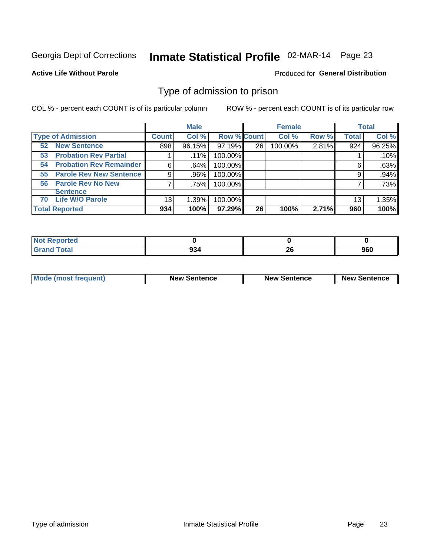# Inmate Statistical Profile 02-MAR-14 Page 23

**Active Life Without Parole** 

Produced for General Distribution

### Type of admission to prison

COL % - percent each COUNT is of its particular column

|                                      |              | <b>Male</b> |                    |    | <b>Female</b> |       |              | <b>Total</b> |
|--------------------------------------|--------------|-------------|--------------------|----|---------------|-------|--------------|--------------|
| <b>Type of Admission</b>             | <b>Count</b> | Col %       | <b>Row % Count</b> |    | Col %         | Row % | <b>Total</b> | Col %        |
| <b>New Sentence</b><br>52            | 898          | 96.15%      | 97.19%             | 26 | 100.00%       | 2.81% | 924          | 96.25%       |
| <b>Probation Rev Partial</b><br>53   |              | $.11\%$     | 100.00%            |    |               |       |              | .10%         |
| <b>Probation Rev Remainder</b><br>54 | 6            | .64%        | 100.00%            |    |               |       | 6            | .63%         |
| <b>Parole Rev New Sentence</b><br>55 | 9            | .96%        | 100.00%            |    |               |       | 9            | .94%         |
| 56 Parole Rev No New                 |              | .75%        | 100.00%            |    |               |       |              | .73%         |
| <b>Sentence</b>                      |              |             |                    |    |               |       |              |              |
| <b>Life W/O Parole</b><br>70         | 13           | 1.39%       | 100.00%            |    |               |       | 13           | 1.35%        |
| <b>Total Reported</b>                | 934          | 100%        | $97.29\%$          | 26 | 100%          | 2.71% | 960          | 100%         |

| Reported<br>Nt |            |    |     |
|----------------|------------|----|-----|
| <b>Total</b>   | nn.<br>YJ4 | 26 | 960 |

| <b>Mode (most frequent)</b> | <b>New Sentence</b> | <b>New Sentence</b> | <b>New Sentence</b> |  |
|-----------------------------|---------------------|---------------------|---------------------|--|
|                             |                     |                     |                     |  |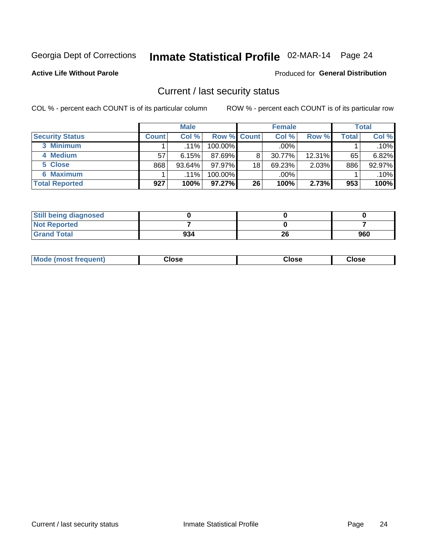# Inmate Statistical Profile 02-MAR-14 Page 24

**Active Life Without Parole** 

#### Produced for General Distribution

### Current / last security status

COL % - percent each COUNT is of its particular column

|                        |              | <b>Male</b> |                    |                 | <b>Female</b> |           |       | <b>Total</b> |
|------------------------|--------------|-------------|--------------------|-----------------|---------------|-----------|-------|--------------|
| <b>Security Status</b> | <b>Count</b> | Col%        | <b>Row % Count</b> |                 | Col %         | Row %     | Total | Col %        |
| 3 Minimum              |              | $.11\%$     | 100.00%            |                 | $.00\%$       |           |       | $.10\%$      |
| 4 Medium               | 57           | 6.15%       | $87.69\%$          | 8               | 30.77%        | $12.31\%$ | 65    | 6.82%        |
| 5 Close                | 868          | 93.64%      | 97.97%             | 18 <sub>1</sub> | 69.23%        | 2.03%     | 886   | 92.97%       |
| 6 Maximum              |              | .11%        | 100.00%            |                 | .00%          |           |       | .10%         |
| <b>Total Reported</b>  | 927          | 100%        | 97.27%             | 26              | 100%          | 2.73%     | 953   | 100%         |

| <b>Still being diagnosed</b> |     |    |     |
|------------------------------|-----|----|-----|
| <b>Not Reported</b>          |     |    |     |
| <b>Grand Total</b>           | 934 | 26 | 960 |

| <b>Mode</b><br>'requent)<br>۔lose<br>Close<br>Close<br>n iması .<br>- - - -<br>- - - -<br>- - - - |  |
|---------------------------------------------------------------------------------------------------|--|
|---------------------------------------------------------------------------------------------------|--|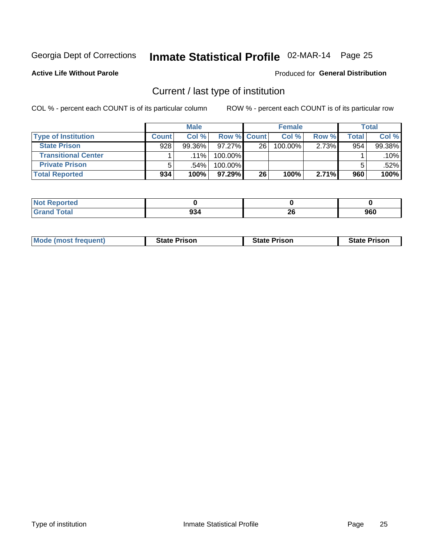# Inmate Statistical Profile 02-MAR-14 Page 25

**Active Life Without Parole** 

#### Produced for General Distribution

# Current / last type of institution

COL % - percent each COUNT is of its particular column

|                            |              | <b>Male</b> |                    |    | <b>Female</b> |       |       | <b>Total</b> |
|----------------------------|--------------|-------------|--------------------|----|---------------|-------|-------|--------------|
| <b>Type of Institution</b> | <b>Count</b> | Col %       | <b>Row % Count</b> |    | Col %         | Row % | Total | Col %        |
| <b>State Prison</b>        | 928          | $99.36\%$   | $97.27\%$          | 26 | 100.00%       | 2.73% | 954   | 99.38%       |
| <b>Transitional Center</b> |              | $.11\%$     | 100.00%            |    |               |       |       | $.10\%$      |
| <b>Private Prison</b>      | 5            | .54%        | 100.00%            |    |               |       |       | .52%         |
| <b>Total Reported</b>      | 934          | 100%        | $97.29\%$          | 26 | 100%          | 2.71% | 960   | 100%         |

| າorted<br><b>NI</b>    |     |          |     |
|------------------------|-----|----------|-----|
| $\sim$ $\sim$<br>_____ | 934 | ጎር<br>ZU | 960 |

| <b>Mode (most frequent)</b> | <b>State Prison</b> | <b>State Prison</b> | <b>State Prison</b> |
|-----------------------------|---------------------|---------------------|---------------------|
|                             |                     |                     |                     |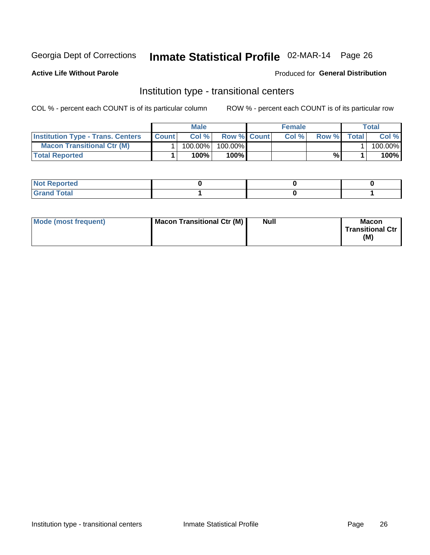# Inmate Statistical Profile 02-MAR-14 Page 26

**Active Life Without Parole** 

### **Produced for General Distribution**

### Institution type - transitional centers

COL % - percent each COUNT is of its particular column

|                                          |              | Male       |                    | <b>Female</b> |       |              | Total   |
|------------------------------------------|--------------|------------|--------------------|---------------|-------|--------------|---------|
| <b>Institution Type - Trans. Centers</b> | <b>Count</b> | Col%       | <b>Row % Count</b> | Col%          | Row % | <b>Total</b> | Col %   |
| <b>Macon Transitional Ctr (M)</b>        |              | $100.00\%$ | 100.00%            |               |       |              | 100.00% |
| <b>Total Reported</b>                    |              | $100\%$ .  | 100%               |               | %     |              | 100%    |

| <b>Not Reported</b>  |  |  |
|----------------------|--|--|
| <b>Total</b><br>r va |  |  |

| Mode (most frequent) | Macon Transitional Ctr (M) | <b>Null</b> | <b>Macon</b>            |
|----------------------|----------------------------|-------------|-------------------------|
|                      |                            |             | <b>Transitional Ctr</b> |
|                      |                            |             | (M)                     |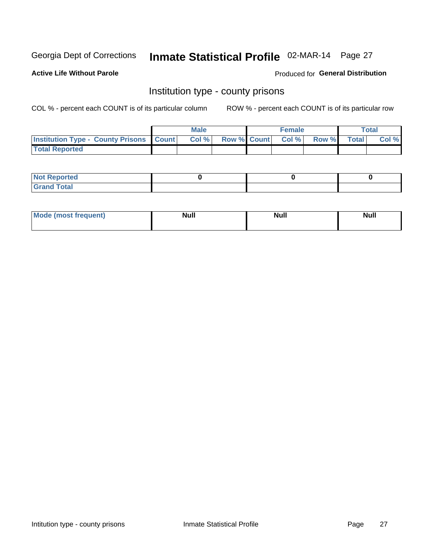# Inmate Statistical Profile 02-MAR-14 Page 27

**Active Life Without Parole** 

**Produced for General Distribution** 

### Institution type - county prisons

COL % - percent each COUNT is of its particular column

|                                                    | <b>Male</b> |  | <b>Female</b>            |             | <b>Total</b> |
|----------------------------------------------------|-------------|--|--------------------------|-------------|--------------|
| <b>Institution Type - County Prisons   Count  </b> | Col %       |  | <b>Row % Count Col %</b> | Row % Total | Col %        |
| <b>Total Reported</b>                              |             |  |                          |             |              |

| <b>Not Reported</b>         |  |  |
|-----------------------------|--|--|
| <b>Total</b><br>-<br>______ |  |  |

| <b>Mode</b>      | <b>Null</b> | <b>Null</b> | <b>Null</b> |
|------------------|-------------|-------------|-------------|
| (most freauent). |             |             |             |
|                  |             |             |             |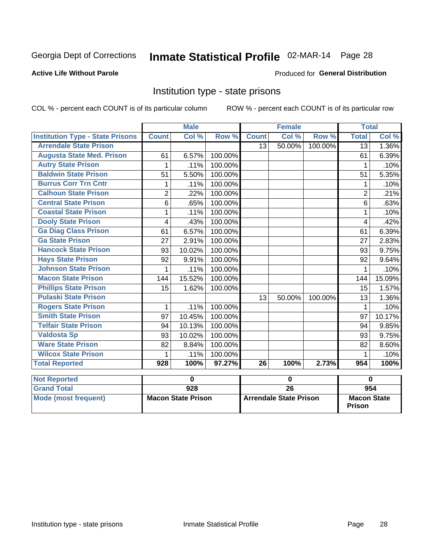# Inmate Statistical Profile 02-MAR-14 Page 28

### **Active Life Without Parole**

#### Produced for General Distribution

### Institution type - state prisons

COL % - percent each COUNT is of its particular column

|                                         |                | <b>Male</b>               |         |                 | <b>Female</b> |         | <b>Total</b>   |        |
|-----------------------------------------|----------------|---------------------------|---------|-----------------|---------------|---------|----------------|--------|
| <b>Institution Type - State Prisons</b> | <b>Count</b>   | $\overline{\text{Col}}$ % | Row %   | <b>Count</b>    | Col %         | Row %   | <b>Total</b>   | Col %  |
| <b>Arrendale State Prison</b>           |                |                           |         | 13              | 50.00%        | 100.00% | 13             | 1.36%  |
| <b>Augusta State Med. Prison</b>        | 61             | 6.57%                     | 100.00% |                 |               |         | 61             | 6.39%  |
| <b>Autry State Prison</b>               | 1              | .11%                      | 100.00% |                 |               |         | 1              | .10%   |
| <b>Baldwin State Prison</b>             | 51             | 5.50%                     | 100.00% |                 |               |         | 51             | 5.35%  |
| <b>Burrus Corr Trn Cntr</b>             | 1              | .11%                      | 100.00% |                 |               |         | 1              | .10%   |
| <b>Calhoun State Prison</b>             | $\overline{2}$ | .22%                      | 100.00% |                 |               |         | $\overline{2}$ | .21%   |
| <b>Central State Prison</b>             | 6              | .65%                      | 100.00% |                 |               |         | 6              | .63%   |
| <b>Coastal State Prison</b>             | 1              | .11%                      | 100.00% |                 |               |         | 1              | .10%   |
| <b>Dooly State Prison</b>               | 4              | .43%                      | 100.00% |                 |               |         | 4              | .42%   |
| <b>Ga Diag Class Prison</b>             | 61             | 6.57%                     | 100.00% |                 |               |         | 61             | 6.39%  |
| <b>Ga State Prison</b>                  | 27             | 2.91%                     | 100.00% |                 |               |         | 27             | 2.83%  |
| <b>Hancock State Prison</b>             | 93             | 10.02%                    | 100.00% |                 |               |         | 93             | 9.75%  |
| <b>Hays State Prison</b>                | 92             | 9.91%                     | 100.00% |                 |               |         | 92             | 9.64%  |
| <b>Johnson State Prison</b>             | 1              | .11%                      | 100.00% |                 |               |         | 1              | .10%   |
| <b>Macon State Prison</b>               | 144            | 15.52%                    | 100.00% |                 |               |         | 144            | 15.09% |
| <b>Phillips State Prison</b>            | 15             | 1.62%                     | 100.00% |                 |               |         | 15             | 1.57%  |
| <b>Pulaski State Prison</b>             |                |                           |         | 13              | 50.00%        | 100.00% | 13             | 1.36%  |
| <b>Rogers State Prison</b>              | 1              | .11%                      | 100.00% |                 |               |         | 1              | .10%   |
| <b>Smith State Prison</b>               | 97             | 10.45%                    | 100.00% |                 |               |         | 97             | 10.17% |
| <b>Telfair State Prison</b>             | 94             | 10.13%                    | 100.00% |                 |               |         | 94             | 9.85%  |
| <b>Valdosta Sp</b>                      | 93             | 10.02%                    | 100.00% |                 |               |         | 93             | 9.75%  |
| <b>Ware State Prison</b>                | 82             | 8.84%                     | 100.00% |                 |               |         | 82             | 8.60%  |
| <b>Wilcox State Prison</b>              |                | .11%                      | 100.00% |                 |               |         |                | .10%   |
| <b>Total Reported</b>                   | 928            | 100%                      | 97.27%  | $\overline{26}$ | 100%          | 2.73%   | 954            | 100%   |
| <b>Not Reported</b>                     |                | $\mathbf 0$               |         |                 | $\pmb{0}$     |         | $\mathbf 0$    |        |

| <b>I</b> NOT Reported |                           |                               |                              |
|-----------------------|---------------------------|-------------------------------|------------------------------|
| <b>Grand Total</b>    | 928                       | 26                            | 954                          |
| Mode (most frequent)  | <b>Macon State Prison</b> | <b>Arrendale State Prison</b> | <b>Macon State</b><br>Prison |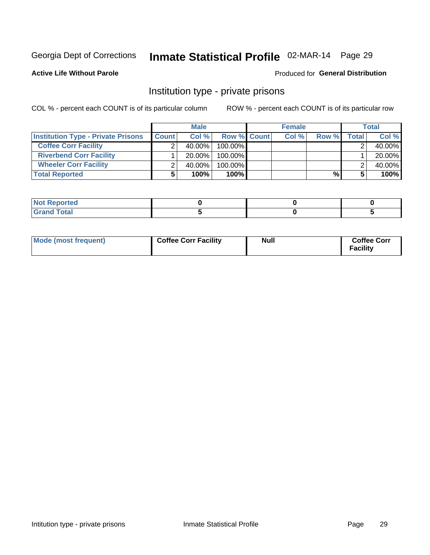# Inmate Statistical Profile 02-MAR-14 Page 29

### **Active Life Without Parole**

### **Produced for General Distribution**

### Institution type - private prisons

COL % - percent each COUNT is of its particular column

|                                           |              | <b>Male</b> |                    | <b>Female</b> |       |              | <b>Total</b> |
|-------------------------------------------|--------------|-------------|--------------------|---------------|-------|--------------|--------------|
| <b>Institution Type - Private Prisons</b> | <b>Count</b> | Col%        | <b>Row % Count</b> | Col %         | Row % | <b>Total</b> | Col %        |
| <b>Coffee Corr Facility</b>               |              | $40.00\%$   | $100.00\%$         |               |       |              | 40.00%       |
| <b>Riverbend Corr Facility</b>            |              | $20.00\%$   | $100.00\%$         |               |       |              | 20.00%       |
| <b>Wheeler Corr Facility</b>              |              | $40.00\%$   | $100.00\%$         |               |       |              | 40.00%       |
| <b>Total Reported</b>                     |              | 100%        | 100%               |               | %     |              | 100%         |

| <b>Not Reported</b> |  |  |
|---------------------|--|--|
| <b>Total</b>        |  |  |

| Mode (most frequent) | <b>Coffee Corr Facility</b> | Null | <b>Coffee Corr</b><br>Facility |
|----------------------|-----------------------------|------|--------------------------------|
|----------------------|-----------------------------|------|--------------------------------|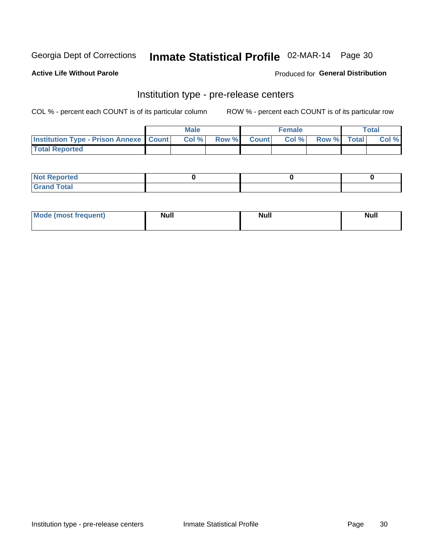# Inmate Statistical Profile 02-MAR-14 Page 30

**Active Life Without Parole** 

Produced for General Distribution

# Institution type - pre-release centers

COL % - percent each COUNT is of its particular column

|                                                   | <b>Male</b> |              |       | <b>Female</b> |                    | <b>Total</b> |
|---------------------------------------------------|-------------|--------------|-------|---------------|--------------------|--------------|
| <b>Institution Type - Prison Annexe   Count  </b> | Col %       | <b>Row %</b> | Count | Col %         | <b>Row %</b> Total | Col %        |
| <b>Total Reported</b>                             |             |              |       |               |                    |              |

| <b>Reported</b><br>I NOT |  |  |
|--------------------------|--|--|
| <b>Total</b><br>$C$ ren  |  |  |

| <b>Mo</b><br>frequent)<br>(most | <b>Null</b> | <b>Null</b> | <b>Null</b> |
|---------------------------------|-------------|-------------|-------------|
|                                 |             |             |             |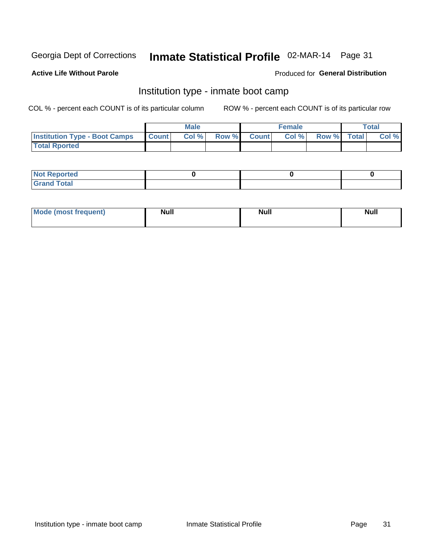# Inmate Statistical Profile 02-MAR-14 Page 31

#### **Active Life Without Parole**

#### Produced for General Distribution

### Institution type - inmate boot camp

COL % - percent each COUNT is of its particular column

|                                      |              | <b>Male</b> |             | <b>Female</b> |             | Total |
|--------------------------------------|--------------|-------------|-------------|---------------|-------------|-------|
| <b>Institution Type - Boot Camps</b> | <b>Count</b> | Col %       | Row % Count | Col%          | Row % Total | Col % |
| <b>Total Rported</b>                 |              |             |             |               |             |       |

| <b>Not Reported</b>            |  |  |
|--------------------------------|--|--|
| <b>Total</b><br>C <sub>r</sub> |  |  |

| <b>I Mode (most frequent)</b> | <b>Null</b> | <b>Null</b> | <b>Null</b> |
|-------------------------------|-------------|-------------|-------------|
|                               |             |             |             |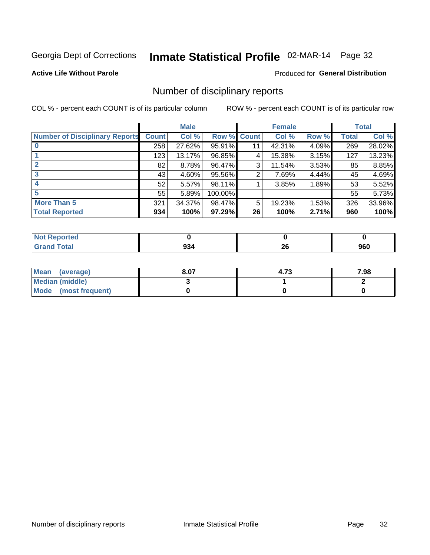# Inmate Statistical Profile 02-MAR-14 Page 32

**Active Life Without Parole** 

#### **Produced for General Distribution**

### Number of disciplinary reports

COL % - percent each COUNT is of its particular column

|                                       |              | <b>Male</b> |         |              | <b>Female</b> |          |              | <b>Total</b> |
|---------------------------------------|--------------|-------------|---------|--------------|---------------|----------|--------------|--------------|
| <b>Number of Disciplinary Reports</b> | <b>Count</b> | Col %       | Row %   | <b>Count</b> | Col %         | Row %    | <b>Total</b> | Col %        |
|                                       | 258          | 27.62%      | 95.91%  | 11           | 42.31%        | 4.09%    | 269          | 28.02%       |
|                                       | 123          | 13.17%      | 96.85%  | 4            | 15.38%        | 3.15%    | 127          | 13.23%       |
| $\mathbf{2}$                          | 82           | 8.78%       | 96.47%  | 3            | 11.54%        | $3.53\%$ | 85           | 8.85%        |
| 3                                     | 43           | $4.60\%$    | 95.56%  | 2            | 7.69%         | 4.44%    | 45           | 4.69%        |
|                                       | 52           | 5.57%       | 98.11%  |              | 3.85%         | 1.89%    | 53           | 5.52%        |
| 5                                     | 55           | 5.89%       | 100.00% |              |               |          | 55           | 5.73%        |
| <b>More Than 5</b>                    | 321          | 34.37%      | 98.47%  | 5            | 19.23%        | $1.53\%$ | 326          | 33.96%       |
| <b>Total Reported</b>                 | 934          | 100%        | 97.29%  | 26           | 100%          | 2.71%    | 960          | 100%         |

| <b>Not Reported</b> |     |           |     |
|---------------------|-----|-----------|-----|
| <sup>-</sup> otal   | 994 | ne.<br>ZV | 960 |

| Mean (average)       | 8.07 | 4.73 | 7.98 |
|----------------------|------|------|------|
| Median (middle)      |      |      |      |
| Mode (most frequent) |      |      |      |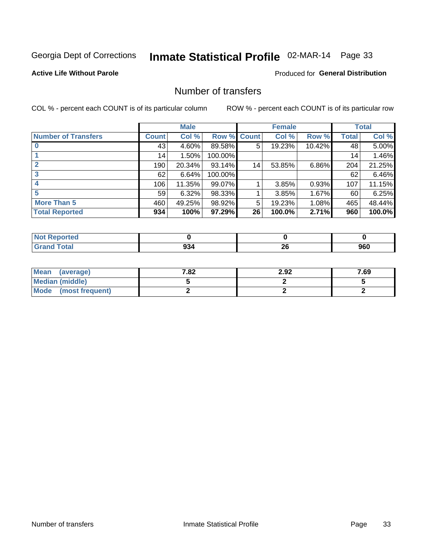# Inmate Statistical Profile 02-MAR-14 Page 33

### **Active Life Without Parole**

### **Produced for General Distribution**

### Number of transfers

COL % - percent each COUNT is of its particular column

|                            |         | <b>Male</b> |         |              | <b>Female</b> |        |              | <b>Total</b> |
|----------------------------|---------|-------------|---------|--------------|---------------|--------|--------------|--------------|
| <b>Number of Transfers</b> | Count l | Col %       | Row %   | <b>Count</b> | Col %         | Row %  | <b>Total</b> | Col %        |
|                            | 43      | $4.60\%$    | 89.58%  | 5            | 19.23%        | 10.42% | 48           | 5.00%        |
|                            | 14      | 1.50%       | 100.00% |              |               |        | 14           | 1.46%        |
|                            | 190     | 20.34%      | 93.14%  | 14           | 53.85%        | 6.86%  | 204          | 21.25%       |
| 3                          | 62      | 6.64%       | 100.00% |              |               |        | 62           | 6.46%        |
|                            | 106     | 11.35%      | 99.07%  |              | 3.85%         | 0.93%  | 107          | 11.15%       |
| 5                          | 59      | 6.32%       | 98.33%  |              | 3.85%         | 1.67%  | 60           | 6.25%        |
| <b>More Than 5</b>         | 460     | 49.25%      | 98.92%  | 5            | 19.23%        | 1.08%  | 465          | 48.44%       |
| <b>Total Reported</b>      | 934     | 100%        | 97.29%  | 26           | 100.0%        | 2.71%  | 960          | 100.0%       |

| <b>Not Reported</b> |     |           |     |
|---------------------|-----|-----------|-----|
| <sup>-</sup> otal   | 994 | ne.<br>ZV | 960 |

| Mean (average)       | 7.82 | 2.92 | 7.69 |
|----------------------|------|------|------|
| Median (middle)      |      |      |      |
| Mode (most frequent) |      |      |      |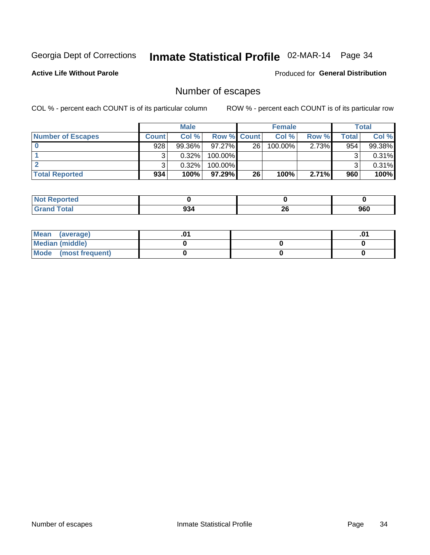# Inmate Statistical Profile 02-MAR-14 Page 34

**Active Life Without Parole** 

**Produced for General Distribution** 

# Number of escapes

COL % - percent each COUNT is of its particular column

|                          |              | <b>Male</b> |                    |    | <b>Female</b> |          |       | Total  |
|--------------------------|--------------|-------------|--------------------|----|---------------|----------|-------|--------|
| <b>Number of Escapes</b> | <b>Count</b> | Col%        | <b>Row % Count</b> |    | Col %         | Row %    | Total | Col %  |
|                          | 928          | $99.36\%$   | $97.27\%$          | 26 | $100.00\%$    | $2.73\%$ | 954   | 99.38% |
|                          |              | 0.32%       | 100.00%            |    |               |          |       | 0.31%  |
|                          |              | 0.32%       | $100.00\%$         |    |               |          |       | 0.31%  |
| <b>Total Reported</b>    | 934          | 100%        | $97.29\%$          | 26 | 100%          | 2.71%    | 960   | 100%   |

| <b>Not Reported</b> |     |           |     |
|---------------------|-----|-----------|-----|
| <b>Grand Total</b>  | 934 | oc.<br>ZU | 960 |

| Mean (average)       |  | .01 |
|----------------------|--|-----|
| Median (middle)      |  |     |
| Mode (most frequent) |  |     |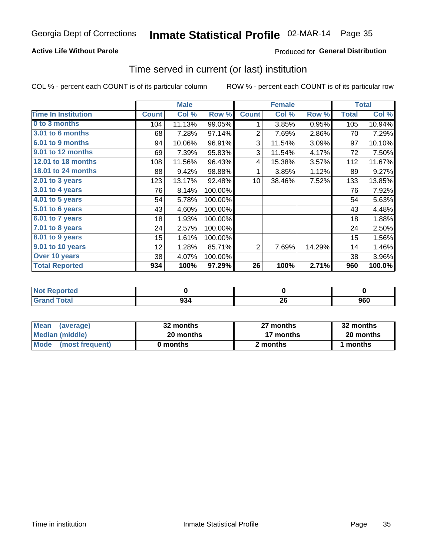# Inmate Statistical Profile 02-MAR-14 Page 35

### **Active Life Without Parole**

### **Produced for General Distribution**

### Time served in current (or last) institution

COL % - percent each COUNT is of its particular column

|                            | <b>Male</b>  |        | <b>Female</b> |                 |        | <b>Total</b> |              |           |
|----------------------------|--------------|--------|---------------|-----------------|--------|--------------|--------------|-----------|
| <b>Time In Institution</b> | <b>Count</b> | Col %  | Row %         | <b>Count</b>    | Col %  | Row %        | <b>Total</b> | Col %     |
| 0 to 3 months              | 104          | 11.13% | 99.05%        | 1               | 3.85%  | 0.95%        | 105          | 10.94%    |
| 3.01 to 6 months           | 68           | 7.28%  | 97.14%        | 2               | 7.69%  | 2.86%        | 70           | 7.29%     |
| 6.01 to 9 months           | 94           | 10.06% | 96.91%        | 3               | 11.54% | 3.09%        | 97           | 10.10%    |
| 9.01 to 12 months          | 69           | 7.39%  | 95.83%        | 3               | 11.54% | 4.17%        | 72           | 7.50%     |
| 12.01 to 18 months         | 108          | 11.56% | 96.43%        | 4               | 15.38% | 3.57%        | 112          | 11.67%    |
| <b>18.01 to 24 months</b>  | 88           | 9.42%  | 98.88%        | 1               | 3.85%  | 1.12%        | 89           | 9.27%     |
| $2.01$ to 3 years          | 123          | 13.17% | 92.48%        | 10 <sup>1</sup> | 38.46% | 7.52%        | 133          | 13.85%    |
| $3.01$ to 4 years          | 76           | 8.14%  | 100.00%       |                 |        |              | 76           | 7.92%     |
| $4.01$ to 5 years          | 54           | 5.78%  | 100.00%       |                 |        |              | 54           | 5.63%     |
| 5.01 to 6 years            | 43           | 4.60%  | 100.00%       |                 |        |              | 43           | 4.48%     |
| $6.01$ to 7 years          | 18           | 1.93%  | 100.00%       |                 |        |              | 18           | 1.88%     |
| 7.01 to 8 years            | 24           | 2.57%  | 100.00%       |                 |        |              | 24           | 2.50%     |
| 8.01 to 9 years            | 15           | 1.61%  | 100.00%       |                 |        |              | 15           | 1.56%     |
| 9.01 to 10 years           | 12           | 1.28%  | 85.71%        | 2               | 7.69%  | 14.29%       | 14           | 1.46%     |
| Over 10 years              | 38           | 4.07%  | 100.00%       |                 |        |              | 38           | 3.96%     |
| <b>Total Reported</b>      | 934          | 100%   | 97.29%        | 26              | 100%   | 2.71%        | 960          | $100.0\%$ |

| <b>Not Reported</b> |     |          |     |
|---------------------|-----|----------|-----|
| <b>Grand Total</b>  | 934 | ጎር<br>ΔU | 960 |

| <b>Mean</b><br>(average) | 32 months | 27 months | 32 months |
|--------------------------|-----------|-----------|-----------|
| Median (middle)          | 20 months | 17 months | 20 months |
| Mode (most frequent)     | 0 months  | 2 months  | 1 months  |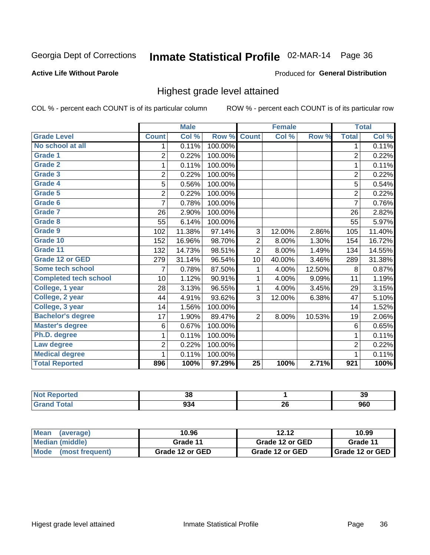# Inmate Statistical Profile 02-MAR-14 Page 36

#### **Active Life Without Parole**

#### Produced for General Distribution

### Highest grade level attained

COL % - percent each COUNT is of its particular column

|                              |                | <b>Male</b> |         |                 | <b>Female</b> |        |                  | <b>Total</b> |
|------------------------------|----------------|-------------|---------|-----------------|---------------|--------|------------------|--------------|
| <b>Grade Level</b>           | <b>Count</b>   | Col %       | Row %   | <b>Count</b>    | Col %         | Row %  | <b>Total</b>     | Col %        |
| No school at all             | 1              | 0.11%       | 100.00% |                 |               |        | 1                | 0.11%        |
| Grade 1                      | $\overline{2}$ | 0.22%       | 100.00% |                 |               |        | $\overline{2}$   | 0.22%        |
| <b>Grade 2</b>               | 1              | 0.11%       | 100.00% |                 |               |        | $\mathbf{1}$     | 0.11%        |
| Grade 3                      | $\overline{2}$ | 0.22%       | 100.00% |                 |               |        | $\overline{c}$   | 0.22%        |
| Grade 4                      | 5              | 0.56%       | 100.00% |                 |               |        | 5                | 0.54%        |
| Grade 5                      | $\overline{2}$ | 0.22%       | 100.00% |                 |               |        | $\overline{2}$   | 0.22%        |
| Grade 6                      | 7              | 0.78%       | 100.00% |                 |               |        | $\overline{7}$   | 0.76%        |
| Grade 7                      | 26             | 2.90%       | 100.00% |                 |               |        | 26               | 2.82%        |
| Grade 8                      | 55             | 6.14%       | 100.00% |                 |               |        | 55               | 5.97%        |
| Grade 9                      | 102            | 11.38%      | 97.14%  | 3               | 12.00%        | 2.86%  | 105              | 11.40%       |
| Grade 10                     | 152            | 16.96%      | 98.70%  | 2               | 8.00%         | 1.30%  | 154              | 16.72%       |
| Grade 11                     | 132            | 14.73%      | 98.51%  | $\overline{2}$  | 8.00%         | 1.49%  | 134              | 14.55%       |
| <b>Grade 12 or GED</b>       | 279            | 31.14%      | 96.54%  | 10              | 40.00%        | 3.46%  | 289              | 31.38%       |
| Some tech school             | 7              | 0.78%       | 87.50%  | 1               | 4.00%         | 12.50% | 8                | 0.87%        |
| <b>Completed tech school</b> | 10             | 1.12%       | 90.91%  | 1               | 4.00%         | 9.09%  | 11               | 1.19%        |
| College, 1 year              | 28             | 3.13%       | 96.55%  | 1               | 4.00%         | 3.45%  | 29               | 3.15%        |
| College, 2 year              | 44             | 4.91%       | 93.62%  | 3               | 12.00%        | 6.38%  | 47               | 5.10%        |
| College, 3 year              | 14             | 1.56%       | 100.00% |                 |               |        | 14               | 1.52%        |
| <b>Bachelor's degree</b>     | 17             | 1.90%       | 89.47%  | $\overline{2}$  | 8.00%         | 10.53% | 19               | 2.06%        |
| <b>Master's degree</b>       | 6              | 0.67%       | 100.00% |                 |               |        | 6                | 0.65%        |
| Ph.D. degree                 | 1              | 0.11%       | 100.00% |                 |               |        | 1                | 0.11%        |
| Law degree                   | $\overline{2}$ | 0.22%       | 100.00% |                 |               |        | $\overline{2}$   | 0.22%        |
| <b>Medical degree</b>        |                | 0.11%       | 100.00% |                 |               |        | 1                | 0.11%        |
| <b>Total Reported</b>        | 896            | 100%        | 97.29%  | $\overline{25}$ | 100%          | 2.71%  | $\overline{921}$ | 100%         |

| orred      | ົ<br>၁၀     |            | າເ<br>ು |
|------------|-------------|------------|---------|
| <b>ota</b> | റാ ⁄<br>ນວະ | - 20<br>ZV | 960     |

| <b>Mean</b><br>(average) | 10.96           | 12.12           | 10.99             |
|--------------------------|-----------------|-----------------|-------------------|
| Median (middle)          | Grade 11        | Grade 12 or GED | Grade 11          |
| Mode<br>(most frequent)  | Grade 12 or GED | Grade 12 or GED | I Grade 12 or GED |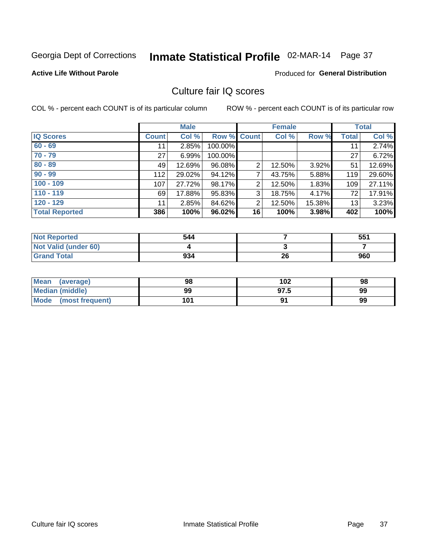# Inmate Statistical Profile 02-MAR-14 Page 37

**Active Life Without Parole** 

**Produced for General Distribution** 

### Culture fair IQ scores

COL % - percent each COUNT is of its particular column

|                       |              | <b>Male</b> |                    |                | <b>Female</b> |        |              | <b>Total</b> |
|-----------------------|--------------|-------------|--------------------|----------------|---------------|--------|--------------|--------------|
| <b>IQ Scores</b>      | <b>Count</b> | Col %       | <b>Row % Count</b> |                | Col %         | Row %  | <b>Total</b> | Col %        |
| $60 - 69$             | 11           | 2.85%       | 100.00%            |                |               |        | 11           | 2.74%        |
| $70 - 79$             | 27           | 6.99%       | 100.00%            |                |               |        | 27           | 6.72%        |
| $80 - 89$             | 49           | 12.69%      | 96.08%             | $\overline{2}$ | 12.50%        | 3.92%  | 51           | 12.69%       |
| $90 - 99$             | 112          | 29.02%      | 94.12%             | 7              | 43.75%        | 5.88%  | 119          | 29.60%       |
| $100 - 109$           | 107          | 27.72%      | 98.17%             | $\overline{2}$ | 12.50%        | 1.83%  | 109          | 27.11%       |
| $110 - 119$           | 69           | 17.88%      | 95.83%             | 3              | 18.75%        | 4.17%  | 72           | 17.91%       |
| $120 - 129$           | 11           | 2.85%       | 84.62%             | $\overline{2}$ | 12.50%        | 15.38% | 13           | 3.23%        |
| <b>Total Reported</b> | 386          | 100%        | 96.02%             | 16             | 100%          | 3.98%  | 402          | 100%         |

| <b>Not Reported</b>         | 544 |    | 551 |
|-----------------------------|-----|----|-----|
| <b>Not Valid (under 60)</b> |     |    |     |
| <b>Grand Total</b>          | 934 | 26 | 960 |

| <b>Mean</b><br>(average)       | 98  | 102  | 98 |
|--------------------------------|-----|------|----|
| <b>Median (middle)</b>         | 99  | 97.5 | 99 |
| <b>Mode</b><br>(most frequent) | 101 |      | 99 |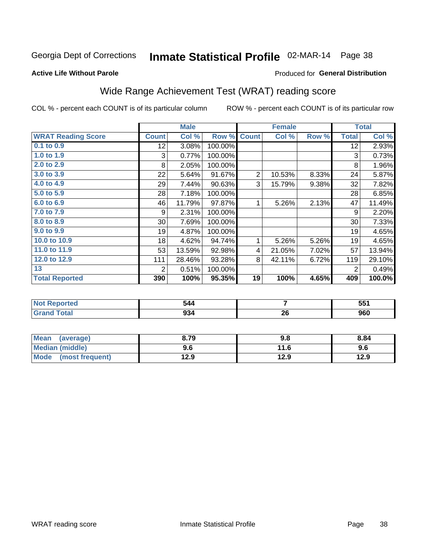# Inmate Statistical Profile 02-MAR-14 Page 38

Produced for General Distribution

#### **Active Life Without Parole**

### Wide Range Achievement Test (WRAT) reading score

COL % - percent each COUNT is of its particular column

ROW % - percent each COUNT is of its particular row

 $\overline{26}$ 

|                           |              | <b>Male</b> |         |                | <b>Female</b> |       |                | <b>Total</b> |
|---------------------------|--------------|-------------|---------|----------------|---------------|-------|----------------|--------------|
| <b>WRAT Reading Score</b> | <b>Count</b> | Col %       | Row %   | <b>Count</b>   | Col %         | Row % | <b>Total</b>   | Col %        |
| $0.1$ to $0.9$            | 12           | 3.08%       | 100.00% |                |               |       | 12             | 2.93%        |
| 1.0 to 1.9                | 3            | 0.77%       | 100.00% |                |               |       | 3              | 0.73%        |
| 2.0 to 2.9                | 8            | 2.05%       | 100.00% |                |               |       | 8              | 1.96%        |
| 3.0 to 3.9                | 22           | 5.64%       | 91.67%  | $\overline{2}$ | 10.53%        | 8.33% | 24             | 5.87%        |
| 4.0 to 4.9                | 29           | 7.44%       | 90.63%  | 3              | 15.79%        | 9.38% | 32             | 7.82%        |
| 5.0 to 5.9                | 28           | 7.18%       | 100.00% |                |               |       | 28             | 6.85%        |
| 6.0 to 6.9                | 46           | 11.79%      | 97.87%  | 1              | 5.26%         | 2.13% | 47             | 11.49%       |
| 7.0 to 7.9                | 9            | 2.31%       | 100.00% |                |               |       | 9              | 2.20%        |
| 8.0 to 8.9                | 30           | 7.69%       | 100.00% |                |               |       | 30             | 7.33%        |
| 9.0 to 9.9                | 19           | 4.87%       | 100.00% |                |               |       | 19             | 4.65%        |
| 10.0 to 10.9              | 18           | 4.62%       | 94.74%  | 1              | 5.26%         | 5.26% | 19             | 4.65%        |
| 11.0 to 11.9              | 53           | 13.59%      | 92.98%  | 4              | 21.05%        | 7.02% | 57             | 13.94%       |
| 12.0 to 12.9              | 111          | 28.46%      | 93.28%  | 8              | 42.11%        | 6.72% | 119            | 29.10%       |
| 13                        | 2            | 0.51%       | 100.00% |                |               |       | $\overline{2}$ | 0.49%        |
| <b>Total Reported</b>     | 390          | 100%        | 95.35%  | 19             | 100%          | 4.65% | 409            | 100.0%       |
|                           |              |             |         |                |               |       |                |              |
| <b>Not Reported</b>       |              | 544         |         |                | 7             |       |                | 551          |

| <b>Mean</b><br>(average)       | 8.79 | 9.8  | 8.84 |
|--------------------------------|------|------|------|
| <b>Median (middle)</b>         | 9.6  | 11.6 | 9.6  |
| <b>Mode</b><br>(most frequent) | 12.9 | 12.9 | 12.9 |

 $934$ 

**Grand Total** 

 $960$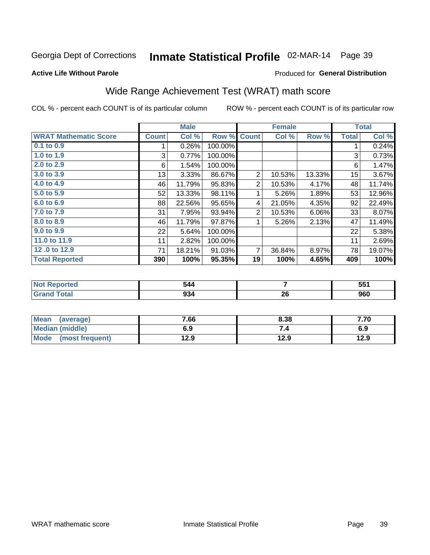# Inmate Statistical Profile 02-MAR-14 Page 39

**Produced for General Distribution** 

### **Active Life Without Parole**

## Wide Range Achievement Test (WRAT) math score

COL % - percent each COUNT is of its particular column

|                              |              | <b>Male</b> |         |                | <b>Female</b> |        |              | <b>Total</b> |
|------------------------------|--------------|-------------|---------|----------------|---------------|--------|--------------|--------------|
| <b>WRAT Mathematic Score</b> | <b>Count</b> | Col %       | Row %   | <b>Count</b>   | Col %         | Row %  | <b>Total</b> | Col %        |
| 0.1 to 0.9                   |              | 0.26%       | 100.00% |                |               |        |              | 0.24%        |
| 1.0 to 1.9                   | 3            | 0.77%       | 100.00% |                |               |        | 3            | 0.73%        |
| 2.0 to 2.9                   | 6            | 1.54%       | 100.00% |                |               |        | 6            | 1.47%        |
| 3.0 to 3.9                   | 13           | 3.33%       | 86.67%  | 2              | 10.53%        | 13.33% | 15           | 3.67%        |
| 4.0 to 4.9                   | 46           | 11.79%      | 95.83%  | $\overline{2}$ | 10.53%        | 4.17%  | 48           | 11.74%       |
| 5.0 to 5.9                   | 52           | 13.33%      | 98.11%  |                | 5.26%         | 1.89%  | 53           | 12.96%       |
| 6.0 to 6.9                   | 88           | 22.56%      | 95.65%  | 4              | 21.05%        | 4.35%  | 92           | 22.49%       |
| 7.0 to 7.9                   | 31           | 7.95%       | 93.94%  | 2              | 10.53%        | 6.06%  | 33           | 8.07%        |
| 8.0 to 8.9                   | 46           | 11.79%      | 97.87%  | 1              | 5.26%         | 2.13%  | 47           | 11.49%       |
| 9.0 to 9.9                   | 22           | 5.64%       | 100.00% |                |               |        | 22           | 5.38%        |
| 11.0 to 11.9                 | 11           | 2.82%       | 100.00% |                |               |        | 11           | 2.69%        |
| 12.0 to 12.9                 | 71           | 18.21%      | 91.03%  | $\overline{7}$ | 36.84%        | 8.97%  | 78           | 19.07%       |
| <b>Total Reported</b>        | 390          | 100%        | 95.35%  | 19             | 100%          | 4.65%  | 409          | 100%         |

| тео         |              |         | EE4<br>JJ I |
|-------------|--------------|---------|-------------|
| <b>otal</b> | $\sim$<br>JJ | ^^<br>∼ | 960         |

| <b>Mean</b><br>(average)       | 7.66 | 8.38 | 7.70 |
|--------------------------------|------|------|------|
| <b>Median (middle)</b>         | 6.9  | ٠.   | 6.9  |
| <b>Mode</b><br>(most frequent) | 12.9 | 12.9 | 12.9 |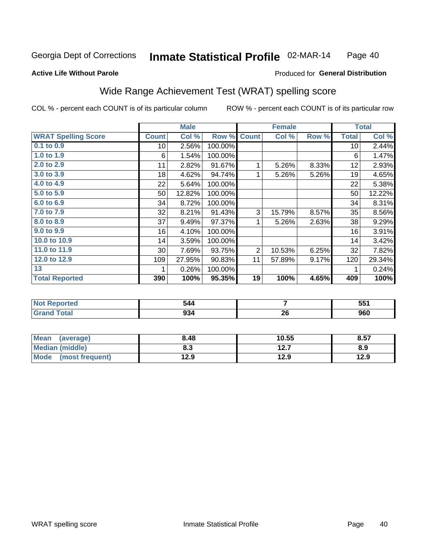#### Inmate Statistical Profile 02-MAR-14 Page 40

#### **Active Life Without Parole**

#### Produced for General Distribution

### Wide Range Achievement Test (WRAT) spelling score

COL % - percent each COUNT is of its particular column

|                                              |                 | <b>Male</b> |         |                | <b>Female</b> |       |              | <b>Total</b> |
|----------------------------------------------|-----------------|-------------|---------|----------------|---------------|-------|--------------|--------------|
| <b>WRAT Spelling Score</b>                   | <b>Count</b>    | Col %       | Row %   | <b>Count</b>   | Col %         | Row % | <b>Total</b> | Col %        |
| $0.1$ to $0.9$                               | 10 <sup>1</sup> | 2.56%       | 100.00% |                |               |       | 10           | 2.44%        |
| 1.0 to 1.9                                   | 6               | 1.54%       | 100.00% |                |               |       | 6            | 1.47%        |
| 2.0 to 2.9                                   | 11              | 2.82%       | 91.67%  | 1              | 5.26%         | 8.33% | 12           | 2.93%        |
| 3.0 to 3.9                                   | 18              | 4.62%       | 94.74%  | 1              | 5.26%         | 5.26% | 19           | 4.65%        |
| 4.0 to 4.9                                   | 22              | 5.64%       | 100.00% |                |               |       | 22           | 5.38%        |
| 5.0 to 5.9                                   | 50              | 12.82%      | 100.00% |                |               |       | 50           | 12.22%       |
| 6.0 to 6.9                                   | 34              | 8.72%       | 100.00% |                |               |       | 34           | 8.31%        |
| 7.0 to 7.9                                   | 32              | 8.21%       | 91.43%  | 3              | 15.79%        | 8.57% | 35           | 8.56%        |
| 8.0 to 8.9                                   | 37              | 9.49%       | 97.37%  | 1              | 5.26%         | 2.63% | 38           | 9.29%        |
| 9.0 to 9.9                                   | 16              | 4.10%       | 100.00% |                |               |       | 16           | 3.91%        |
| 10.0 to 10.9                                 | 14              | 3.59%       | 100.00% |                |               |       | 14           | 3.42%        |
| 11.0 to 11.9                                 | $30$            | 7.69%       | 93.75%  | $\overline{2}$ | 10.53%        | 6.25% | 32           | 7.82%        |
| 12.0 to 12.9                                 | 109             | 27.95%      | 90.83%  | 11             | 57.89%        | 9.17% | 120          | 29.34%       |
| 13                                           |                 | 0.26%       | 100.00% |                |               |       |              | 0.24%        |
| <b>Total Reported</b>                        | 390             | 100%        | 95.35%  | 19             | 100%          | 4.65% | 409          | 100%         |
|                                              |                 |             |         |                |               |       |              |              |
| <b>START AND START AND START AND INCOME.</b> |                 | - - -       |         |                | -             |       |              | -- -         |

| $\frac{1}{2}$ | м1.<br>$\sim$ $\sim$ |    | -- -<br>JJ.<br>$ -$ |
|---------------|----------------------|----|---------------------|
| ______        | --                   | ^^ | nen                 |
| _____         | YJ4                  | 49 | JUU                 |

| <b>Mean</b><br>(average) | 8.48 | 10.55 | 8.57 |
|--------------------------|------|-------|------|
| Median (middle)          | 8.3  | 12.7  | 8.9  |
| Mode<br>(most frequent)  | 12.9 | 12.9  | 12.9 |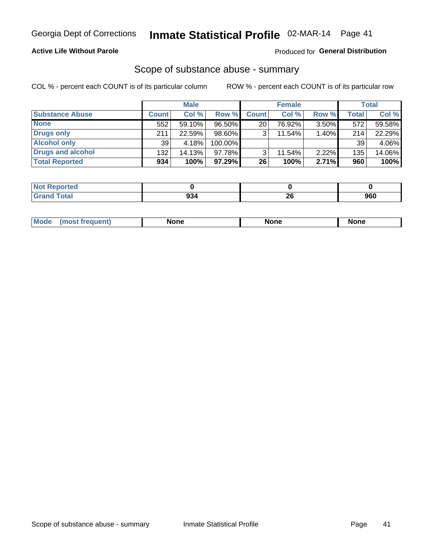#### **Active Life Without Parole**

### Produced for General Distribution

### Scope of substance abuse - summary

COL % - percent each COUNT is of its particular column

|                        |              | <b>Male</b> |         |              | <b>Female</b> |          |              | <b>Total</b> |
|------------------------|--------------|-------------|---------|--------------|---------------|----------|--------------|--------------|
| <b>Substance Abuse</b> | <b>Count</b> | Col %       | Row %   | <b>Count</b> | Col %         | Row %    | <b>Total</b> | Col %        |
| <b>None</b>            | 552          | 59.10%      | 96.50%  | 20           | 76.92%        | $3.50\%$ | 572          | 59.58%       |
| <b>Drugs only</b>      | 211          | 22.59%      | 98.60%  |              | 11.54%        | 1.40%    | 214          | 22.29%       |
| <b>Alcohol only</b>    | 39           | 4.18%       | 100.00% |              |               |          | 39           | 4.06%        |
| Drugs and alcohol      | 132          | 14.13%      | 97.78%  |              | 11.54%        | $2.22\%$ | 135          | 14.06%       |
| <b>Total Reported</b>  | 934          | 100%        | 97.29%  | 26           | 100%          | 2.71%    | 960          | 100%         |

| <b>Not</b><br><b>Reported</b> |    |    |     |
|-------------------------------|----|----|-----|
| <b>Total</b>                  | ົ  | ^^ | חמח |
| <b>Grand</b>                  | JЈ | ΔV | วงบ |

| nuem | <b>Mo</b> | None | <b>None</b> | None |
|------|-----------|------|-------------|------|
|------|-----------|------|-------------|------|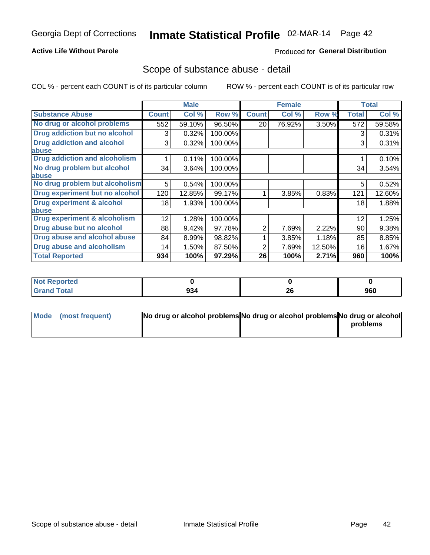#### **Active Life Without Parole**

#### Produced for General Distribution

### Scope of substance abuse - detail

COL % - percent each COUNT is of its particular column

|                                         |              | <b>Male</b> |         |              | <b>Female</b> |        |              | <b>Total</b> |
|-----------------------------------------|--------------|-------------|---------|--------------|---------------|--------|--------------|--------------|
| <b>Substance Abuse</b>                  | <b>Count</b> | Col %       | Row %   | <b>Count</b> | Col %         | Row %  | <b>Total</b> | Col %        |
| No drug or alcohol problems             | 552          | 59.10%      | 96.50%  | 20           | 76.92%        | 3.50%  | 572          | 59.58%       |
| Drug addiction but no alcohol           | 3            | 0.32%       | 100.00% |              |               |        | 3            | 0.31%        |
| <b>Drug addiction and alcohol</b>       | 3            | 0.32%       | 100.00% |              |               |        | 3            | 0.31%        |
| abuse                                   |              |             |         |              |               |        |              |              |
| <b>Drug addiction and alcoholism</b>    |              | 0.11%       | 100.00% |              |               |        |              | 0.10%        |
| No drug problem but alcohol             | 34           | 3.64%       | 100.00% |              |               |        | 34           | 3.54%        |
| abuse                                   |              |             |         |              |               |        |              |              |
| No drug problem but alcoholism          | 5            | 0.54%       | 100.00% |              |               |        | 5            | 0.52%        |
| Drug experiment but no alcohol          | 120          | 12.85%      | 99.17%  |              | 3.85%         | 0.83%  | 121          | 12.60%       |
| <b>Drug experiment &amp; alcohol</b>    | 18           | 1.93%       | 100.00% |              |               |        | 18           | 1.88%        |
| abuse                                   |              |             |         |              |               |        |              |              |
| <b>Drug experiment &amp; alcoholism</b> | 12           | 1.28%       | 100.00% |              |               |        | 12           | 1.25%        |
| Drug abuse but no alcohol               | 88           | 9.42%       | 97.78%  | 2            | 7.69%         | 2.22%  | 90           | 9.38%        |
| Drug abuse and alcohol abuse            | 84           | 8.99%       | 98.82%  |              | 3.85%         | 1.18%  | 85           | 8.85%        |
| <b>Drug abuse and alcoholism</b>        | 14           | 1.50%       | 87.50%  | 2            | 7.69%         | 12.50% | 16           | 1.67%        |
| <b>Total Reported</b>                   | 934          | 100%        | 97.29%  | 26           | 100%          | 2.71%  | 960          | 100%         |

| ported<br><b>NOT</b> |     |          |     |
|----------------------|-----|----------|-----|
| $\sim$<br>_____      | 934 | ኅር<br>ZO | 960 |

| Mode (most frequent) | No drug or alcohol problems No drug or alcohol problems No drug or alcohol |          |
|----------------------|----------------------------------------------------------------------------|----------|
|                      |                                                                            | problems |
|                      |                                                                            |          |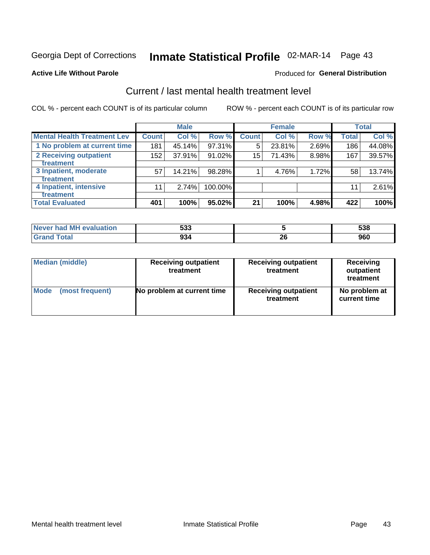# Inmate Statistical Profile 02-MAR-14 Page 43

#### **Active Life Without Parole**

#### **Produced for General Distribution**

## Current / last mental health treatment level

COL % - percent each COUNT is of its particular column

|                                    |              | <b>Male</b> |           |              | <b>Female</b> |       |                  | <b>Total</b> |
|------------------------------------|--------------|-------------|-----------|--------------|---------------|-------|------------------|--------------|
| <b>Mental Health Treatment Lev</b> | <b>Count</b> | Col %       | Row %     | <b>Count</b> | Col%          | Row % | <b>Total</b>     | Col %        |
| 1 No problem at current time       | 181          | 45.14%      | 97.31%    | 5            | 23.81%        | 2.69% | 186 <sub>1</sub> | 44.08%       |
| 2 Receiving outpatient             | 152          | 37.91%      | $91.02\%$ | 15           | 71.43%        | 8.98% | 167              | 39.57%       |
| <b>Treatment</b>                   |              |             |           |              |               |       |                  |              |
| 3 Inpatient, moderate              | 57           | 14.21%      | 98.28%    |              | 4.76%         | 1.72% | 58               | 13.74%       |
| <b>Treatment</b>                   |              |             |           |              |               |       |                  |              |
| 4 Inpatient, intensive             | 11           | 2.74%       | 100.00%   |              |               |       | 11               | 2.61%        |
| <b>Treatment</b>                   |              |             |           |              |               |       |                  |              |
| <b>Total Evaluated</b>             | 401          | 100%        | 95.02%    | 21           | 100%          | 4.98% | 422              | 100%         |

| Never had MH evaluation | につつ<br>უაა | 538 |
|-------------------------|------------|-----|
| Total                   | 934        | 960 |

| <b>Median (middle)</b> | <b>Receiving outpatient</b><br>treatment | <b>Receiving outpatient</b><br>treatment | <b>Receiving</b><br>outpatient<br>treatment |  |  |
|------------------------|------------------------------------------|------------------------------------------|---------------------------------------------|--|--|
| <b>Mode</b>            | No problem at current time               | <b>Receiving outpatient</b>              | No problem at                               |  |  |
| (most frequent)        |                                          | treatment                                | current time                                |  |  |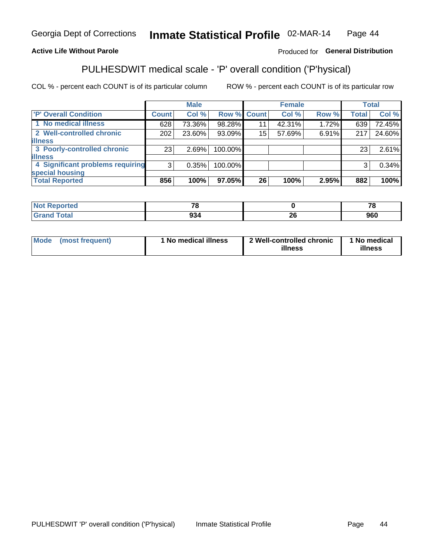#### Inmate Statistical Profile 02-MAR-14 Page 44

### **Active Life Without Parole**

#### Produced for General Distribution

## PULHESDWIT medical scale - 'P' overall condition ('P'hysical)

COL % - percent each COUNT is of its particular column

|                                  |         | <b>Male</b> |             |    | <b>Female</b> |       |              | <b>Total</b> |
|----------------------------------|---------|-------------|-------------|----|---------------|-------|--------------|--------------|
| 'P' Overall Condition            | Count l | Col %       | Row % Count |    | Col %         | Row % | <b>Total</b> | Col %        |
| 1 No medical illness             | 628     | 73.36%      | 98.28%      | 11 | 42.31%        | 1.72% | 639          | 72.45%       |
| 2 Well-controlled chronic        | 202     | 23.60%      | 93.09%      | 15 | 57.69%        | 6.91% | 217          | 24.60%       |
| <b>illness</b>                   |         |             |             |    |               |       |              |              |
| 3 Poorly-controlled chronic      | 23      | 2.69%       | 100.00%     |    |               |       | 23           | 2.61%        |
| <b>illness</b>                   |         |             |             |    |               |       |              |              |
| 4 Significant problems requiring | 3       | 0.35%       | 100.00%     |    |               |       | 3            | 0.34%        |
| special housing                  |         |             |             |    |               |       |              |              |
| <b>Total Reported</b>            | 856     | 100%        | 97.05%      | 26 | 100%          | 2.95% | 882          | 100%         |

| тео    | $\mathbf{z}$ |                          | --    |
|--------|--------------|--------------------------|-------|
| ı ulal | ^^           |                          | nen   |
|        | ココー          | $\overline{\phantom{0}}$ | ิ ยอบ |

| <b>Mode</b> | (most frequent) | 1 No medical illness | 2 Well-controlled chronic<br>illness | 1 No medical<br>illness |
|-------------|-----------------|----------------------|--------------------------------------|-------------------------|
|-------------|-----------------|----------------------|--------------------------------------|-------------------------|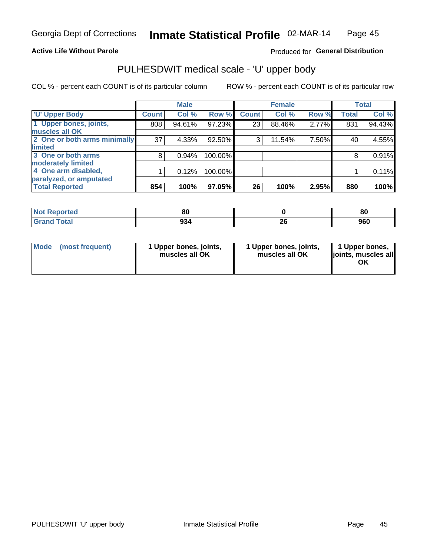#### **Active Life Without Parole**

#### Produced for General Distribution

# PULHESDWIT medical scale - 'U' upper body

COL % - percent each COUNT is of its particular column

|                              |              | <b>Male</b> |         |              | <b>Female</b> |       |              | <b>Total</b> |
|------------------------------|--------------|-------------|---------|--------------|---------------|-------|--------------|--------------|
| <b>U' Upper Body</b>         | <b>Count</b> | Col %       | Row %   | <b>Count</b> | Col %         | Row % | <b>Total</b> | Col %        |
| 1 Upper bones, joints,       | 808          | 94.61%      | 97.23%  | 23           | 88.46%        | 2.77% | 831          | 94.43%       |
| muscles all OK               |              |             |         |              |               |       |              |              |
| 2 One or both arms minimally | 37           | 4.33%       | 92.50%  | 3            | 11.54%        | 7.50% | 40           | 4.55%        |
| limited                      |              |             |         |              |               |       |              |              |
| 3 One or both arms           | 8            | 0.94%       | 100.00% |              |               |       | 8            | 0.91%        |
| <b>moderately limited</b>    |              |             |         |              |               |       |              |              |
| 4 One arm disabled,          |              | 0.12%       | 100.00% |              |               |       |              | 0.11%        |
| paralyzed, or amputated      |              |             |         |              |               |       |              |              |
| <b>Total Reported</b>        | 854          | 100%        | 97.05%  | 26           | 100%          | 2.95% | 880          | 100%         |

| <b>Not Reported</b>   | n,<br>ou |         | 80  |
|-----------------------|----------|---------|-----|
| <b>Total</b><br>Grand | 934      | ^^<br>£ | 960 |

| Mode | (most frequent) | 1 Upper bones, joints,<br>muscles all OK | 1 Upper bones, joints,<br>muscles all OK | 1 Upper bones,<br>ljoints, muscles all<br>ΟK |
|------|-----------------|------------------------------------------|------------------------------------------|----------------------------------------------|
|------|-----------------|------------------------------------------|------------------------------------------|----------------------------------------------|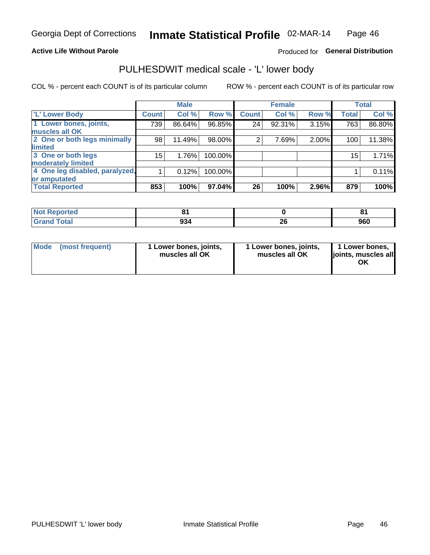#### **Active Life Without Parole**

### Produced for General Distribution

### PULHESDWIT medical scale - 'L' lower body

COL % - percent each COUNT is of its particular column

|                                    | <b>Male</b> |              | <b>Female</b>                                                |       |                 | <b>Total</b>   |
|------------------------------------|-------------|--------------|--------------------------------------------------------------|-------|-----------------|----------------|
| Count <sup>1</sup>                 | Col %       | <b>Count</b> | Col %                                                        | Row % | <b>Total</b>    | Col %          |
| 739                                | 86.64%      | 24           | 92.31%                                                       |       | 763             | 86.80%         |
|                                    |             |              |                                                              |       |                 |                |
| 2 One or both legs minimally<br>98 | 11.49%      | 2            | 7.69%                                                        |       | 100             | 11.38%         |
|                                    |             |              |                                                              |       |                 |                |
| $15\,$                             | 1.76%       |              |                                                              |       | 15 <sub>1</sub> | 1.71%          |
|                                    |             |              |                                                              |       |                 |                |
| 4 One leg disabled, paralyzed,     | 0.12%       |              |                                                              |       |                 | 0.11%          |
|                                    |             |              |                                                              |       |                 |                |
| 853                                | 100%        | 26           | 100%                                                         | 2.96% | 879             | 100%           |
|                                    |             |              | Row %<br>$96.85\%$<br>98.00%<br>100.00%<br>100.00%<br>97.04% |       |                 | 3.15%<br>2.00% |

| <b>Not Reported</b>   |     |         | о.  |
|-----------------------|-----|---------|-----|
| <b>Total</b><br>Grand | 934 | ^^<br>£ | 960 |

| Mode | (most frequent) | 1 Lower bones, joints,<br>muscles all OK | 1 Lower bones, joints,<br>muscles all OK | 1 Lower bones,<br>ljoints, muscles all<br>OK |
|------|-----------------|------------------------------------------|------------------------------------------|----------------------------------------------|
|------|-----------------|------------------------------------------|------------------------------------------|----------------------------------------------|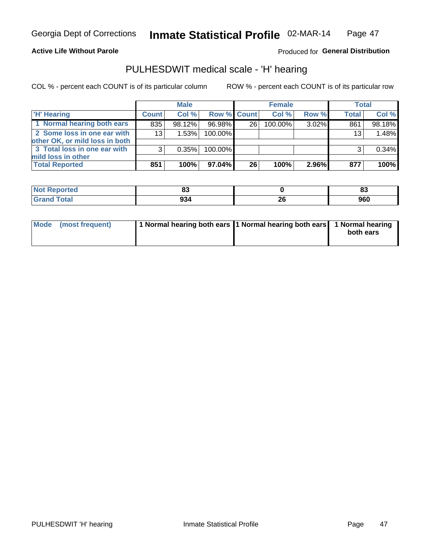#### **Active Life Without Parole**

### Produced for General Distribution

### PULHESDWIT medical scale - 'H' hearing

COL % - percent each COUNT is of its particular column

|                                                               |              | <b>Male</b> |             |    | <b>Female</b> |       | <b>Total</b> |        |
|---------------------------------------------------------------|--------------|-------------|-------------|----|---------------|-------|--------------|--------|
| <b>H'</b> Hearing                                             | <b>Count</b> | Col %       | Row % Count |    | Col%          | Row % | <b>Total</b> | Col %  |
| 1 Normal hearing both ears                                    | 835          | 98.12%      | 96.98%      | 26 | 100.00%       | 3.02% | 861          | 98.18% |
| 2 Some loss in one ear with<br>other OK, or mild loss in both | 13           | 1.53%       | 100.00%     |    |               |       | 13           | 1.48%  |
| 3 Total loss in one ear with<br>mild loss in other            | 3            | 0.35%       | 100.00%     |    |               |       | 3            | 0.34%  |
| <b>Total Reported</b>                                         | 851          | 100%        | 97.04%      | 26 | 100%          | 2.96% | 877          | 100%   |

| ported<br><b>NOT</b> | w           |         | ne.<br>υJ |
|----------------------|-------------|---------|-----------|
| <b>Total</b>         | 00 E<br>594 | …<br>44 | 960       |

| Mode (most frequent) | 1 Normal hearing both ears 1 Normal hearing both ears 1 Normal hearing |           |
|----------------------|------------------------------------------------------------------------|-----------|
|                      |                                                                        | both ears |
|                      |                                                                        |           |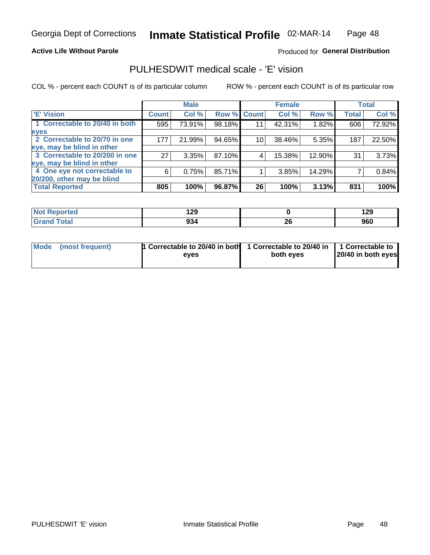#### **Active Life Without Parole**

#### Produced for General Distribution

### PULHESDWIT medical scale - 'E' vision

COL % - percent each COUNT is of its particular column

|                                |              | <b>Male</b> |        |                 | <b>Female</b> |        |              | <b>Total</b> |
|--------------------------------|--------------|-------------|--------|-----------------|---------------|--------|--------------|--------------|
| 'E' Vision                     | <b>Count</b> | Col %       |        | Row % Count     | Col %         | Row %  | <b>Total</b> | Col %        |
| 1 Correctable to 20/40 in both | 595          | 73.91%      | 98.18% | 11              | 42.31%        | 1.82%  | 606          | 72.92%       |
| eyes                           |              |             |        |                 |               |        |              |              |
| 2 Correctable to 20/70 in one  | 177          | 21.99%      | 94.65% | 10 <sub>1</sub> | 38.46%        | 5.35%  | 187          | 22.50%       |
| eye, may be blind in other     |              |             |        |                 |               |        |              |              |
| 3 Correctable to 20/200 in one | 27           | 3.35%       | 87.10% |                 | 15.38%        | 12.90% | 31           | 3.73%        |
| eye, may be blind in other     |              |             |        |                 |               |        |              |              |
| 4 One eye not correctable to   | 6            | 0.75%       | 85.71% |                 | 3.85%         | 14.29% |              | 0.84%        |
| 20/200, other may be blind     |              |             |        |                 |               |        |              |              |
| <b>Total Reported</b>          | 805          | 100%        | 96.87% | 26              | 100%          | 3.13%  | 831          | 100%         |

| <b>Not Reported</b> | 190<br>ै∽∸ |                                             | ספי<br>14J |
|---------------------|------------|---------------------------------------------|------------|
| Total               | 934        | ኅር<br>ZV<br>the contract of the contract of | 960        |

| Mode (most frequent) | <sup>1</sup> Correctable to 20/40 in both 1 Correctable to 20/40 in 1 Correctable to<br>eves | both eyes | 20/40 in both eyes |  |
|----------------------|----------------------------------------------------------------------------------------------|-----------|--------------------|--|
|                      |                                                                                              |           |                    |  |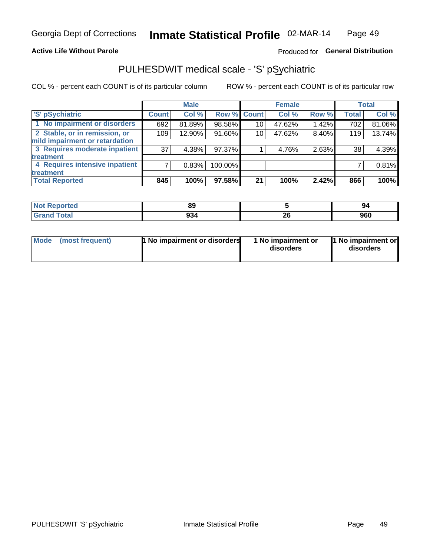#### **Active Life Without Parole**

### Produced for General Distribution

## PULHESDWIT medical scale - 'S' pSychiatric

COL % - percent each COUNT is of its particular column

|                                |              | <b>Male</b> |             |    | <b>Female</b> |       |              | <b>Total</b> |
|--------------------------------|--------------|-------------|-------------|----|---------------|-------|--------------|--------------|
| 'S' pSychiatric                | <b>Count</b> | Col %       | Row % Count |    | Col %         | Row % | <b>Total</b> | Col %        |
| 1 No impairment or disorders   | 692          | 81.89%      | 98.58%      | 10 | 47.62%        | 1.42% | 702          | 81.06%       |
| 2 Stable, or in remission, or  | 109          | 12.90%      | 91.60%      | 10 | 47.62%        | 8.40% | 119          | 13.74%       |
| mild impairment or retardation |              |             |             |    |               |       |              |              |
| 3 Requires moderate inpatient  | 37           | 4.38%       | 97.37%      |    | 4.76%         | 2.63% | 38           | 4.39%        |
| <b>treatment</b>               |              |             |             |    |               |       |              |              |
| 4 Requires intensive inpatient |              | 0.83%       | 100.00%     |    |               |       |              | 0.81%        |
| <b>treatment</b>               |              |             |             |    |               |       |              |              |
| <b>Total Reported</b>          | 845          | 100%        | 97.58%      | 21 | 100%          | 2.42% | 866          | 100%         |

| тес | 0C<br>oz    |          | 94  |
|-----|-------------|----------|-----|
|     | י פס<br>J30 | n,<br>ΔU | 960 |

| Mode | (most frequent) | 1 No impairment or disorders | 1 No impairment or<br>disorders | 1 No impairment or<br>disorders |
|------|-----------------|------------------------------|---------------------------------|---------------------------------|
|------|-----------------|------------------------------|---------------------------------|---------------------------------|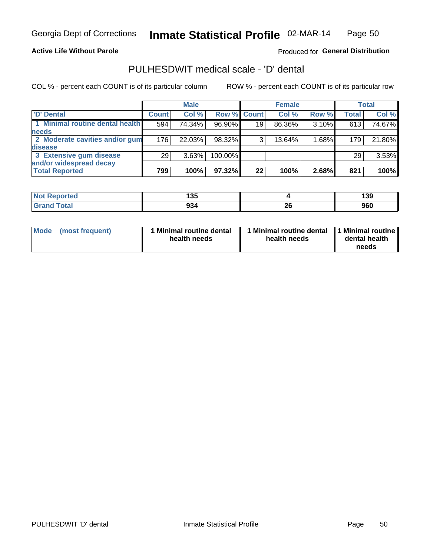#### **Active Life Without Parole**

Produced for General Distribution

### PULHESDWIT medical scale - 'D' dental

COL % - percent each COUNT is of its particular column

|                                 |              | <b>Male</b> |                    |    | <b>Female</b> |       |              | Total  |
|---------------------------------|--------------|-------------|--------------------|----|---------------|-------|--------------|--------|
| 'D' Dental                      | <b>Count</b> | Col %       | <b>Row % Count</b> |    | Col %         | Row % | <b>Total</b> | Col %  |
| 1 Minimal routine dental health | 594          | 74.34%      | 96.90%             | 19 | 86.36%        | 3.10% | 613          | 74.67% |
| <b>needs</b>                    |              |             |                    |    |               |       |              |        |
| 2 Moderate cavities and/or gum  | 176          | 22.03%      | 98.32%             | 3  | 13.64%        | 1.68% | 179          | 21.80% |
| <b>disease</b>                  |              |             |                    |    |               |       |              |        |
| 3 Extensive gum disease         | 29           | 3.63%       | 100.00%            |    |               |       | 29           | 3.53%  |
| and/or widespread decay         |              |             |                    |    |               |       |              |        |
| <b>Total Reported</b>           | 799          | 100%        | 97.32%             | 22 | 100%          | 2.68% | 821          | 100%   |

| $\blacksquare$ NOT REDOLTEQ | ィっこ<br>טטו |          | 139 |
|-----------------------------|------------|----------|-----|
| <b>Total</b>                | 934        | ኅረ<br>ZQ | 960 |

| <b>Mode</b>     | Minimal routine dental | 1 Minimal routine dental 1 Minimal routine | dental health |
|-----------------|------------------------|--------------------------------------------|---------------|
| (most frequent) | health needs           | health needs                               | needs         |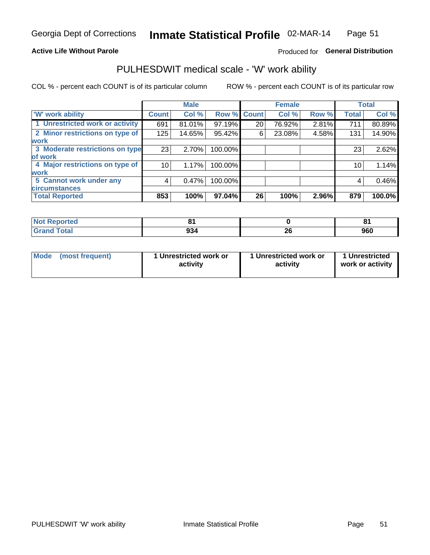#### **Active Life Without Parole**

### Produced for General Distribution

### PULHESDWIT medical scale - 'W' work ability

COL % - percent each COUNT is of its particular column

|                                 |              | <b>Male</b> |         |             | <b>Female</b> |       |              | <b>Total</b> |
|---------------------------------|--------------|-------------|---------|-------------|---------------|-------|--------------|--------------|
| <b>W' work ability</b>          | <b>Count</b> | Col %       |         | Row % Count | Col %         | Row % | <b>Total</b> | Col %        |
| 1 Unrestricted work or activity | 691          | 81.01%      | 97.19%  | 20          | 76.92%        | 2.81% | 711          | 80.89%       |
| 2 Minor restrictions on type of | 125          | 14.65%      | 95.42%  | 6           | 23.08%        | 4.58% | 131          | 14.90%       |
| <b>work</b>                     |              |             |         |             |               |       |              |              |
| 3 Moderate restrictions on type | 23           | 2.70%       | 100.00% |             |               |       | 23           | 2.62%        |
| of work                         |              |             |         |             |               |       |              |              |
| 4 Major restrictions on type of | 10           | 1.17%       | 100.00% |             |               |       | 10           | 1.14%        |
| <b>work</b>                     |              |             |         |             |               |       |              |              |
| 5 Cannot work under any         | 4            | 0.47%       | 100.00% |             |               |       | 4            | 0.46%        |
| <b>circumstances</b>            |              |             |         |             |               |       |              |              |
| <b>Total Reported</b>           | 853          | 100%        | 97.04%  | 26          | 100%          | 2.96% | 879          | 100.0%       |

| <b>Not Reported</b> | o.  |          | о.  |
|---------------------|-----|----------|-----|
| <b>Grand Total</b>  | 934 | ^^<br>Zu | 960 |

| <b>Mode</b> | (most frequent) | 1 Unrestricted work or<br>activity | 1 Unrestricted work or<br>activity | 1 Unrestricted<br>work or activity |
|-------------|-----------------|------------------------------------|------------------------------------|------------------------------------|
|-------------|-----------------|------------------------------------|------------------------------------|------------------------------------|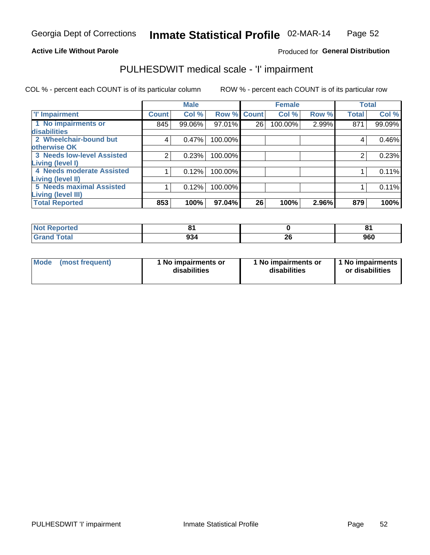#### **Active Life Without Parole**

#### Produced for General Distribution

## PULHESDWIT medical scale - 'I' impairment

|                                   |              | <b>Male</b> |             |    | <b>Female</b> |       |              | <b>Total</b> |
|-----------------------------------|--------------|-------------|-------------|----|---------------|-------|--------------|--------------|
| <b>T' Impairment</b>              | <b>Count</b> | Col %       | Row % Count |    | Col %         | Row % | <b>Total</b> | Col %        |
| 1 No impairments or               | 845          | 99.06%      | 97.01%      | 26 | 100.00%       | 2.99% | 871          | 99.09%       |
| <b>disabilities</b>               |              |             |             |    |               |       |              |              |
| 2 Wheelchair-bound but            | 4            | 0.47%       | 100.00%     |    |               |       | 4            | 0.46%        |
| otherwise OK                      |              |             |             |    |               |       |              |              |
| <b>3 Needs low-level Assisted</b> | 2            | 0.23%       | 100.00%     |    |               |       | 2            | 0.23%        |
| Living (level I)                  |              |             |             |    |               |       |              |              |
| 4 Needs moderate Assisted         |              | 0.12%       | 100.00%     |    |               |       |              | 0.11%        |
| <b>Living (level II)</b>          |              |             |             |    |               |       |              |              |
| 5 Needs maximal Assisted          |              | 0.12%       | 100.00%     |    |               |       |              | 0.11%        |
| <b>Living (level III)</b>         |              |             |             |    |               |       |              |              |
| <b>Total Reported</b>             | 853          | 100%        | 97.04%      | 26 | 100%          | 2.96% | 879          | 100%         |

| Reported     | $\sim$      |          | п.  |
|--------------|-------------|----------|-----|
| <b>Total</b> | ດາ 4<br>934 | ^^<br>ZV | 960 |

| Mode | (most frequent) | 1 No impairments or<br>disabilities | 1 No impairments or<br>disabilities | 1 No impairments<br>or disabilities |
|------|-----------------|-------------------------------------|-------------------------------------|-------------------------------------|
|------|-----------------|-------------------------------------|-------------------------------------|-------------------------------------|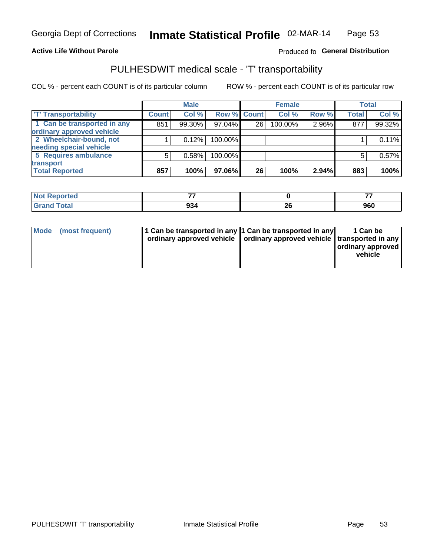#### **Active Life Without Parole**

#### Produced fo General Distribution

## PULHESDWIT medical scale - 'T' transportability

COL % - percent each COUNT is of its particular column

|                             |              | <b>Male</b> |             |    | <b>Female</b> |       |              | <b>Total</b> |
|-----------------------------|--------------|-------------|-------------|----|---------------|-------|--------------|--------------|
| <b>T' Transportability</b>  | <b>Count</b> | Col %       | Row % Count |    | Col %         | Row % | <b>Total</b> | Col %        |
| 1 Can be transported in any | 851          | 99.30%      | 97.04%      | 26 | 100.00%       | 2.96% | 877          | 99.32%       |
| ordinary approved vehicle   |              |             |             |    |               |       |              |              |
| 2 Wheelchair-bound, not     |              | 0.12%       | 100.00%     |    |               |       |              | 0.11%        |
| needing special vehicle     |              |             |             |    |               |       |              |              |
| 5 Requires ambulance        | 5            | 0.58%       | 100.00%     |    |               |       |              | 0.57%        |
| transport                   |              |             |             |    |               |       |              |              |
| <b>Total Reported</b>       | 857          | 100%        | 97.06%      | 26 | 100%          | 2.94% | 883          | 100%         |

| .eported     | --  |    | --                |
|--------------|-----|----|-------------------|
| <b>Total</b> | 934 | ZV | ner<br><b>JOU</b> |

| Mode | (most frequent) | 1 Can be transported in any 1 Can be transported in any | ordinary approved vehicle   ordinary approved vehicle   transported in any | 1 Can be<br>  ordinary approved<br>vehicle |
|------|-----------------|---------------------------------------------------------|----------------------------------------------------------------------------|--------------------------------------------|
|      |                 |                                                         |                                                                            |                                            |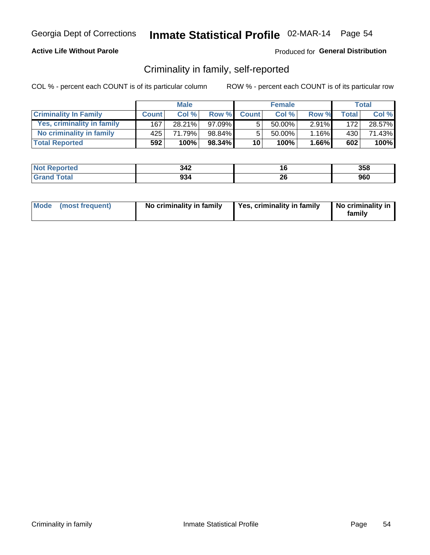#### **Active Life Without Parole**

#### Produced for General Distribution

### Criminality in family, self-reported

COL % - percent each COUNT is of its particular column

|                              | <b>Male</b>  |        | <b>Female</b> |                 |           | Total    |              |        |
|------------------------------|--------------|--------|---------------|-----------------|-----------|----------|--------------|--------|
| <b>Criminality In Family</b> | <b>Count</b> | Col %  | Row %         | <b>Count</b>    | Col %     | Row %    | <b>Total</b> | Col %  |
| Yes, criminality in family   | 167          | 28.21% | 97.09%        | 5               | 50.00%    | $2.91\%$ | 172          | 28.57% |
| No criminality in family     | 425          | 71.79% | 98.84%        | 5               | $50.00\%$ | 1.16%    | 430          | 71.43% |
| <b>Total Reported</b>        | 592          | 100%   | $98.34\%$     | 10 <sup>1</sup> | 100%      | $1.66\%$ | 602          | 100%   |

| <b>Not Reported</b>       | つれつ<br>一 | ı. | nca<br>ააი |
|---------------------------|----------|----|------------|
| `otal<br>$^{\circ}$ Grano | 934      | 4V | nrr<br>JUU |

|  | Mode (most frequent) | No criminality in family | Yes, criminality in family | No criminality in<br>family |
|--|----------------------|--------------------------|----------------------------|-----------------------------|
|--|----------------------|--------------------------|----------------------------|-----------------------------|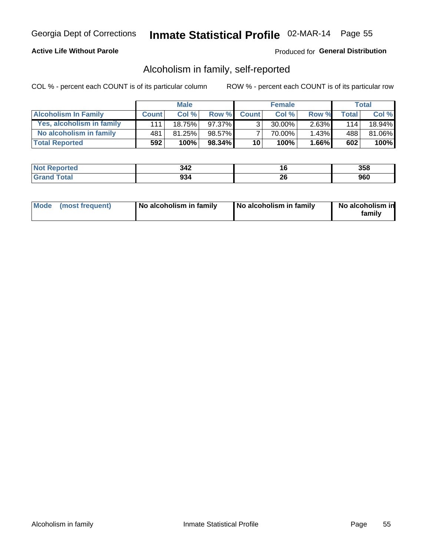#### **Active Life Without Parole**

#### Produced for General Distribution

### Alcoholism in family, self-reported

COL % - percent each COUNT is of its particular column

|                             | <b>Male</b>  |        | <b>Female</b> |                 |        | Total    |              |           |
|-----------------------------|--------------|--------|---------------|-----------------|--------|----------|--------------|-----------|
| <b>Alcoholism In Family</b> | <b>Count</b> | Col%   | Row %         | <b>Count</b>    | Col %  | Row %    | <b>Total</b> | Col %     |
| Yes, alcoholism in family   | 111          | 18.75% | 97.37%        | 2               | 30.00% | $2.63\%$ | 114          | $18.94\%$ |
| No alcoholism in family     | 481          | 81.25% | 98.57%        |                 | 70.00% | $1.43\%$ | 488          | 81.06%    |
| <b>Total Reported</b>       | 592          | 100%   | $98.34\%$     | 10 <sup>1</sup> | 100%   | $1.66\%$ | 602          | 100%      |

| <b>Not Reported</b>       | つれつ<br>一 | ı. | nca<br>ააი |
|---------------------------|----------|----|------------|
| `otal<br>$^{\circ}$ Grano | 934      | 4V | nrr<br>JUU |

|  | Mode (most frequent) | No alcoholism in family | No alcoholism in family | No alcoholism in<br>family |
|--|----------------------|-------------------------|-------------------------|----------------------------|
|--|----------------------|-------------------------|-------------------------|----------------------------|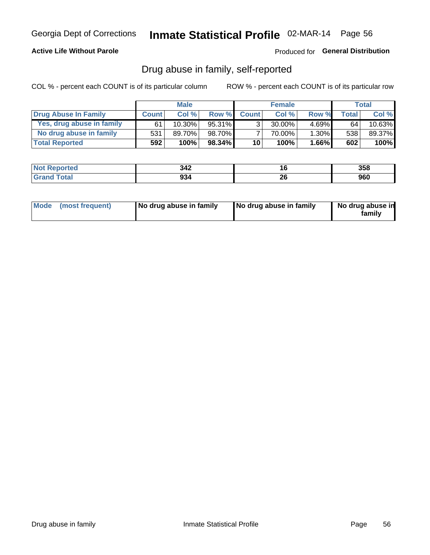#### **Active Life Without Parole**

Produced for General Distribution

### Drug abuse in family, self-reported

COL % - percent each COUNT is of its particular column

|                           | <b>Male</b>  |        | <b>Female</b> |                 |           | <b>Total</b> |         |           |
|---------------------------|--------------|--------|---------------|-----------------|-----------|--------------|---------|-----------|
| Drug Abuse In Family      | <b>Count</b> | Col%   | Row %         | <b>Count</b>    | Col%      | Row %        | Total . | Col %     |
| Yes, drug abuse in family | 61           | 10.30% | $95.31\%$     | 3 <sub>1</sub>  | $30.00\%$ | $4.69\%$     | 64      | $10.63\%$ |
| No drug abuse in family   | 531          | 89.70% | 98.70%        |                 | 70.00%    | $1.30\%$     | 538     | 89.37%    |
| <b>Total Reported</b>     | 592          | 100%   | $98.34\%$     | 10 <sub>1</sub> | 100%      | $1.66\%$     | 602     | 100%      |

| <b>Not</b><br><b>`Reported</b> | 342 | ı u      | 358        |
|--------------------------------|-----|----------|------------|
| <b>Total</b>                   | 934 | n,<br>ZU | ner<br>ฮบบ |

|  | Mode (most frequent) | No drug abuse in family | No drug abuse in family | No drug abuse in<br>familv |
|--|----------------------|-------------------------|-------------------------|----------------------------|
|--|----------------------|-------------------------|-------------------------|----------------------------|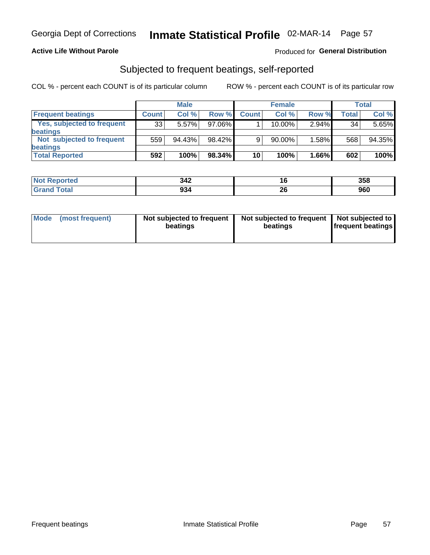#### **Active Life Without Parole**

#### Produced for General Distribution

### Subjected to frequent beatings, self-reported

COL % - percent each COUNT is of its particular column

|                                   |              | <b>Male</b> |           |              | <b>Female</b> |       |       | Total  |
|-----------------------------------|--------------|-------------|-----------|--------------|---------------|-------|-------|--------|
| <b>Frequent beatings</b>          | <b>Count</b> | Col %       | Row %     | <b>Count</b> | Col %         | Row % | Total | Col %  |
| <b>Yes, subjected to frequent</b> | 33           | 5.57%       | 97.06%    |              | 10.00%        | 2.94% | 34    | 5.65%  |
| <b>beatings</b>                   |              |             |           |              |               |       |       |        |
| Not subjected to frequent         | 559          | 94.43%      | 98.42%    | 9            | 90.00%        | 1.58% | 568   | 94.35% |
| <b>beatings</b>                   |              |             |           |              |               |       |       |        |
| <b>Total Reported</b>             | 592          | 100%        | $98.34\%$ | 10           | 100%          | 1.66% | 602   | 100%   |

| <b>Not Reported</b> | 342 | ιu       | 358 |
|---------------------|-----|----------|-----|
| <b>Total</b>        | 934 | ^^<br>zo | 960 |

| Mode (most frequent) | Not subjected to frequent<br>beatings | Not subjected to frequent<br>beatings | Not subjected to<br><b>frequent beatings</b> |
|----------------------|---------------------------------------|---------------------------------------|----------------------------------------------|
|                      |                                       |                                       |                                              |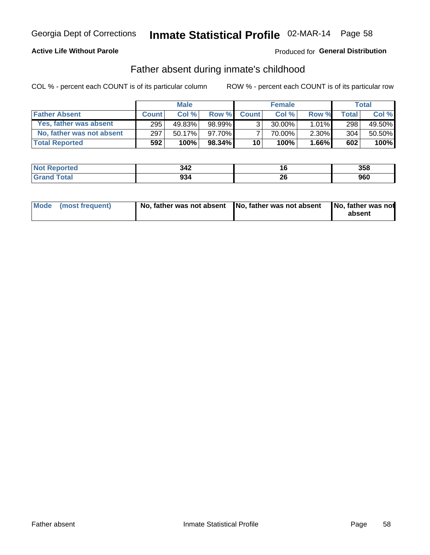#### **Active Life Without Parole**

### Produced for General Distribution

### Father absent during inmate's childhood

COL % - percent each COUNT is of its particular column

|                           | <b>Male</b>  |           | <b>Female</b> |              |           | <b>Total</b> |              |        |
|---------------------------|--------------|-----------|---------------|--------------|-----------|--------------|--------------|--------|
| <b>Father Absent</b>      | <b>Count</b> | Col%      | Row %         | <b>Count</b> | Col%      | Row %        | <b>Total</b> | Col %  |
| Yes, father was absent    | 295          | 49.83%    | $98.99\%$     | 3            | $30.00\%$ | $1.01\%$     | 298          | 49.50% |
| No, father was not absent | 297          | $50.17\%$ | 97.70%I       |              | 70.00%    | $2.30\%$     | 304          | 50.50% |
| <b>Total Reported</b>     | 592          | 100%      | $98.34\%$     | 10           | 100%      | $1.66\%$     | 602          | 100%   |

| <b>Not Reported</b> | 342 |          | 358 |
|---------------------|-----|----------|-----|
| <b>Total</b>        | 934 | ኅር<br>zu | 960 |

|  | Mode (most frequent) | No, father was not absent No, father was not absent |  | No, father was not<br>absent |
|--|----------------------|-----------------------------------------------------|--|------------------------------|
|--|----------------------|-----------------------------------------------------|--|------------------------------|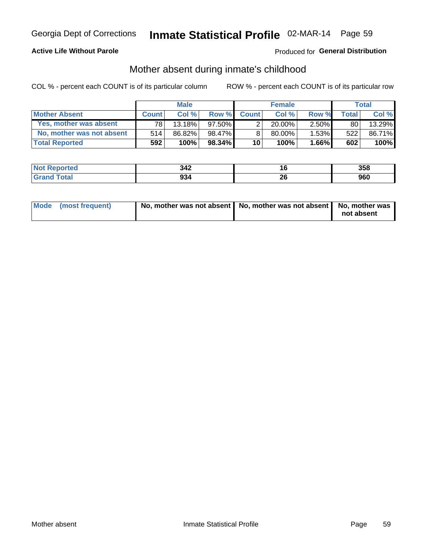#### **Active Life Without Parole**

### Produced for General Distribution

### Mother absent during inmate's childhood

COL % - percent each COUNT is of its particular column

|                           | <b>Male</b>  |           | <b>Female</b> |                 |           | Total    |              |        |
|---------------------------|--------------|-----------|---------------|-----------------|-----------|----------|--------------|--------|
| <b>Mother Absent</b>      | <b>Count</b> | Col%      | Row %         | <b>Count</b>    | Col%      | Row %    | <b>Total</b> | Col %  |
| Yes, mother was absent    | 781          | $13.18\%$ | $97.50\%$     | $\overline{2}$  | $20.00\%$ | $2.50\%$ | 80           | 13.29% |
| No, mother was not absent | 514          | 86.82%    | 98.47%        | 8               | 80.00%    | 1.53%    | 522          | 86.71% |
| <b>Total Reported</b>     | 592          | 100%      | 98.34% 1      | 10 <sup>1</sup> | 100%      | $1.66\%$ | 602          | 100%   |

| <b>Not Reported</b> | 342 | I.O      | 358        |
|---------------------|-----|----------|------------|
| <b>Total</b>        | 934 | ^^<br>ZV | ner<br>ฮบบ |

| Mode (most frequent) | No, mother was not absent   No, mother was not absent   No, mother was | not absent |
|----------------------|------------------------------------------------------------------------|------------|
|                      |                                                                        |            |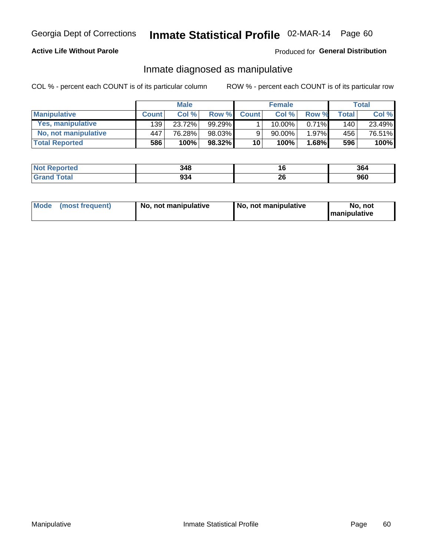#### **Active Life Without Parole**

#### Produced for General Distribution

### Inmate diagnosed as manipulative

COL % - percent each COUNT is of its particular column

|                       | <b>Male</b>  |        | <b>Female</b> |                 |           | Total |                  |        |
|-----------------------|--------------|--------|---------------|-----------------|-----------|-------|------------------|--------|
| <b>Manipulative</b>   | <b>Count</b> | Col%   | Row %         | <b>Count</b>    | Col%      | Row % | <b>Total</b>     | Col %  |
| Yes, manipulative     | 139          | 23.72% | $99.29\%$     |                 | 10.00%    | 0.71% | 140 <sup>1</sup> | 23.49% |
| No, not manipulative  | 447          | 76.28% | 98.03%        | 9               | 90.00%    | 1.97% | 456              | 76.51% |
| <b>Total Reported</b> | 586          | 100%   | $98.32\%$     | 10 <sup>1</sup> | $100\%$ . | 1.68% | 596              | 100%   |

| <b>Not Reported</b> | 348 | l b      | 364 |
|---------------------|-----|----------|-----|
| <b>Total</b>        | 934 | ኅረ<br>ZU | 960 |

|  | Mode (most frequent) | No, not manipulative | No, not manipulative | No. not<br><b>I</b> manipulative |
|--|----------------------|----------------------|----------------------|----------------------------------|
|--|----------------------|----------------------|----------------------|----------------------------------|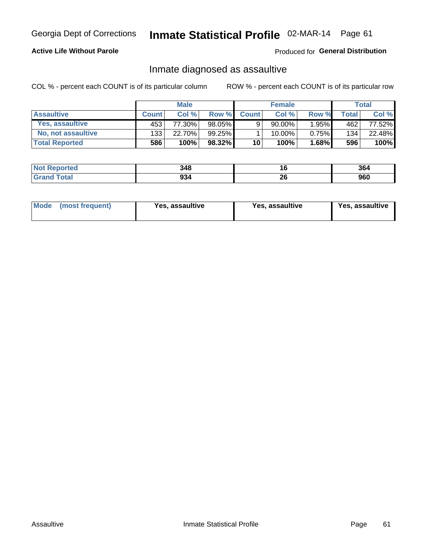## Inmate Statistical Profile 02-MAR-14 Page 61

#### **Active Life Without Parole**

Produced for General Distribution

### Inmate diagnosed as assaultive

COL % - percent each COUNT is of its particular column

|                       | <b>Male</b>  |        | <b>Female</b> |              |        | Total    |       |                 |
|-----------------------|--------------|--------|---------------|--------------|--------|----------|-------|-----------------|
| <b>Assaultive</b>     | <b>Count</b> | Col%   | Row %         | <b>Count</b> | Col %  | Row %    | Total | Col %           |
| Yes, assaultive       | 453          | 77.30% | 98.05%        | 9            | 90.00% | 1.95%    | 462   | 77.52% <b>I</b> |
| No. not assaultive    | 133          | 22.70% | 99.25%        |              | 10.00% | $0.75\%$ | 134   | 22.48%          |
| <b>Total Reported</b> | 586          | 100%   | 98.32%        | 10           | 100%   | $1.68\%$ | 596   | 100%            |

| <b>Not Reported</b> | 348 | ∣ O      | 364        |
|---------------------|-----|----------|------------|
| <b>Total</b>        | 934 | ^^<br>ZQ | ner<br>ฮบบ |

| Mode (most frequent)<br>Yes, assaultive | Yes, assaultive | <b>Yes, assaultive</b> |
|-----------------------------------------|-----------------|------------------------|
|-----------------------------------------|-----------------|------------------------|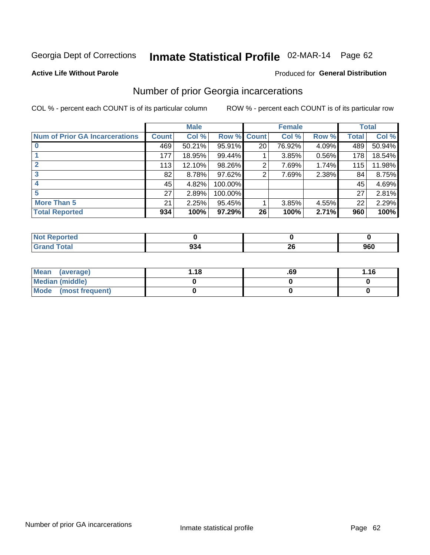## Inmate Statistical Profile 02-MAR-14 Page 62

#### **Active Life Without Parole**

#### Produced for General Distribution

### Number of prior Georgia incarcerations

COL % - percent each COUNT is of its particular column

|                                       |              | <b>Male</b> |             |                 | <b>Female</b> |       |       | <b>Total</b> |
|---------------------------------------|--------------|-------------|-------------|-----------------|---------------|-------|-------|--------------|
| <b>Num of Prior GA Incarcerations</b> | <b>Count</b> | Col %       | Row % Count |                 | Col %         | Row % | Total | Col %        |
|                                       | 469          | 50.21%      | $95.91\%$   | 20 <sub>1</sub> | 76.92%        | 4.09% | 489   | 50.94%       |
|                                       | 177          | 18.95%      | 99.44%      |                 | 3.85%         | 0.56% | 178   | 18.54%       |
|                                       | 113          | 12.10%      | 98.26%      | 2               | 7.69%         | 1.74% | 115   | 11.98%       |
| 3                                     | 82           | 8.78%       | $97.62\%$   | 2               | 7.69%         | 2.38% | 84    | 8.75%        |
| 4                                     | 45           | 4.82%       | 100.00%     |                 |               |       | 45    | 4.69%        |
| 5                                     | 27           | 2.89%       | 100.00%     |                 |               |       | 27    | 2.81%        |
| <b>More Than 5</b>                    | 21           | 2.25%       | 95.45%      |                 | 3.85%         | 4.55% | 22    | 2.29%        |
| <b>Total Reported</b>                 | 934          | 100%        | 97.29%      | 26              | 100%          | 2.71% | 960   | 100%         |

| <b>orteo</b>                    |        |          |     |
|---------------------------------|--------|----------|-----|
| <b>otal</b><br>$\mathbf{v}$ and | . JJ 1 | ^^<br>-- | 960 |

| Mean (average)       | l.18 | .69 | 1.16 |
|----------------------|------|-----|------|
| Median (middle)      |      |     |      |
| Mode (most frequent) |      |     |      |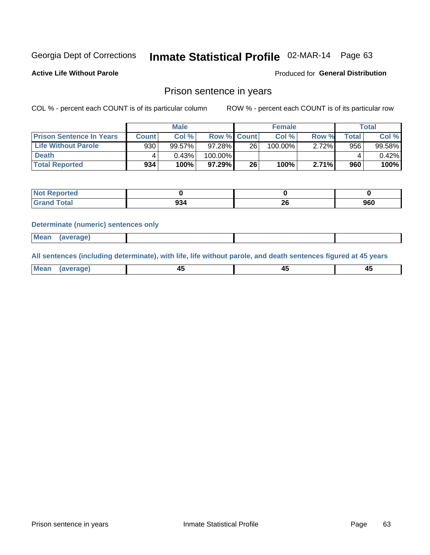## Inmate Statistical Profile 02-MAR-14 Page 63

**Active Life Without Parole** 

Produced for General Distribution

### Prison sentence in years

COL % - percent each COUNT is of its particular column

ROW % - percent each COUNT is of its particular row

|                                 |              | <b>Male</b> |         |                    | <b>Female</b> |       |             | Total  |
|---------------------------------|--------------|-------------|---------|--------------------|---------------|-------|-------------|--------|
| <b>Prison Sentence In Years</b> | <b>Count</b> | Col %       |         | <b>Row % Count</b> | Col %         | Row % | $\tau$ otal | Col %  |
| Life Without Parole             | 930          | 99.57%      | 97.28%  | 26                 | 100.00%       | 2.72% | 956         | 99.58% |
| <b>Death</b>                    | 4            | 0.43%       | 100.00% |                    |               |       |             | 0.42%  |
| <b>Total Reported</b>           | 934          | 100%        | 97.29%  | 26                 | 100%          | 2.71% | 960         | 100%   |

| <b>Not</b><br>Reported |            |          |     |
|------------------------|------------|----------|-----|
| <b>Total</b>           | nn,<br>994 | ^^<br>Zv | 960 |

#### **Determinate (numeric) sentences only**

| ' Mea<br><b>Service</b> A<br>ЯМА. |  |  |  |
|-----------------------------------|--|--|--|
|                                   |  |  |  |

All sentences (including determinate), with life, life without parole, and death sentences figured at 45 years

| l Mea<br>'апе<br>.<br> | ᠇<br>$\sim$ | $\sim$ |  |
|------------------------|-------------|--------|--|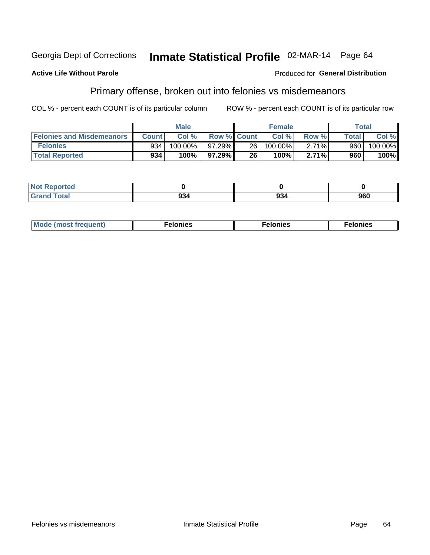#### **Active Life Without Parole**

#### Produced for General Distribution

### Primary offense, broken out into felonies vs misdemeanors

COL % - percent each COUNT is of its particular column

|                                  |              | <b>Male</b> |                    |      | <b>Female</b> |       |                    | Total   |
|----------------------------------|--------------|-------------|--------------------|------|---------------|-------|--------------------|---------|
| <b>Felonies and Misdemeanors</b> | <b>Count</b> | Col%        | <b>Row % Count</b> |      | Col%          | Row % | Total <sub>1</sub> | Col %   |
| <b>Felonies</b>                  | 934          | 100.00%     | 97.29%             | 26 l | $100.00\%$    | 2.71% | 960                | 100.00% |
| <b>Total Reported</b>            | 934          | 100%        | 97.29%             | 26   | 100%          | 2.71% | 960                | 100%    |

| <b>Not Reported</b>          |     |     |
|------------------------------|-----|-----|
| <b>Total</b><br>Grand<br>uuu | 994 | 960 |

| <b>Mode</b><br>frequent)<br>nies<br>≧ (most tr.<br>. | onies<br>. | lonies<br>ею<br>____ |
|------------------------------------------------------|------------|----------------------|
|------------------------------------------------------|------------|----------------------|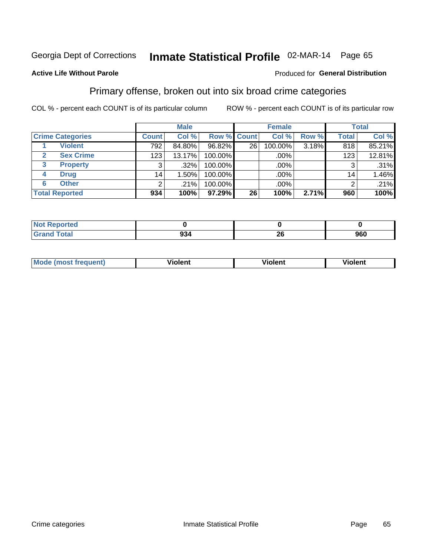# Inmate Statistical Profile 02-MAR-14 Page 65

#### **Active Life Without Parole**

#### Produced for General Distribution

### Primary offense, broken out into six broad crime categories

COL % - percent each COUNT is of its particular column

|                                  |              | <b>Male</b> |                    |    | <b>Female</b> |       |              | <b>Total</b> |
|----------------------------------|--------------|-------------|--------------------|----|---------------|-------|--------------|--------------|
| <b>Crime Categories</b>          | <b>Count</b> | Col %       | <b>Row % Count</b> |    | Col %         | Row % | <b>Total</b> | Col %        |
| <b>Violent</b>                   | 792          | 84.80%      | 96.82%             | 26 | 100.00%       | 3.18% | 818          | 85.21%       |
| <b>Sex Crime</b><br>$\mathbf{2}$ | 123          | 13.17%      | 100.00%            |    | .00%          |       | 123          | 12.81%       |
| 3<br><b>Property</b>             | 3            | $.32\%$     | 100.00%            |    | .00%          |       | 3            | .31%         |
| <b>Drug</b><br>4                 | 14           | $.50\%$     | 100.00%            |    | .00%          |       | 14           | 1.46%        |
| <b>Other</b><br>6                | 2            | .21%        | 100.00%            |    | .00%          |       | 2            | .21%         |
| <b>Total Reported</b>            | 934          | 100%        | 97.29%             | 26 | 100%          | 2.71% | 960          | 100%         |

| <b>Not Reported</b> |         |          |     |
|---------------------|---------|----------|-----|
| Total               | <br>934 | ^^<br>ZU | 960 |

| М | ,,, | - -- -<br>וחו | m |
|---|-----|---------------|---|
|   |     |               |   |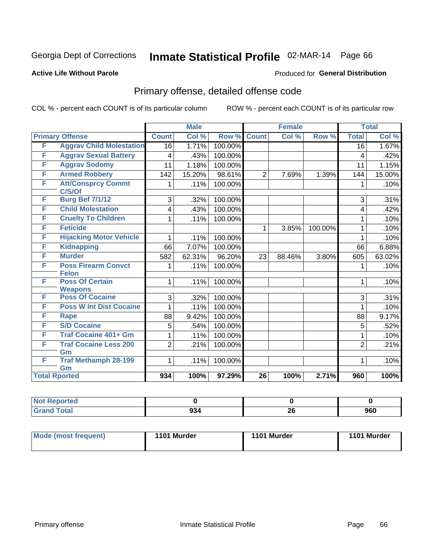# Inmate Statistical Profile 02-MAR-14 Page 66

#### **Active Life Without Parole**

#### Produced for General Distribution

## Primary offense, detailed offense code

COL % - percent each COUNT is of its particular column

|   |                                            |                 | <b>Male</b> |         |                 | <b>Female</b> |         |                 | <b>Total</b> |
|---|--------------------------------------------|-----------------|-------------|---------|-----------------|---------------|---------|-----------------|--------------|
|   | <b>Primary Offense</b>                     | <b>Count</b>    | Col %       | Row %   | <b>Count</b>    | Col %         | Row %   | <b>Total</b>    | Col %        |
| F | <b>Aggrav Child Molestation</b>            | $\overline{16}$ | 1.71%       | 100.00% |                 |               |         | $\overline{16}$ | 1.67%        |
| F | <b>Aggrav Sexual Battery</b>               | 4               | .43%        | 100.00% |                 |               |         | 4               | .42%         |
| F | <b>Aggrav Sodomy</b>                       | 11              | 1.18%       | 100.00% |                 |               |         | 11              | 1.15%        |
| F | <b>Armed Robbery</b>                       | 142             | 15.20%      | 98.61%  | $\overline{2}$  | 7.69%         | 1.39%   | 144             | 15.00%       |
| F | <b>Att/Consprcy Commt</b><br>C/S/Of        | 1               | .11%        | 100.00% |                 |               |         | 1               | .10%         |
| F | <b>Burg Bef 7/1/12</b>                     | 3               | .32%        | 100.00% |                 |               |         | 3               | .31%         |
| F | <b>Child Molestation</b>                   | 4               | .43%        | 100.00% |                 |               |         | 4               | .42%         |
| F | <b>Cruelty To Children</b>                 | 1               | .11%        | 100.00% |                 |               |         | 1               | .10%         |
| F | <b>Feticide</b>                            |                 |             |         | 1               | 3.85%         | 100.00% | 1               | .10%         |
| F | <b>Hijacking Motor Vehicle</b>             | 1               | .11%        | 100.00% |                 |               |         | 1               | .10%         |
| F | <b>Kidnapping</b>                          | 66              | 7.07%       | 100.00% |                 |               |         | 66              | 6.88%        |
| F | <b>Murder</b>                              | 582             | 62.31%      | 96.20%  | 23              | 88.46%        | 3.80%   | 605             | 63.02%       |
| F | <b>Poss Firearm Convct</b><br><b>Felon</b> | 1               | .11%        | 100.00% |                 |               |         |                 | .10%         |
| F | <b>Poss Of Certain</b><br><b>Weapons</b>   | 1               | .11%        | 100.00% |                 |               |         | 1               | .10%         |
| F | <b>Poss Of Cocaine</b>                     | 3               | .32%        | 100.00% |                 |               |         | 3               | .31%         |
| F | <b>Poss W Int Dist Cocaine</b>             |                 | .11%        | 100.00% |                 |               |         | 1               | .10%         |
| F | <b>Rape</b>                                | 88              | 9.42%       | 100.00% |                 |               |         | 88              | 9.17%        |
| F | <b>S/D Cocaine</b>                         | 5               | .54%        | 100.00% |                 |               |         | 5               | .52%         |
| F | <b>Traf Cocaine 401+ Gm</b>                | 1               | .11%        | 100.00% |                 |               |         | 1               | .10%         |
| F | <b>Traf Cocaine Less 200</b><br>Gm         | $\overline{2}$  | .21%        | 100.00% |                 |               |         | $\overline{2}$  | .21%         |
| F | <b>Traf Methamph 28-199</b><br>Gm          | 1.              | .11%        | 100.00% |                 |               |         | $\mathbf 1$     | .10%         |
|   | <b>Total Rported</b>                       | 934             | 100%        | 97.29%  | $\overline{26}$ | 100%          | 2.71%   | 960             | 100%         |

| Reported           |          |          |     |
|--------------------|----------|----------|-----|
| <b>Grand Total</b> | ົ<br>ສວ∗ | 06<br>ZV | 960 |

| <b>Mode (most frequent)</b> | 1101 Murder | 1101 Murder | 1101 Murder |
|-----------------------------|-------------|-------------|-------------|
|                             |             |             |             |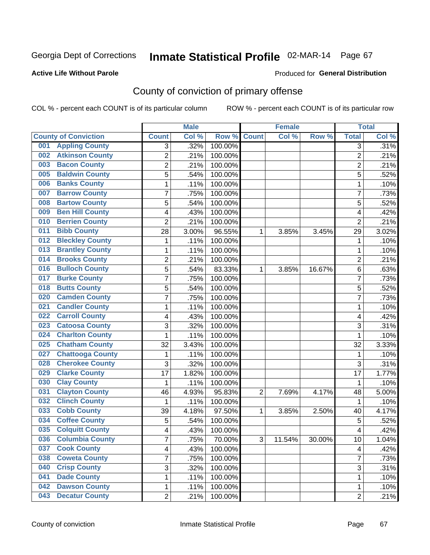#### **Active Life Without Parole**

#### Produced for **General Distribution**

## County of conviction of primary offense

|                                |                         | <b>Male</b> |         |                | <b>Female</b> |           |                         | <b>Total</b> |
|--------------------------------|-------------------------|-------------|---------|----------------|---------------|-----------|-------------------------|--------------|
| <b>County of Conviction</b>    | <b>Count</b>            | Col %       | Row %   | <b>Count</b>   | Col %         | Row %     | <b>Total</b>            | Col %        |
| <b>Appling County</b><br>001   | 3                       | .32%        | 100.00% |                |               |           | $\overline{3}$          | .31%         |
| <b>Atkinson County</b><br>002  | $\overline{2}$          | .21%        | 100.00% |                |               |           | $\overline{2}$          | .21%         |
| <b>Bacon County</b><br>003     | 2                       | .21%        | 100.00% |                |               |           | $\overline{2}$          | .21%         |
| <b>Baldwin County</b><br>005   | 5                       | .54%        | 100.00% |                |               |           | 5                       | .52%         |
| <b>Banks County</b><br>006     | 1                       | .11%        | 100.00% |                |               |           | $\mathbf{1}$            | .10%         |
| <b>Barrow County</b><br>007    | 7                       | .75%        | 100.00% |                |               |           | $\overline{7}$          | .73%         |
| <b>Bartow County</b><br>008    | 5                       | .54%        | 100.00% |                |               |           | 5                       | .52%         |
| <b>Ben Hill County</b><br>009  | 4                       | .43%        | 100.00% |                |               |           | 4                       | .42%         |
| <b>Berrien County</b><br>010   | $\overline{2}$          | .21%        | 100.00% |                |               |           | $\overline{2}$          | .21%         |
| <b>Bibb County</b><br>011      | 28                      | 3.00%       | 96.55%  | 1              | 3.85%         | 3.45%     | 29                      | 3.02%        |
| <b>Bleckley County</b><br>012  | 1                       | .11%        | 100.00% |                |               |           | $\mathbf 1$             | .10%         |
| <b>Brantley County</b><br>013  | 1                       | .11%        | 100.00% |                |               |           | 1                       | .10%         |
| <b>Brooks County</b><br>014    | 2                       | .21%        | 100.00% |                |               |           | $\overline{2}$          | .21%         |
| <b>Bulloch County</b><br>016   | 5                       | .54%        | 83.33%  | 1              | 3.85%         | 16.67%    | 6                       | .63%         |
| <b>Burke County</b><br>017     | $\overline{7}$          | .75%        | 100.00% |                |               |           | $\overline{7}$          | .73%         |
| <b>Butts County</b><br>018     | 5                       | .54%        | 100.00% |                |               |           | 5                       | .52%         |
| <b>Camden County</b><br>020    | 7                       | .75%        | 100.00% |                |               |           | 7                       | .73%         |
| <b>Candler County</b><br>021   | 1                       | .11%        | 100.00% |                |               |           | 1                       | .10%         |
| <b>Carroll County</b><br>022   | 4                       | .43%        | 100.00% |                |               |           | 4                       | .42%         |
| <b>Catoosa County</b><br>023   | 3                       | .32%        | 100.00% |                |               |           | 3                       | .31%         |
| <b>Charlton County</b><br>024  | 1                       | .11%        | 100.00% |                |               |           | $\mathbf{1}$            | .10%         |
| <b>Chatham County</b><br>025   | 32                      | 3.43%       | 100.00% |                |               |           | 32                      | 3.33%        |
| <b>Chattooga County</b><br>027 | 1                       | .11%        | 100.00% |                |               |           | 1                       | .10%         |
| <b>Cherokee County</b><br>028  | 3                       | .32%        | 100.00% |                |               |           | 3                       | .31%         |
| <b>Clarke County</b><br>029    | 17                      | 1.82%       | 100.00% |                |               |           | 17                      | 1.77%        |
| <b>Clay County</b><br>030      | 1                       | .11%        | 100.00% |                |               |           | 1                       | .10%         |
| <b>Clayton County</b><br>031   | 46                      | 4.93%       | 95.83%  | $\overline{2}$ | 7.69%         | 4.17%     | 48                      | 5.00%        |
| <b>Clinch County</b><br>032    | 1                       | .11%        | 100.00% |                |               |           | 1                       | .10%         |
| <b>Cobb County</b><br>033      | 39                      | 4.18%       | 97.50%  | 1              | 3.85%         | 2.50%     | 40                      | 4.17%        |
| <b>Coffee County</b><br>034    | 5                       | .54%        | 100.00% |                |               |           | 5                       | .52%         |
| <b>Colquitt County</b><br>035  | 4                       | .43%        | 100.00% |                |               |           | 4                       | .42%         |
| <b>Columbia County</b><br>036  | <sup>'</sup>            | .75%        | 70.00%  | 3              | 11.54%        | $30.00\%$ | 10                      | 1.04%        |
| <b>Cook County</b><br>037      | $\overline{\mathbf{4}}$ | .43%        | 100.00% |                |               |           | $\overline{\mathbf{4}}$ | .42%         |
| <b>Coweta County</b><br>038    | 7                       | .75%        | 100.00% |                |               |           | $\overline{7}$          | .73%         |
| <b>Crisp County</b><br>040     | 3                       | .32%        | 100.00% |                |               |           | 3                       | .31%         |
| <b>Dade County</b><br>041      | 1                       | .11%        | 100.00% |                |               |           | 1                       | .10%         |
| <b>Dawson County</b><br>042    | 1                       | .11%        | 100.00% |                |               |           | 1                       | .10%         |
| <b>Decatur County</b><br>043   | $\overline{2}$          | .21%        | 100.00% |                |               |           | $\overline{2}$          | .21%         |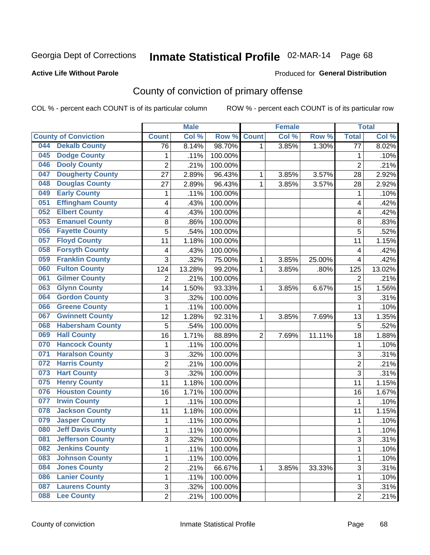#### **Active Life Without Parole**

#### Produced for **General Distribution**

## County of conviction of primary offense

|     |                             |                 | <b>Male</b> |         |                | <b>Female</b> |        |                 | <b>Total</b> |
|-----|-----------------------------|-----------------|-------------|---------|----------------|---------------|--------|-----------------|--------------|
|     | <b>County of Conviction</b> | <b>Count</b>    | Col %       | Row %   | <b>Count</b>   | Col %         | Row %  | <b>Total</b>    | Col %        |
| 044 | <b>Dekalb County</b>        | $\overline{76}$ | 8.14%       | 98.70%  | 1              | 3.85%         | 1.30%  | $\overline{77}$ | 8.02%        |
| 045 | <b>Dodge County</b>         | $\mathbf{1}$    | .11%        | 100.00% |                |               |        | 1               | .10%         |
| 046 | <b>Dooly County</b>         | $\overline{2}$  | .21%        | 100.00% |                |               |        | $\overline{2}$  | .21%         |
| 047 | <b>Dougherty County</b>     | 27              | 2.89%       | 96.43%  | 1              | 3.85%         | 3.57%  | 28              | 2.92%        |
| 048 | <b>Douglas County</b>       | 27              | 2.89%       | 96.43%  | $\mathbf{1}$   | 3.85%         | 3.57%  | 28              | 2.92%        |
| 049 | <b>Early County</b>         | 1               | .11%        | 100.00% |                |               |        | 1               | .10%         |
| 051 | <b>Effingham County</b>     | 4               | .43%        | 100.00% |                |               |        | 4               | .42%         |
| 052 | <b>Elbert County</b>        | 4               | .43%        | 100.00% |                |               |        | 4               | .42%         |
| 053 | <b>Emanuel County</b>       | 8               | .86%        | 100.00% |                |               |        | 8               | .83%         |
| 056 | <b>Fayette County</b>       | 5               | .54%        | 100.00% |                |               |        | 5               | .52%         |
| 057 | <b>Floyd County</b>         | 11              | 1.18%       | 100.00% |                |               |        | 11              | 1.15%        |
| 058 | <b>Forsyth County</b>       | 4               | .43%        | 100.00% |                |               |        | 4               | .42%         |
| 059 | <b>Franklin County</b>      | 3               | .32%        | 75.00%  | $\mathbf{1}$   | 3.85%         | 25.00% | 4               | .42%         |
| 060 | <b>Fulton County</b>        | 124             | 13.28%      | 99.20%  | 1              | 3.85%         | .80%   | 125             | 13.02%       |
| 061 | <b>Gilmer County</b>        | $\overline{2}$  | .21%        | 100.00% |                |               |        | $\overline{2}$  | .21%         |
| 063 | <b>Glynn County</b>         | 14              | 1.50%       | 93.33%  | 1              | 3.85%         | 6.67%  | 15              | 1.56%        |
| 064 | <b>Gordon County</b>        | 3               | .32%        | 100.00% |                |               |        | 3               | .31%         |
| 066 | <b>Greene County</b>        | $\mathbf{1}$    | .11%        | 100.00% |                |               |        | $\mathbf{1}$    | .10%         |
| 067 | <b>Gwinnett County</b>      | 12              | 1.28%       | 92.31%  | 1              | 3.85%         | 7.69%  | 13              | 1.35%        |
| 068 | <b>Habersham County</b>     | 5               | .54%        | 100.00% |                |               |        | 5               | .52%         |
| 069 | <b>Hall County</b>          | 16              | 1.71%       | 88.89%  | $\overline{2}$ | 7.69%         | 11.11% | 18              | 1.88%        |
| 070 | <b>Hancock County</b>       | $\mathbf{1}$    | .11%        | 100.00% |                |               |        | $\mathbf{1}$    | .10%         |
| 071 | <b>Haralson County</b>      | 3               | .32%        | 100.00% |                |               |        | 3               | .31%         |
| 072 | <b>Harris County</b>        | $\overline{2}$  | .21%        | 100.00% |                |               |        | $\overline{2}$  | .21%         |
| 073 | <b>Hart County</b>          | 3               | .32%        | 100.00% |                |               |        | 3               | .31%         |
| 075 | <b>Henry County</b>         | 11              | 1.18%       | 100.00% |                |               |        | 11              | 1.15%        |
| 076 | <b>Houston County</b>       | 16              | 1.71%       | 100.00% |                |               |        | 16              | 1.67%        |
| 077 | <b>Irwin County</b>         | 1               | .11%        | 100.00% |                |               |        | 1               | .10%         |
| 078 | <b>Jackson County</b>       | 11              | 1.18%       | 100.00% |                |               |        | 11              | 1.15%        |
| 079 | <b>Jasper County</b>        | 1               | .11%        | 100.00% |                |               |        | $\mathbf{1}$    | .10%         |
| 080 | <b>Jeff Davis County</b>    | $\mathbf{1}$    | .11%        | 100.00% |                |               |        | 1               | .10%         |
| 081 | <b>Jefferson County</b>     | 3               | .32%        | 100.00% |                |               |        | 3               | .31%         |
| 082 | <b>Jenkins County</b>       | 1               | .11%        | 100.00% |                |               |        | $\mathbf{1}$    | .10%         |
| 083 | <b>Johnson County</b>       | 1               | .11%        | 100.00% |                |               |        | $\mathbf{1}$    | .10%         |
| 084 | <b>Jones County</b>         | $\overline{2}$  | .21%        | 66.67%  | 1              | 3.85%         | 33.33% | $\overline{3}$  | .31%         |
| 086 | <b>Lanier County</b>        | 1               | .11%        | 100.00% |                |               |        | 1               | .10%         |
| 087 | <b>Laurens County</b>       | 3               | .32%        | 100.00% |                |               |        | 3               | .31%         |
| 088 | <b>Lee County</b>           | $\overline{2}$  | .21%        | 100.00% |                |               |        | $\overline{2}$  | .21%         |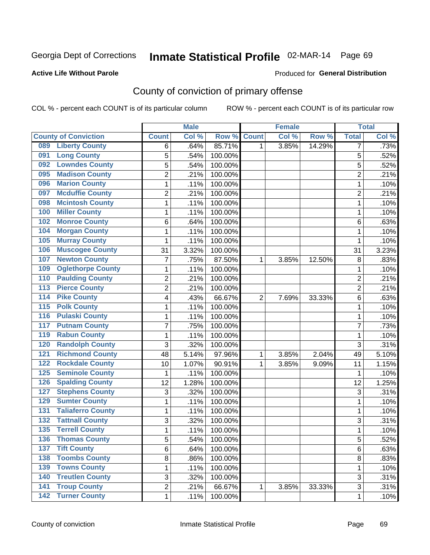#### **Active Life Without Parole**

#### Produced for **General Distribution**

## County of conviction of primary offense

|                  |                             |                | <b>Male</b> |         |                | <b>Female</b> |        |                | <b>Total</b> |
|------------------|-----------------------------|----------------|-------------|---------|----------------|---------------|--------|----------------|--------------|
|                  | <b>County of Conviction</b> | <b>Count</b>   | Col %       | Row %   | <b>Count</b>   | Col %         | Row %  | <b>Total</b>   | Col %        |
| 089              | <b>Liberty County</b>       | 6              | .64%        | 85.71%  | 1              | 3.85%         | 14.29% | 7              | .73%         |
| 091              | <b>Long County</b>          | 5              | .54%        | 100.00% |                |               |        | 5              | .52%         |
| 092              | <b>Lowndes County</b>       | 5              | .54%        | 100.00% |                |               |        | 5              | .52%         |
| 095              | <b>Madison County</b>       | $\overline{2}$ | .21%        | 100.00% |                |               |        | $\overline{c}$ | .21%         |
| 096              | <b>Marion County</b>        | 1              | .11%        | 100.00% |                |               |        | 1              | .10%         |
| 097              | <b>Mcduffie County</b>      | $\overline{2}$ | .21%        | 100.00% |                |               |        | $\overline{2}$ | .21%         |
| 098              | <b>Mcintosh County</b>      | $\mathbf 1$    | .11%        | 100.00% |                |               |        | 1              | .10%         |
| 100              | <b>Miller County</b>        | $\mathbf{1}$   | .11%        | 100.00% |                |               |        | $\mathbf{1}$   | .10%         |
| 102              | <b>Monroe County</b>        | 6              | .64%        | 100.00% |                |               |        | 6              | .63%         |
| 104              | <b>Morgan County</b>        | $\mathbf{1}$   | .11%        | 100.00% |                |               |        | $\mathbf{1}$   | .10%         |
| 105              | <b>Murray County</b>        | $\mathbf 1$    | .11%        | 100.00% |                |               |        | 1              | .10%         |
| 106              | <b>Muscogee County</b>      | 31             | 3.32%       | 100.00% |                |               |        | 31             | 3.23%        |
| 107              | <b>Newton County</b>        | $\overline{7}$ | .75%        | 87.50%  | 1              | 3.85%         | 12.50% | 8              | .83%         |
| 109              | <b>Oglethorpe County</b>    | $\mathbf{1}$   | .11%        | 100.00% |                |               |        | $\mathbf{1}$   | .10%         |
| 110              | <b>Paulding County</b>      | $\overline{2}$ | .21%        | 100.00% |                |               |        | $\overline{2}$ | .21%         |
| 113              | <b>Pierce County</b>        | $\overline{2}$ | .21%        | 100.00% |                |               |        | $\overline{2}$ | .21%         |
| 114              | <b>Pike County</b>          | 4              | .43%        | 66.67%  | $\overline{2}$ | 7.69%         | 33.33% | 6              | .63%         |
| $\overline{115}$ | <b>Polk County</b>          | 1              | .11%        | 100.00% |                |               |        | $\mathbf{1}$   | .10%         |
| 116              | <b>Pulaski County</b>       | $\mathbf 1$    | .11%        | 100.00% |                |               |        | 1              | .10%         |
| 117              | <b>Putnam County</b>        | $\overline{7}$ | .75%        | 100.00% |                |               |        | $\overline{7}$ | .73%         |
| 119              | <b>Rabun County</b>         | 1              | .11%        | 100.00% |                |               |        | 1              | .10%         |
| 120              | <b>Randolph County</b>      | 3              | .32%        | 100.00% |                |               |        | 3              | .31%         |
| 121              | <b>Richmond County</b>      | 48             | 5.14%       | 97.96%  | 1              | 3.85%         | 2.04%  | 49             | 5.10%        |
| 122              | <b>Rockdale County</b>      | 10             | 1.07%       | 90.91%  | 1              | 3.85%         | 9.09%  | 11             | 1.15%        |
| 125              | <b>Seminole County</b>      | $\mathbf{1}$   | .11%        | 100.00% |                |               |        | 1              | .10%         |
| 126              | <b>Spalding County</b>      | 12             | 1.28%       | 100.00% |                |               |        | 12             | 1.25%        |
| 127              | <b>Stephens County</b>      | 3              | .32%        | 100.00% |                |               |        | 3              | .31%         |
| 129              | <b>Sumter County</b>        | 1              | .11%        | 100.00% |                |               |        | 1              | .10%         |
| 131              | <b>Taliaferro County</b>    | 1              | .11%        | 100.00% |                |               |        | 1              | .10%         |
| 132              | <b>Tattnall County</b>      | 3              | .32%        | 100.00% |                |               |        | 3              | .31%         |
| 135              | <b>Terrell County</b>       | $\mathbf{1}$   | .11%        | 100.00% |                |               |        | 1              | .10%         |
| 136              | <b>Thomas County</b>        | 5              | .54%        | 100.00% |                |               |        | 5              | .52%         |
| 137              | <b>Tift County</b>          | 6              | .64%        | 100.00% |                |               |        | 6              | .63%         |
| 138              | <b>Toombs County</b>        | 8              | .86%        | 100.00% |                |               |        | 8              | .83%         |
| 139              | <b>Towns County</b>         | 1              | .11%        | 100.00% |                |               |        | $\mathbf{1}$   | .10%         |
| 140              | <b>Treutlen County</b>      | 3              | .32%        | 100.00% |                |               |        | 3              | .31%         |
| $\overline{141}$ | <b>Troup County</b>         | $\overline{2}$ | .21%        | 66.67%  | $\mathbf{1}$   | 3.85%         | 33.33% | 3              | .31%         |
|                  | 142 Turner County           | 1              | .11%        | 100.00% |                |               |        | 1              | .10%         |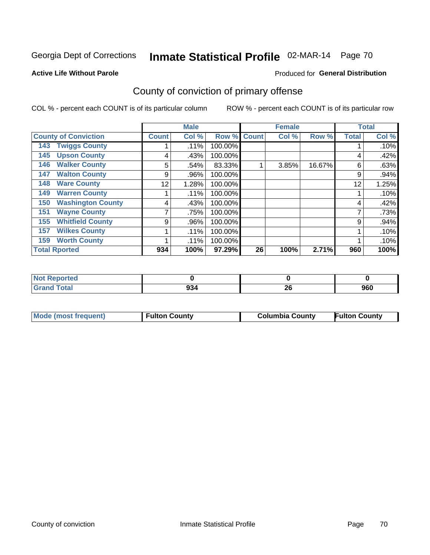#### **Active Life Without Parole**

#### Produced for **General Distribution**

## County of conviction of primary offense

|                                 |              | <b>Male</b> |         |              | <b>Female</b> |        |              | <b>Total</b> |
|---------------------------------|--------------|-------------|---------|--------------|---------------|--------|--------------|--------------|
| <b>County of Conviction</b>     | <b>Count</b> | Col %       | Row %   | <b>Count</b> | Col %         | Row %  | <b>Total</b> | Col %        |
| <b>Twiggs County</b><br>143     |              | .11%        | 100.00% |              |               |        |              | .10%         |
| <b>Upson County</b><br>145      | 4            | .43%        | 100.00% |              |               |        | 4            | .42%         |
| <b>Walker County</b><br>146     | 5            | .54%        | 83.33%  |              | 3.85%         | 16.67% | 6            | .63%         |
| <b>Walton County</b><br>147     | 9            | .96%        | 100.00% |              |               |        | 9            | .94%         |
| <b>Ware County</b><br>148       | 12           | 1.28%       | 100.00% |              |               |        | 12           | 1.25%        |
| <b>Warren County</b><br>149     |              | .11%        | 100.00% |              |               |        |              | .10%         |
| <b>Washington County</b><br>150 | 4            | .43%        | 100.00% |              |               |        | 4            | .42%         |
| <b>Wayne County</b><br>151      |              | .75%        | 100.00% |              |               |        | 7            | .73%         |
| <b>Whitfield County</b><br>155  | 9            | .96%        | 100.00% |              |               |        | 9            | .94%         |
| <b>Wilkes County</b><br>157     |              | .11%        | 100.00% |              |               |        |              | .10%         |
| <b>Worth County</b><br>159      |              | .11%        | 100.00% |              |               |        |              | .10%         |
| <b>Total Rported</b>            | 934          | 100%        | 97.29%  | 26           | 100%          | 2.71%  | 960          | 100%         |

| orted<br>N |            |              |     |
|------------|------------|--------------|-----|
| <b>ota</b> | 934<br>- - | $\sim$<br>ΔU | 960 |

| Mode (most frequent)<br><b>Fulton County</b> | <b>Columbia County</b> | <b>Fulton County</b> |
|----------------------------------------------|------------------------|----------------------|
|----------------------------------------------|------------------------|----------------------|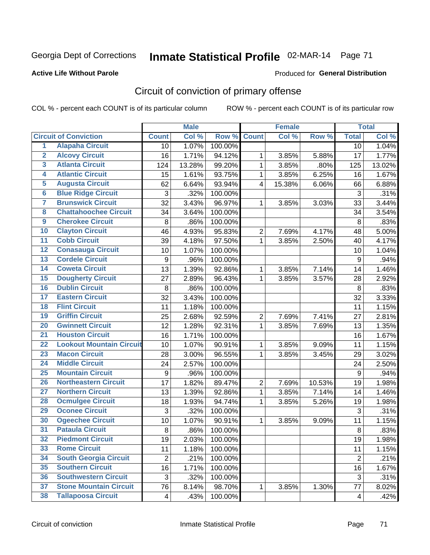#### **Active Life Without Parole**

#### Produced for **General Distribution**

## Circuit of conviction of primary offense

|                         |                                 |                | <b>Male</b> |         |                  | <b>Female</b> |        |                  | <b>Total</b> |
|-------------------------|---------------------------------|----------------|-------------|---------|------------------|---------------|--------|------------------|--------------|
|                         | <b>Circuit of Conviction</b>    | <b>Count</b>   | Col %       | Row %   | <b>Count</b>     | Col %         | Row %  | <b>Total</b>     | Col %        |
| $\overline{1}$          | <b>Alapaha Circuit</b>          | 10             | 1.07%       | 100.00% |                  |               |        | 10               | 1.04%        |
| $\overline{2}$          | <b>Alcovy Circuit</b>           | 16             | 1.71%       | 94.12%  | 1                | 3.85%         | 5.88%  | 17               | 1.77%        |
| $\overline{\mathbf{3}}$ | <b>Atlanta Circuit</b>          | 124            | 13.28%      | 99.20%  | $\mathbf{1}$     | 3.85%         | .80%   | 125              | 13.02%       |
| 4                       | <b>Atlantic Circuit</b>         | 15             | 1.61%       | 93.75%  | 1                | 3.85%         | 6.25%  | 16               | 1.67%        |
| 5                       | <b>Augusta Circuit</b>          | 62             | 6.64%       | 93.94%  | $\overline{4}$   | 15.38%        | 6.06%  | 66               | 6.88%        |
| $6\phantom{a}$          | <b>Blue Ridge Circuit</b>       | 3              | .32%        | 100.00% |                  |               |        | 3                | .31%         |
| 7                       | <b>Brunswick Circuit</b>        | 32             | 3.43%       | 96.97%  | 1                | 3.85%         | 3.03%  | 33               | 3.44%        |
| 8                       | <b>Chattahoochee Circuit</b>    | 34             | 3.64%       | 100.00% |                  |               |        | 34               | 3.54%        |
| $\overline{9}$          | <b>Cherokee Circuit</b>         | 8              | .86%        | 100.00% |                  |               |        | 8                | .83%         |
| 10                      | <b>Clayton Circuit</b>          | 46             | 4.93%       | 95.83%  | $\overline{2}$   | 7.69%         | 4.17%  | 48               | 5.00%        |
| $\overline{11}$         | <b>Cobb Circuit</b>             | 39             | 4.18%       | 97.50%  | $\mathbf{1}$     | 3.85%         | 2.50%  | 40               | 4.17%        |
| $\overline{12}$         | <b>Conasauga Circuit</b>        | 10             | 1.07%       | 100.00% |                  |               |        | 10               | 1.04%        |
| $\overline{13}$         | <b>Cordele Circuit</b>          | 9              | .96%        | 100.00% |                  |               |        | $9\,$            | .94%         |
| 14                      | <b>Coweta Circuit</b>           | 13             | 1.39%       | 92.86%  | $\mathbf{1}$     | 3.85%         | 7.14%  | 14               | 1.46%        |
| 15                      | <b>Dougherty Circuit</b>        | 27             | 2.89%       | 96.43%  | 1                | 3.85%         | 3.57%  | 28               | 2.92%        |
| 16                      | <b>Dublin Circuit</b>           | 8              | .86%        | 100.00% |                  |               |        | 8                | .83%         |
| 17                      | <b>Eastern Circuit</b>          | 32             | 3.43%       | 100.00% |                  |               |        | 32               | 3.33%        |
| 18                      | <b>Flint Circuit</b>            | 11             | 1.18%       | 100.00% |                  |               |        | 11               | 1.15%        |
| 19                      | <b>Griffin Circuit</b>          | 25             | 2.68%       | 92.59%  | $\overline{2}$   | 7.69%         | 7.41%  | 27               | 2.81%        |
| 20                      | <b>Gwinnett Circuit</b>         | 12             | 1.28%       | 92.31%  | $\mathbf{1}$     | 3.85%         | 7.69%  | 13               | 1.35%        |
| $\overline{21}$         | <b>Houston Circuit</b>          | 16             | 1.71%       | 100.00% |                  |               |        | 16               | 1.67%        |
| $\overline{22}$         | <b>Lookout Mountain Circuit</b> | 10             | 1.07%       | 90.91%  | $\mathbf{1}$     | 3.85%         | 9.09%  | 11               | 1.15%        |
| 23                      | <b>Macon Circuit</b>            | 28             | 3.00%       | 96.55%  | 1                | 3.85%         | 3.45%  | 29               | 3.02%        |
| $\overline{24}$         | <b>Middle Circuit</b>           | 24             | 2.57%       | 100.00% |                  |               |        | 24               | 2.50%        |
| $\overline{25}$         | <b>Mountain Circuit</b>         | 9              | .96%        | 100.00% |                  |               |        | $\boldsymbol{9}$ | .94%         |
| 26                      | <b>Northeastern Circuit</b>     | 17             | 1.82%       | 89.47%  | $\boldsymbol{2}$ | 7.69%         | 10.53% | 19               | 1.98%        |
| $\overline{27}$         | <b>Northern Circuit</b>         | 13             | 1.39%       | 92.86%  | $\mathbf{1}$     | 3.85%         | 7.14%  | 14               | 1.46%        |
| 28                      | <b>Ocmulgee Circuit</b>         | 18             | 1.93%       | 94.74%  | $\mathbf 1$      | 3.85%         | 5.26%  | 19               | 1.98%        |
| 29                      | <b>Oconee Circuit</b>           | 3              | .32%        | 100.00% |                  |               |        | 3                | .31%         |
| 30                      | <b>Ogeechee Circuit</b>         | 10             | 1.07%       | 90.91%  | $\mathbf 1$      | 3.85%         | 9.09%  | 11               | 1.15%        |
| $\overline{31}$         | <b>Pataula Circuit</b>          | 8              | .86%        | 100.00% |                  |               |        | 8                | .83%         |
| 32                      | <b>Piedmont Circuit</b>         | 19             | 2.03%       | 100.00% |                  |               |        | 19               | 1.98%        |
| 33                      | <b>Rome Circuit</b>             | 11             | 1.18%       | 100.00% |                  |               |        | 11               | 1.15%        |
| 34                      | <b>South Georgia Circuit</b>    | $\overline{2}$ | .21%        | 100.00% |                  |               |        | $\overline{2}$   | .21%         |
| 35                      | <b>Southern Circuit</b>         | 16             | 1.71%       | 100.00% |                  |               |        | 16               | 1.67%        |
| 36                      | <b>Southwestern Circuit</b>     | 3              | .32%        | 100.00% |                  |               |        | 3                | .31%         |
| 37                      | <b>Stone Mountain Circuit</b>   | 76             | 8.14%       | 98.70%  | 1                | 3.85%         | 1.30%  | 77               | 8.02%        |
| 38                      | <b>Tallapoosa Circuit</b>       | 4              | .43%        | 100.00% |                  |               |        | 4                | .42%         |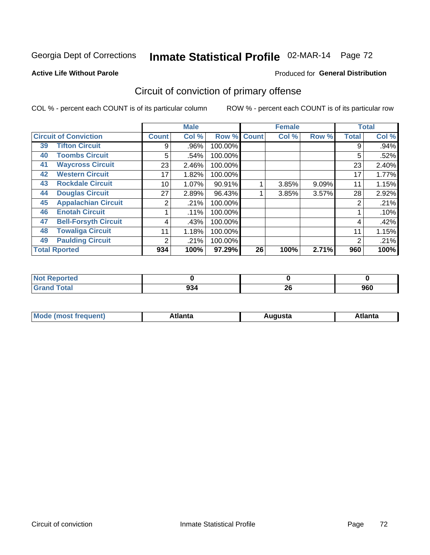#### **Active Life Without Parole**

#### Produced for **General Distribution**

## Circuit of conviction of primary offense

|    |                              |                | <b>Male</b> |         |              | <b>Female</b> |       |              | <b>Total</b> |
|----|------------------------------|----------------|-------------|---------|--------------|---------------|-------|--------------|--------------|
|    | <b>Circuit of Conviction</b> | <b>Count</b>   | Col %       | Row %   | <b>Count</b> | Col %         | Row % | <b>Total</b> | Col %        |
| 39 | <b>Tifton Circuit</b>        | 9              | .96%        | 100.00% |              |               |       | 9            | .94%         |
| 40 | <b>Toombs Circuit</b>        | 5              | .54%        | 100.00% |              |               |       | 5            | .52%         |
| 41 | <b>Waycross Circuit</b>      | 23             | 2.46%       | 100.00% |              |               |       | 23           | 2.40%        |
| 42 | <b>Western Circuit</b>       | 17             | 1.82%       | 100.00% |              |               |       | 17           | 1.77%        |
| 43 | <b>Rockdale Circuit</b>      | 10             | 1.07%       | 90.91%  |              | 3.85%         | 9.09% | 11           | 1.15%        |
| 44 | <b>Douglas Circuit</b>       | 27             | 2.89%       | 96.43%  |              | 3.85%         | 3.57% | 28           | 2.92%        |
| 45 | <b>Appalachian Circuit</b>   | 2              | .21%        | 100.00% |              |               |       | 2            | .21%         |
| 46 | <b>Enotah Circuit</b>        |                | .11%        | 100.00% |              |               |       |              | .10%         |
| 47 | <b>Bell-Forsyth Circuit</b>  | 4              | .43%        | 100.00% |              |               |       | 4            | .42%         |
| 48 | <b>Towaliga Circuit</b>      | 11             | 1.18%       | 100.00% |              |               |       | 11           | 1.15%        |
| 49 | <b>Paulding Circuit</b>      | $\overline{2}$ | .21%        | 100.00% |              |               |       | 2            | .21%         |
|    | <b>Total Rported</b>         | 934            | 100%        | 97.29%  | 26           | 100%          | 2.71% | 960          | 100%         |

| <b>Reported</b><br><b>N</b> |     |          |     |
|-----------------------------|-----|----------|-----|
| <b>Total</b>                | 934 | ጎር<br>ZU | 960 |

| М<br>. In n tr<br>.<br>.<br>wanta<br>Πū<br>31.<br>$\sim$ $\sim$ $\sim$ |
|------------------------------------------------------------------------|
|------------------------------------------------------------------------|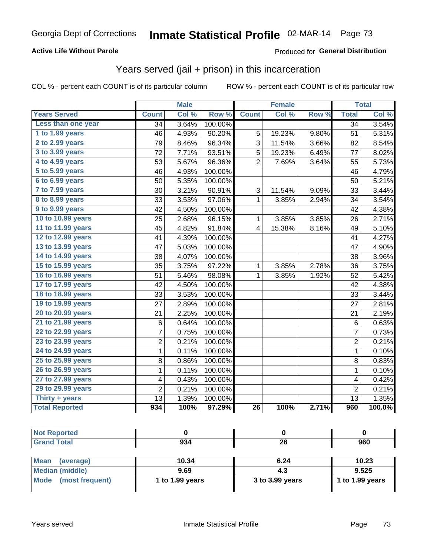### **Active Life Without Parole**

### Produced for **General Distribution**

## Years served (jail + prison) in this incarceration

|                       | <b>Male</b>     |       | <b>Female</b> |                 |        | <b>Total</b> |                 |        |
|-----------------------|-----------------|-------|---------------|-----------------|--------|--------------|-----------------|--------|
| <b>Years Served</b>   | <b>Count</b>    | Col % | Row %         | <b>Count</b>    | Col %  | Row %        | <b>Total</b>    | Col%   |
| Less than one year    | $\overline{34}$ | 3.64% | 100.00%       |                 |        |              | $\overline{34}$ | 3.54%  |
| 1 to 1.99 years       | 46              | 4.93% | 90.20%        | 5               | 19.23% | 9.80%        | 51              | 5.31%  |
| 2 to 2.99 years       | 79              | 8.46% | 96.34%        | 3               | 11.54% | 3.66%        | 82              | 8.54%  |
| 3 to 3.99 years       | 72              | 7.71% | 93.51%        | 5               | 19.23% | 6.49%        | 77              | 8.02%  |
| 4 to 4.99 years       | 53              | 5.67% | 96.36%        | 2               | 7.69%  | 3.64%        | 55              | 5.73%  |
| 5 to 5.99 years       | 46              | 4.93% | 100.00%       |                 |        |              | 46              | 4.79%  |
| 6 to 6.99 years       | 50              | 5.35% | 100.00%       |                 |        |              | 50              | 5.21%  |
| 7 to 7.99 years       | 30              | 3.21% | 90.91%        | 3               | 11.54% | 9.09%        | 33              | 3.44%  |
| 8 to 8.99 years       | 33              | 3.53% | 97.06%        | $\mathbf{1}$    | 3.85%  | 2.94%        | 34              | 3.54%  |
| 9 to 9.99 years       | 42              | 4.50% | 100.00%       |                 |        |              | 42              | 4.38%  |
| 10 to 10.99 years     | 25              | 2.68% | 96.15%        | 1               | 3.85%  | 3.85%        | 26              | 2.71%  |
| 11 to 11.99 years     | 45              | 4.82% | 91.84%        | 4               | 15.38% | 8.16%        | 49              | 5.10%  |
| 12 to 12.99 years     | 41              | 4.39% | 100.00%       |                 |        |              | 41              | 4.27%  |
| 13 to 13.99 years     | 47              | 5.03% | 100.00%       |                 |        |              | 47              | 4.90%  |
| 14 to 14.99 years     | 38              | 4.07% | 100.00%       |                 |        |              | 38              | 3.96%  |
| 15 to 15.99 years     | 35              | 3.75% | 97.22%        | 1               | 3.85%  | 2.78%        | 36              | 3.75%  |
| 16 to 16.99 years     | 51              | 5.46% | 98.08%        | 1               | 3.85%  | 1.92%        | 52              | 5.42%  |
| 17 to 17.99 years     | 42              | 4.50% | 100.00%       |                 |        |              | 42              | 4.38%  |
| 18 to 18.99 years     | 33              | 3.53% | 100.00%       |                 |        |              | 33              | 3.44%  |
| 19 to 19.99 years     | 27              | 2.89% | 100.00%       |                 |        |              | 27              | 2.81%  |
| 20 to 20.99 years     | 21              | 2.25% | 100.00%       |                 |        |              | 21              | 2.19%  |
| 21 to 21.99 years     | 6               | 0.64% | 100.00%       |                 |        |              | 6               | 0.63%  |
| 22 to 22.99 years     | 7               | 0.75% | 100.00%       |                 |        |              | $\overline{7}$  | 0.73%  |
| 23 to 23.99 years     | 2               | 0.21% | 100.00%       |                 |        |              | 2               | 0.21%  |
| 24 to 24.99 years     | $\mathbf{1}$    | 0.11% | 100.00%       |                 |        |              | $\mathbf 1$     | 0.10%  |
| 25 to 25.99 years     | 8               | 0.86% | 100.00%       |                 |        |              | 8               | 0.83%  |
| 26 to 26.99 years     | 1               | 0.11% | 100.00%       |                 |        |              | 1               | 0.10%  |
| 27 to 27.99 years     | 4               | 0.43% | 100.00%       |                 |        |              | 4               | 0.42%  |
| 29 to 29.99 years     | $\overline{c}$  | 0.21% | 100.00%       |                 |        |              | $\overline{2}$  | 0.21%  |
| Thirty + years        | 13              | 1.39% | 100.00%       |                 |        |              | 13              | 1.35%  |
| <b>Total Reported</b> | 934             | 100%  | 97.29%        | $\overline{26}$ | 100%   | 2.71%        | 960             | 100.0% |

| <b>Not Reported</b>     |                 |                 |                 |
|-------------------------|-----------------|-----------------|-----------------|
| <b>Grand Total</b>      | 934             | 26              | 960             |
|                         |                 |                 |                 |
| Mean<br>(average)       | 10.34           | 6.24            | 10.23           |
| <b>Median (middle)</b>  | 9.69            | 4.3             | 9.525           |
| Mode<br>(most frequent) | 1 to 1.99 years | 3 to 3.99 years | 1 to 1.99 years |
|                         |                 |                 |                 |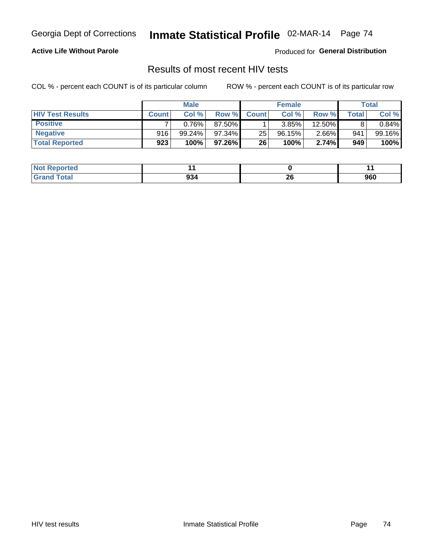### **Active Life Without Parole**

Produced for **General Distribution**

## Results of most recent HIV tests

|                         | <b>Male</b>  |           |        | <b>Female</b>   |           |          | Total   |        |
|-------------------------|--------------|-----------|--------|-----------------|-----------|----------|---------|--------|
| <b>HIV Test Results</b> | <b>Count</b> | Col%      | Row %I | <b>Count</b>    | Col %     | Row %    | Total . | Col %  |
| <b>Positive</b>         |              | 0.76%     | 87.50% |                 | 3.85%     | 12.50%   |         | 0.84%  |
| <b>Negative</b>         | 916          | $99.24\%$ | 97.34% | 25              | $96.15\%$ | $2.66\%$ | 941     | 99.16% |
| <b>Total Reported</b>   | 923          | 100%      | 97.26% | 26 <sup>1</sup> | 100%      | 2.74%    | 949     | 100%   |

| <b>Not Reported</b> |     |          |     |
|---------------------|-----|----------|-----|
| <b>Total</b>        | 934 | ^^<br>ZU | 960 |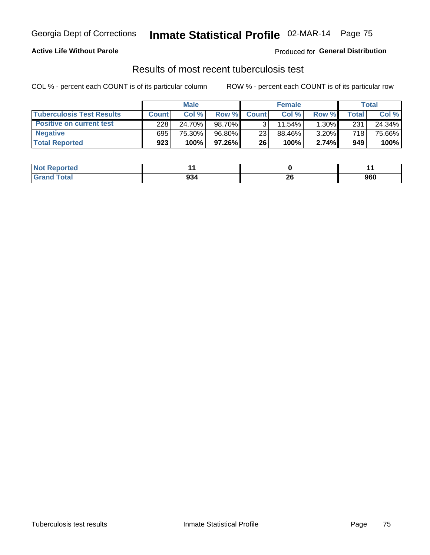### **Active Life Without Parole**

Produced for **General Distribution**

### Results of most recent tuberculosis test

|                                  |              | <b>Male</b> |           |              | <b>Female</b> |          |       | Total  |
|----------------------------------|--------------|-------------|-----------|--------------|---------------|----------|-------|--------|
| <b>Tuberculosis Test Results</b> | <b>Count</b> | Col%        | Row %I    | <b>Count</b> | Col%          | Row %    | Total | Col %  |
| <b>Positive on current test</b>  | 228          | 24.70%      | 98.70%    |              | 11.54%        | $1.30\%$ | 231   | 24.34% |
| <b>Negative</b>                  | 695          | 75.30%      | 96.80%    | 23           | 88.46%        | 3.20%    | 718   | 75.66% |
| <b>Total Reported</b>            | 923          | 100%        | $97.26\%$ | 26           | 100%          | 2.74%    | 949   | 100%   |

| <b>Not Reported</b>    |     |    | . . |
|------------------------|-----|----|-----|
| <b>Total</b><br>. Grot | 934 | ZU | 960 |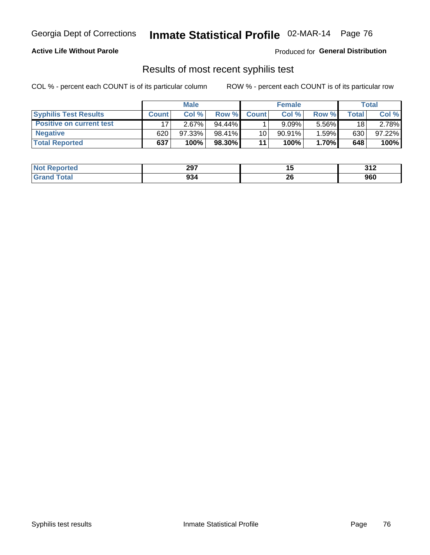### **Active Life Without Parole**

Produced for **General Distribution**

## Results of most recent syphilis test

|                                 | <b>Male</b>  |         |        | <b>Female</b> |           |          | Total |        |
|---------------------------------|--------------|---------|--------|---------------|-----------|----------|-------|--------|
| <b>Syphilis Test Results</b>    | <b>Count</b> | Col %   | Row %  | <b>Count</b>  | Col %     | Row %I   | Total | Col %  |
| <b>Positive on current test</b> |              | 2.67%   | 94.44% |               | 9.09%     | $5.56\%$ | 18    | 2.78%  |
| <b>Negative</b>                 | 620          | 97.33%  | 98.41% | 10            | $90.91\%$ | 1.59%    | 630   | 97.22% |
| <b>Total Reported</b>           | 637          | $100\%$ | 98.30% | 11            | 100%      | 1.70%    | 648   | 100%   |

| <b>Not Reported</b> | 297 |           | 242<br>$\sim$ . $\sim$ |
|---------------------|-----|-----------|------------------------|
| Total               | 934 | nr.<br>ZU | 960                    |